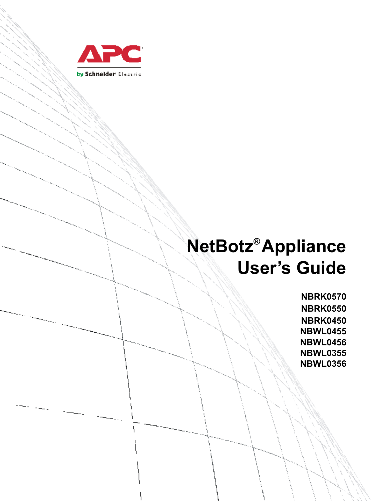

# **NetBotz® Appliance User's Guide**

**NBRK0570 NBRK0550 NBRK0450 NBWL0455 NBWL0456 NBWL0355 NBWL0356**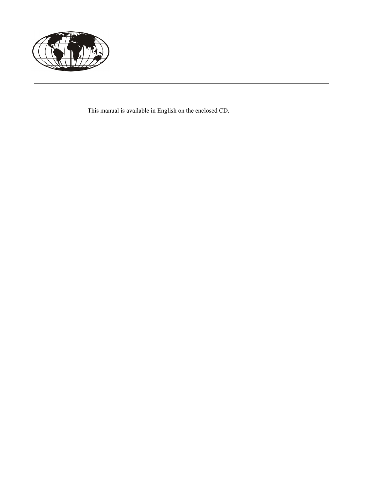

This manual is available in English on the enclosed CD.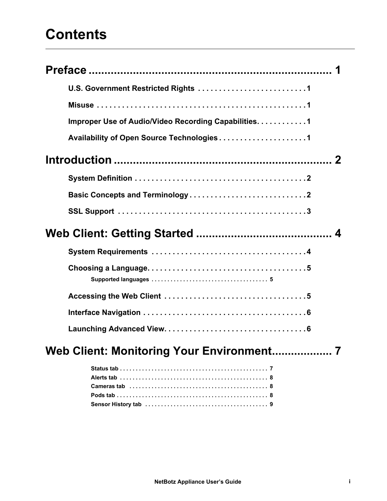# **[Contents](#page-9-0)**

| Improper Use of Audio/Video Recording Capabilities. 1 |
|-------------------------------------------------------|
|                                                       |
|                                                       |
|                                                       |
|                                                       |
|                                                       |
|                                                       |
|                                                       |
|                                                       |
|                                                       |
|                                                       |
|                                                       |
| Web Client: Monitoring Your Environment               |
|                                                       |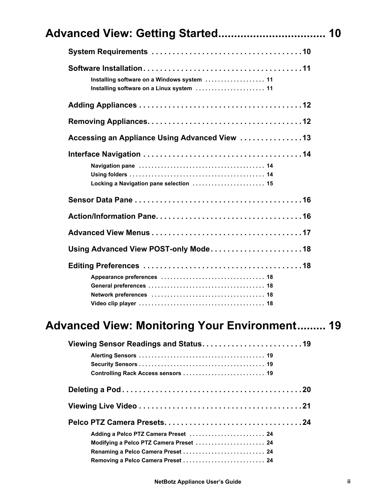| Advanced View: Getting Started 10                                                        |  |
|------------------------------------------------------------------------------------------|--|
|                                                                                          |  |
| Installing software on a Windows system  11<br>Installing software on a Linux system  11 |  |
|                                                                                          |  |
|                                                                                          |  |
| Accessing an Appliance Using Advanced View 13                                            |  |
| Locking a Navigation pane selection  15                                                  |  |
|                                                                                          |  |
|                                                                                          |  |
|                                                                                          |  |
| Using Advanced View POST-only Mode18                                                     |  |
|                                                                                          |  |

| Controlling Rack Access sensors  19     |  |
|-----------------------------------------|--|
|                                         |  |
|                                         |  |
|                                         |  |
| Adding a Pelco PTZ Camera Preset  24    |  |
| Modifying a Pelco PTZ Camera Preset  24 |  |
|                                         |  |
| Removing a Pelco Camera Preset  24      |  |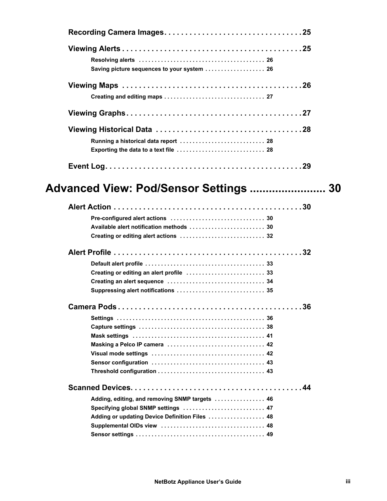| Saving picture sequences to your system  26                                                                                             |  |
|-----------------------------------------------------------------------------------------------------------------------------------------|--|
|                                                                                                                                         |  |
|                                                                                                                                         |  |
| Running a historical data report  28<br>Exporting the data to a text file  28                                                           |  |
|                                                                                                                                         |  |
| Advanced View: Pod/Sensor Settings  30                                                                                                  |  |
| Creating or editing alert actions  32                                                                                                   |  |
|                                                                                                                                         |  |
|                                                                                                                                         |  |
|                                                                                                                                         |  |
| Adding, editing, and removing SNMP targets  46<br>Specifying global SNMP settings  47<br>Adding or updating Device Definition Files  48 |  |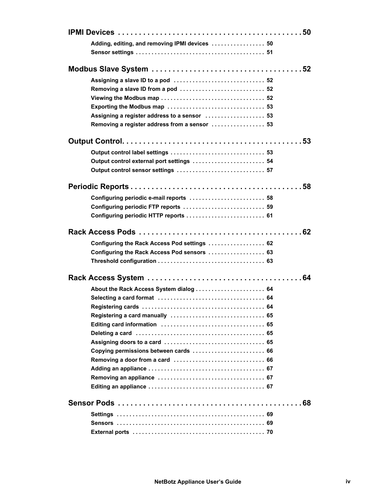| Adding, editing, and removing IPMI devices  50 |  |
|------------------------------------------------|--|
|                                                |  |
|                                                |  |
|                                                |  |
|                                                |  |
| Removing a slave ID from a pod  52             |  |
|                                                |  |
|                                                |  |
| Assigning a register address to a sensor  53   |  |
| Removing a register address from a sensor  53  |  |
|                                                |  |
|                                                |  |
| Output control external port settings  54      |  |
| Output control sensor settings  57             |  |
|                                                |  |
|                                                |  |
|                                                |  |
| Configuring periodic FTP reports  59           |  |
| Configuring periodic HTTP reports  61          |  |
|                                                |  |
|                                                |  |
| Configuring the Rack Access Pod settings  62   |  |
| Configuring the Rack Access Pod sensors  63    |  |
|                                                |  |
|                                                |  |
|                                                |  |
| About the Rack Access System dialog  64        |  |
|                                                |  |
|                                                |  |
|                                                |  |
|                                                |  |
|                                                |  |
|                                                |  |
|                                                |  |
|                                                |  |
|                                                |  |
|                                                |  |
|                                                |  |
|                                                |  |
|                                                |  |
|                                                |  |
|                                                |  |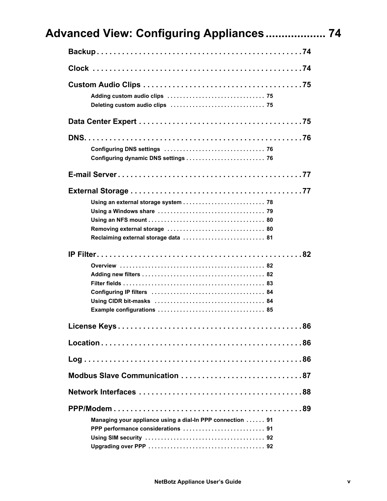| Configuring dynamic DNS settings  76                       |
|------------------------------------------------------------|
|                                                            |
|                                                            |
|                                                            |
|                                                            |
|                                                            |
|                                                            |
| Reclaiming external storage data  81                       |
|                                                            |
|                                                            |
|                                                            |
|                                                            |
|                                                            |
|                                                            |
|                                                            |
|                                                            |
|                                                            |
|                                                            |
| Modbus Slave Communication 87                              |
|                                                            |
|                                                            |
| Managing your appliance using a dial-In PPP connection  91 |
|                                                            |
|                                                            |
|                                                            |
|                                                            |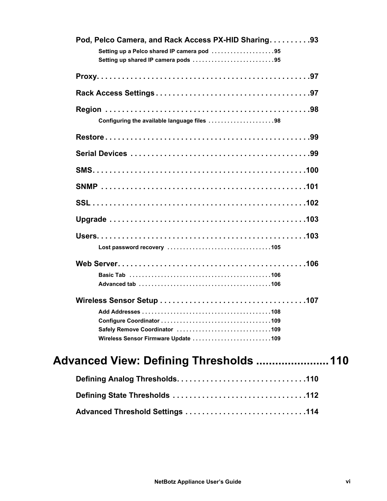| Pod, Pelco Camera, and Rack Access PX-HID Sharing. 93<br>Setting up a Pelco shared IP camera pod 95<br>Setting up shared IP camera pods 95 |
|--------------------------------------------------------------------------------------------------------------------------------------------|
|                                                                                                                                            |
|                                                                                                                                            |
| Configuring the available language files 98                                                                                                |
|                                                                                                                                            |
|                                                                                                                                            |
|                                                                                                                                            |
|                                                                                                                                            |
|                                                                                                                                            |
|                                                                                                                                            |
|                                                                                                                                            |
|                                                                                                                                            |
|                                                                                                                                            |
|                                                                                                                                            |
|                                                                                                                                            |
|                                                                                                                                            |
|                                                                                                                                            |
| Wireless Sensor Firmware Update 109                                                                                                        |

# **Adv[anced View: Defining Thresholds ....................](#page-125-0)...110**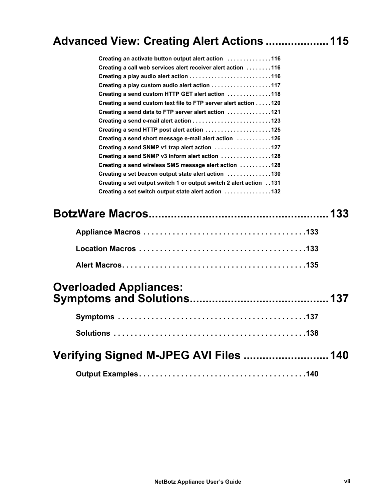## **Advanc[ed View: Creating Alert Actions](#page-128-0)[..](#page-128-0)..................115**

| Creating an activate button output alert action 116                        |  |
|----------------------------------------------------------------------------|--|
| Creating a call web services alert receiver alert action 116               |  |
|                                                                            |  |
| Creating a play custom audio alert action 117                              |  |
| Creating a send custom HTTP GET alert action 118                           |  |
| Creating a send custom text file to FTP server alert action 120            |  |
| Creating a send data to FTP server alert action $\dots\dots\dots\dots 121$ |  |
|                                                                            |  |
| Creating a send HTTP post alert action 125                                 |  |
| Creating a send short message e-mail alert action 126                      |  |
| Creating a send SNMP v1 trap alert action 127                              |  |
| Creating a send SNMP v3 inform alert action 128                            |  |
| Creating a send wireless SMS message alert action 128                      |  |
| Creating a set beacon output state alert action 130                        |  |
| Creating a set output switch 1 or output switch 2 alert action 131         |  |
| Creating a set switch output state alert action 132                        |  |
|                                                                            |  |
| <b>Overloaded Appliances:</b>                                              |  |
|                                                                            |  |
|                                                                            |  |
|                                                                            |  |
| Verifying Signed M-JPEG AVI Files  140                                     |  |
|                                                                            |  |
|                                                                            |  |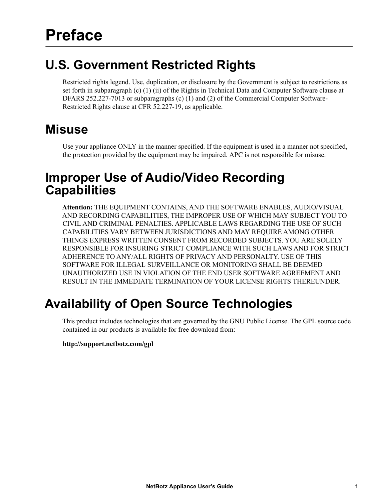### <span id="page-9-1"></span><span id="page-9-0"></span>**U.S. Government Restricted Rights**

Restricted rights legend. Use, duplication, or disclosure by the Government is subject to restrictions as set forth in subparagraph (c) (1) (ii) of the Rights in Technical Data and Computer Software clause at DFARS 252.227-7013 or subparagraphs (c) (1) and (2) of the Commercial Computer Software-Restricted Rights clause at CFR 52.227-19, as applicable.

### **Misuse**

Use your appliance ONLY in the manner specified. If the equipment is used in a manner not specified, the protection provided by the equipment may be impaired. APC is not responsible for misuse.

### <span id="page-9-2"></span>**Improper Use of Audio/Video Recording Capabilities**

**Attention:** THE EQUIPMENT CONTAINS, AND THE SOFTWARE ENABLES, AUDIO/VISUAL AND RECORDING CAPABILITIES, THE IMPROPER USE OF WHICH MAY SUBJECT YOU TO CIVIL AND CRIMINAL PENALTIES. APPLICABLE LAWS REGARDING THE USE OF SUCH CAPABILITIES VARY BETWEEN JURISDICTIONS AND MAY REQUIRE AMONG OTHER THINGS EXPRESS WRITTEN CONSENT FROM RECORDED SUBJECTS. YOU ARE SOLELY RESPONSIBLE FOR INSURING STRICT COMPLIANCE WITH SUCH LAWS AND FOR STRICT ADHERENCE TO ANY/ALL RIGHTS OF PRIVACY AND PERSONALTY. USE OF THIS SOFTWARE FOR ILLEGAL SURVEILLANCE OR MONITORING SHALL BE DEEMED UNAUTHORIZED USE IN VIOLATION OF THE END USER SOFTWARE AGREEMENT AND RESULT IN THE IMMEDIATE TERMINATION OF YOUR LICENSE RIGHTS THEREUNDER.

# <span id="page-9-3"></span>**Availability of Open Source Technologies**

This product includes technologies that are governed by the GNU Public License. The GPL source code contained in our products is available for free download from:

### **http://support.netbotz.com/gpl**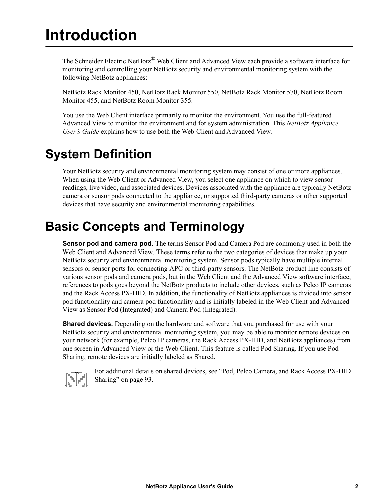# <span id="page-10-0"></span>**Introduction**

The Schneider Electric NetBotz<sup>®</sup> Web Client and Advanced View each provide a software interface for monitoring and controlling your NetBotz security and environmental monitoring system with the following NetBotz appliances:

NetBotz Rack Monitor 450, NetBotz Rack Monitor 550, NetBotz Rack Monitor 570, NetBotz Room Monitor 455, and NetBotz Room Monitor 355.

You use the Web Client interface primarily to monitor the environment. You use the full-featured Advanced View to monitor the environment and for system administration. This *NetBotz Appliance User's Guide* explains how to use both the Web Client and Advanced View.

### <span id="page-10-1"></span>**System Definition**

Your NetBotz security and environmental monitoring system may consist of one or more appliances. When using the Web Client or Advanced View, you select one appliance on which to view sensor readings, live video, and associated devices. Devices associated with the appliance are typically NetBotz camera or sensor pods connected to the appliance, or supported third-party cameras or other supported devices that have security and environmental monitoring capabilities.

### **Basic Concepts and Terminology**

**Sensor pod and camera pod.** The terms Sensor Pod and Camera Pod are commonly used in both the Web Client and Advanced View. These terms refer to the two categories of devices that make up your NetBotz security and environmental monitoring system. Sensor pods typically have multiple internal sensors or sensor ports for connecting APC or third-party sensors. The NetBotz product line consists of various sensor pods and camera pods, but in the Web Client and the Advanced View software interface, references to pods goes beyond the NetBotz products to include other devices, such as Pelco IP cameras and the Rack Access PX-HID. In addition, the functionality of NetBotz appliances is divided into sensor pod functionality and camera pod functionality and is initially labeled in the Web Client and Advanced View as Sensor Pod (Integrated) and Camera Pod (Integrated).

**Shared devices.** Depending on the hardware and software that you purchased for use with your NetBotz security and environmental monitoring system, you may be able to monitor remote devices on your network (for example, Pelco IP cameras, the Rack Access PX-HID, and NetBotz appliances) from one screen in Advanced View or the Web Client. This feature is called Pod Sharing. If you use Pod Sharing, remote devices are initially labeled as Shared.



For additional details on shared devices, see ["Pod, Pelco Camera, and Rack Access PX-HID](#page-101-0)  [Sharing" on page 93](#page-101-0).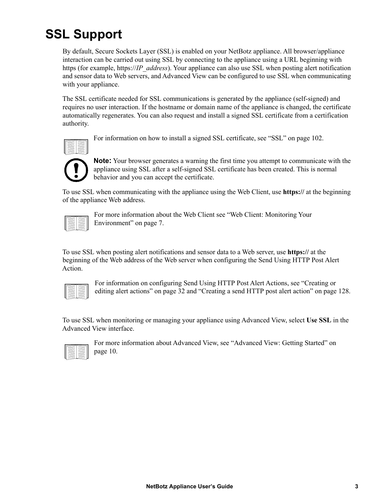# <span id="page-11-0"></span>**SSL Support**

By default, Secure Sockets Layer (SSL) is enabled on your NetBotz appliance. All browser/appliance interaction can be carried out using SSL by connecting to the appliance using a URL beginning with https (for example, https://*IP\_address*). Your appliance can also use SSL when posting alert notification and sensor data to Web servers, and Advanced View can be configured to use SSL when communicating with your appliance.

The SSL certificate needed for SSL communications is generated by the appliance (self-signed) and requires no user interaction. If the hostname or domain name of the appliance is changed, the certificate automatically regenerates. You can also request and install a signed SSL certificate from a certification authority.



For information on how to install a signed SSL certificate, see ["SSL" on page 102.](#page-110-1)



**Note:** Your browser generates a warning the first time you attempt to communicate with the appliance using SSL after a self-signed SSL certificate has been created. This is normal behavior and you can accept the certificate.

To use SSL when communicating with the appliance using the Web Client, use **https://** at the beginning of the appliance Web address.

For more information about the Web Client see "Web Client: Monitoring Your [Environment" on page 7.](#page-15-2)

To use SSL when posting alert notifications and sensor data to a Web server, use **https://** at the beginning of the Web address of the Web server when configuring the Send Using HTTP Post Alert Action.

For information on configuring Send Using HTTP Post Alert Actions, see ["Creating or](#page-40-2)  [editing alert actions" on page 32](#page-40-2) and ["Creating a send HTTP post alert action" on page 128](#page-136-1).

To use SSL when monitoring or managing your appliance using Advanced View, select **Use SSL** in the Advanced View interface.



For more information about Advanced View, see ["Advanced View: Getting Started" on](#page-18-0)  [page 10](#page-18-0).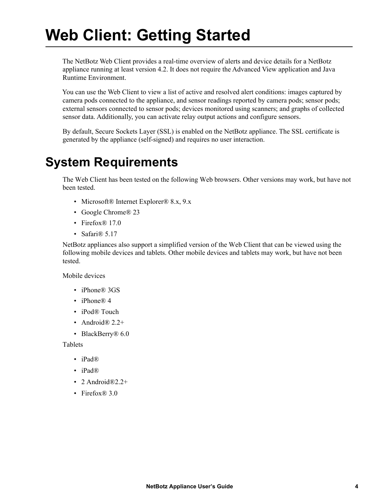# <span id="page-12-0"></span>**Web Client: Getting Started**

The NetBotz Web Client provides a real-time overview of alerts and device details for a NetBotz appliance running at least version 4.2. It does not require the Advanced View application and Java Runtime Environment.

You can use the Web Client to view a list of active and resolved alert conditions: images captured by camera pods connected to the appliance, and sensor readings reported by camera pods; sensor pods; external sensors connected to sensor pods; devices monitored using scanners; and graphs of collected sensor data. Additionally, you can activate relay output actions and configure sensors.

By default, Secure Sockets Layer (SSL) is enabled on the NetBotz appliance. The SSL certificate is generated by the appliance (self-signed) and requires no user interaction.

### <span id="page-12-1"></span>**System Requirements**

The Web Client has been tested on the following Web browsers. Other versions may work, but have not been tested.

- Microsoft® Internet Explorer® 8.x, 9.x
- Google Chrome® 23
- Firefox® 17.0
- Safari<sup>®</sup> 5.17

NetBotz appliances also support a simplified version of the Web Client that can be viewed using the following mobile devices and tablets. Other mobile devices and tablets may work, but have not been tested.

Mobile devices

- iPhone® 3GS
- iPhone $\overline{R}$  4
- iPod® Touch
- Android $\mathbb{R}$  2.2+
- BlackBerry<sup>®</sup> 6.0

Tablets

- iPad®
- iPad®
- 2 Android $\mathbb{R}2.2+$
- Firefox<sup>®</sup> 3.0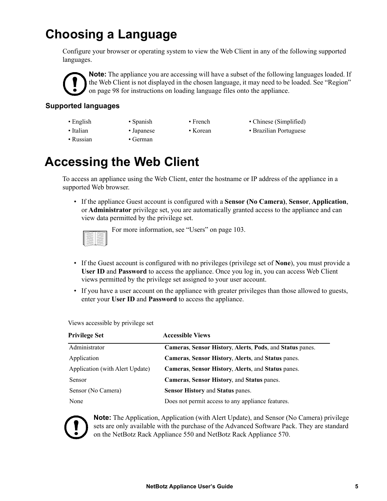# **Choosing a Language**

Configure your browser or operating system to view the Web Client in any of the following supported languages.

**Note:** The appliance you are accessing will have a subset of the following languages loaded. If the Web Client is not displayed in the chosen language, it may need to be loaded. See ["Region"](#page-106-2)  [on page 98](#page-106-2) for instructions on loading language files onto the appliance.

### <span id="page-13-0"></span>**Supported languages**

- -
- 
- English Spanish French Chinese (Simplified)
- Italian Japanese Korean Brazilian Portuguese
- 
- Russian German
	-

### <span id="page-13-1"></span>**Accessing the Web Client**

To access an appliance using the Web Client, enter the hostname or IP address of the appliance in a supported Web browser.

• If the appliance Guest account is configured with a **Sensor (No Camera)**, **Sensor**, **Application**, or **Administrator** privilege set, you are automatically granted access to the appliance and can view data permitted by the privilege set.



Views accessible by privilege set

For more information, see ["Users" on page 103.](#page-111-2)

- If the Guest account is configured with no privileges (privilege set of **None**), you must provide a **User ID** and **Password** to access the appliance. Once you log in, you can access Web Client views permitted by the privilege set assigned to your user account.
- If you have a user account on the appliance with greater privileges than those allowed to guests, enter your **User ID** and **Password** to access the appliance.

**Privilege Set Accessible Views** Administrator **Cameras**, **Sensor History**, **Alerts**, **Pods**, and **Status** panes. Application **Cameras**, **Sensor History**, **Alerts**, and **Status** panes. Application (with Alert Update) **Cameras**, **Sensor History**, **Alerts**, and **Status** panes. Sensor **Cameras**, **Sensor History**, and **Status** panes. Sensor (No Camera) **Sensor History** and **Status** panes. None Does not permit access to any appliance features.



**Note:** The Application, Application (with Alert Update), and Sensor (No Camera) privilege sets are only available with the purchase of the Advanced Software Pack. They are standard on the NetBotz Rack Appliance 550 and NetBotz Rack Appliance 570.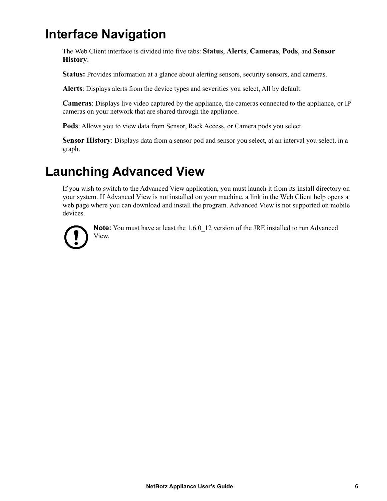### <span id="page-14-0"></span>**Interface Navigation**

The Web Client interface is divided into five tabs: **Status**, **Alerts**, **Cameras**, **Pods**, and **Sensor History**:

**Status:** Provides information at a glance about alerting sensors, security sensors, and cameras.

**Alerts**: Displays alerts from the device types and severities you select, All by default.

**Cameras**: Displays live video captured by the appliance, the cameras connected to the appliance, or IP cameras on your network that are shared through the appliance.

**Pods**: Allows you to view data from Sensor, Rack Access, or Camera pods you select.

**Sensor History**: Displays data from a sensor pod and sensor you select, at an interval you select, in a graph.

### <span id="page-14-1"></span>**Launching Advanced View**

If you wish to switch to the Advanced View application, you must launch it from its install directory on your system. If Advanced View is not installed on your machine, a link in the Web Client help opens a web page where you can download and install the program. Advanced View is not supported on mobile devices.



**Note:** You must have at least the 1.6.0 12 version of the JRE installed to run Advanced View.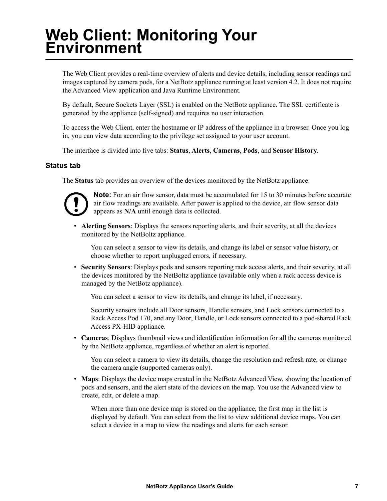# <span id="page-15-2"></span><span id="page-15-0"></span>**Web Client: Monitoring Your Environment**

The Web Client provides a real-time overview of alerts and device details, including sensor readings and images captured by camera pods, for a NetBotz appliance running at least version 4.2. It does not require the Advanced View application and Java Runtime Environment.

By default, Secure Sockets Layer (SSL) is enabled on the NetBotz appliance. The SSL certificate is generated by the appliance (self-signed) and requires no user interaction.

To access the Web Client, enter the hostname or IP address of the appliance in a browser. Once you log in, you can view data according to the privilege set assigned to your user account.

The interface is divided into five tabs: **Status**, **Alerts**, **Cameras**, **Pods**, and **Sensor History**.

#### <span id="page-15-1"></span>**Status tab**

The **Status** tab provides an overview of the devices monitored by the NetBotz appliance.



**Note:** For an air flow sensor, data must be accumulated for 15 to 30 minutes before accurate air flow readings are available. After power is applied to the device, air flow sensor data appears as **N/A** until enough data is collected.

• **Alerting Sensors**: Displays the sensors reporting alerts, and their severity, at all the devices monitored by the NetBoltz appliance.

You can select a sensor to view its details, and change its label or sensor value history, or choose whether to report unplugged errors, if necessary.

• **Security Sensors**: Displays pods and sensors reporting rack access alerts, and their severity, at all the devices monitored by the NetBoltz appliance (available only when a rack access device is managed by the NetBotz appliance).

You can select a sensor to view its details, and change its label, if necessary.

Security sensors include all Door sensors, Handle sensors, and Lock sensors connected to a Rack Access Pod 170, and any Door, Handle, or Lock sensors connected to a pod-shared Rack Access PX-HID appliance.

• **Cameras**: Displays thumbnail views and identification information for all the cameras monitored by the NetBotz appliance, regardless of whether an alert is reported.

You can select a camera to view its details, change the resolution and refresh rate, or change the camera angle (supported cameras only).

• **Maps**: Displays the device maps created in the NetBotz Advanced View, showing the location of pods and sensors, and the alert state of the devices on the map. You use the Advanced view to create, edit, or delete a map.

When more than one device map is stored on the appliance, the first map in the list is displayed by default. You can select from the list to view additional device maps. You can select a device in a map to view the readings and alerts for each sensor.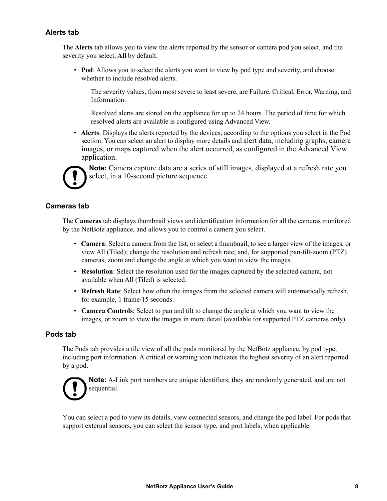### <span id="page-16-0"></span>**Alerts tab**

The **Alerts** tab allows you to view the alerts reported by the sensor or camera pod you select, and the severity you select, **All** by default.

• **Pod**: Allows you to select the alerts you want to view by pod type and severity, and choose whether to include resolved alerts.

The severity values, from most severe to least severe, are Failure, Critical, Error, Warning, and Information.

Resolved alerts are stored on the appliance for up to 24 hours. The period of time for which resolved alerts are available is configured using Advanced View.

• **Alerts**: Displays the alerts reported by the devices, according to the options you select in the Pod section. You can select an alert to display more details and alert data, including graphs, camera images, or maps captured when the alert occurred, as configured in the Advanced View application.



**Note:** Camera capture data are a series of still images, displayed at a refresh rate you select, in a 10-second picture sequence.

#### **Cameras tab**

The **Cameras** tab displays thumbnail views and identification information for all the cameras monitored by the NetBotz appliance, and allows you to control a camera you select.

- **Camera**: Select a camera from the list, or select a thumbnail, to see a larger view of the images, or view All (Tiled); change the resolution and refresh rate; and, for supported pan-tilt-zoom (PTZ) cameras, zoom and change the angle at which you want to view the images.
- **Resolution**: Select the resolution used for the images captured by the selected camera, not available when All (Tiled) is selected.
- **Refresh Rate**: Select how often the images from the selected camera will automatically refresh, for example, 1 frame/15 seconds.
- **Camera Controls**: Select to pan and tilt to change the angle at which you want to view the images, or zoom to view the images in more detail (available for supported PTZ cameras only).

#### <span id="page-16-1"></span>**Pods tab**

The Pods tab provides a tile view of all the pods monitored by the NetBotz appliance, by pod type, including port information. A critical or warning icon indicates the highest severity of an alert reported by a pod.



**Note:** A-Link port numbers are unique identifiers; they are randomly generated, and are not sequential.

You can select a pod to view its details, view connected sensors, and change the pod label. For pods that support external sensors, you can select the sensor type, and port labels, when applicable.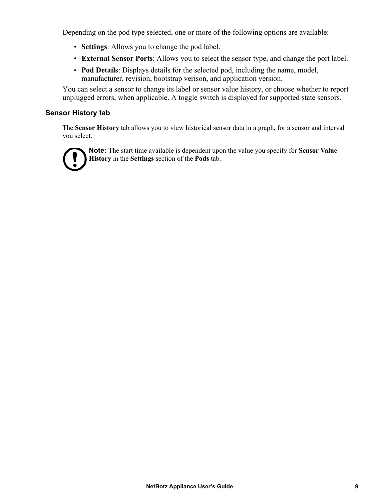Depending on the pod type selected, one or more of the following options are available:

- **Settings**: Allows you to change the pod label.
- **External Sensor Ports**: Allows you to select the sensor type, and change the port label.
- **Pod Details**: Displays details for the selected pod, including the name, model, manufacturer, revision, bootstrap verison, and application version.

You can select a sensor to change its label or sensor value history, or choose whether to report unplugged errors, when applicable. A toggle switch is displayed for supported state sensors.

### <span id="page-17-0"></span>**Sensor History tab**

The **Sensor History** tab allows you to view historical sensor data in a graph, for a sensor and interval you select.



**Note:** The start time available is dependent upon the value you specify for **Sensor Value History** in the **Settings** section of the **Pods** tab.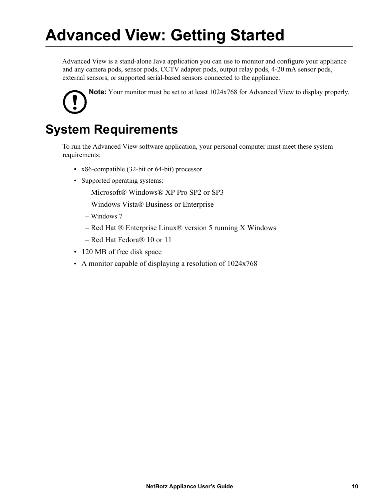# <span id="page-18-0"></span>**Advanced View: Getting Started**

Advanced View is a stand-alone Java application you can use to monitor and configure your appliance and any camera pods, sensor pods, CCTV adapter pods, output relay pods, 4-20 mA sensor pods, external sensors, or supported serial-based sensors connected to the appliance.

**Note:** Your monitor must be set to at least 1024x768 for Advanced View to display properly.

### **System Requirements**

To run the Advanced View software application, your personal computer must meet these system requirements:

- x86-compatible (32-bit or 64-bit) processor
- Supported operating systems:
	- Microsoft® Windows® XP Pro SP2 or SP3
	- Windows Vista® Business or Enterprise
	- Windows 7
	- Red Hat ® Enterprise Linux® version 5 running X Windows
	- Red Hat Fedora® 10 or 11
- 120 MB of free disk space
- A monitor capable of displaying a resolution of 1024x768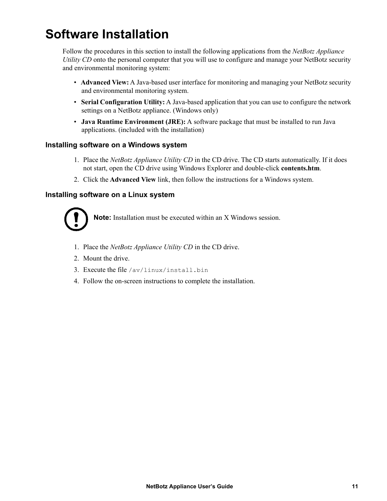# **Software Installation**

Follow the procedures in this section to install the following applications from the *NetBotz Appliance Utility CD* onto the personal computer that you will use to configure and manage your NetBotz security and environmental monitoring system:

- **Advanced View:** A Java-based user interface for monitoring and managing your NetBotz security and environmental monitoring system.
- **Serial Configuration Utility:** A Java-based application that you can use to configure the network settings on a NetBotz appliance. (Windows only)
- **Java Runtime Environment (JRE):** A software package that must be installed to run Java applications. (included with the installation)

#### <span id="page-19-0"></span>**Installing software on a Windows system**

- 1. Place the *NetBotz Appliance Utility CD* in the CD drive. The CD starts automatically. If it does not start, open the CD drive using Windows Explorer and double-click **contents.htm**.
- 2. Click the **Advanced View** link, then follow the instructions for a Windows system.

### **Installing software on a Linux system**



**Note:** Installation must be executed within an X Windows session.

- 1. Place the *NetBotz Appliance Utility CD* in the CD drive.
- 2. Mount the drive.
- 3. Execute the file /av/linux/install.bin
- 4. Follow the on-screen instructions to complete the installation.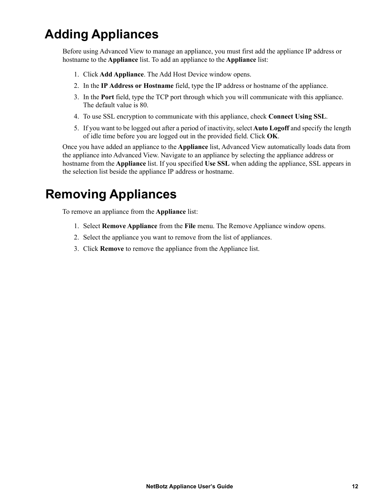# <span id="page-20-0"></span>**Adding Appliances**

Before using Advanced View to manage an appliance, you must first add the appliance IP address or hostname to the **Appliance** list. To add an appliance to the **Appliance** list:

- 1. Click **Add Appliance**. The Add Host Device window opens.
- 2. In the **IP Address or Hostname** field, type the IP address or hostname of the appliance.
- 3. In the **Port** field, type the TCP port through which you will communicate with this appliance. The default value is 80.
- 4. To use SSL encryption to communicate with this appliance, check **Connect Using SSL**.
- 5. If you want to be logged out after a period of inactivity, select **Auto Logoff** and specify the length of idle time before you are logged out in the provided field. Click **OK**.

Once you have added an appliance to the **Appliance** list, Advanced View automatically loads data from the appliance into Advanced View. Navigate to an appliance by selecting the appliance address or hostname from the **Appliance** list. If you specified **Use SSL** when adding the appliance, SSL appears in the selection list beside the appliance IP address or hostname.

### <span id="page-20-1"></span>**Removing Appliances**

To remove an appliance from the **Appliance** list:

- 1. Select **Remove Appliance** from the **File** menu. The Remove Appliance window opens.
- 2. Select the appliance you want to remove from the list of appliances.
- 3. Click **Remove** to remove the appliance from the Appliance list.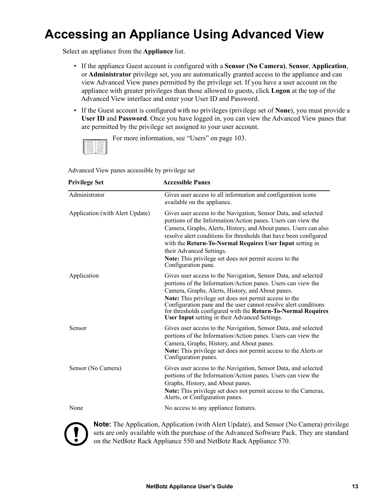## <span id="page-21-0"></span>**Accessing an Appliance Using Advanced View**

Select an appliance from the **Appliance** list.

- If the appliance Guest account is configured with a **Sensor (No Camera)**, **Sensor**, **Application**, or **Administrator** privilege set, you are automatically granted access to the appliance and can view Advanced View panes permitted by the privilege set. If you have a user account on the appliance with greater privileges than those allowed to guests, click **Logon** at the top of the Advanced View interface and enter your User ID and Password.
- If the Guest account is configured with no privileges (privilege set of **None**), you must provide a **User ID** and **Password**. Once you have logged in, you can view the Advanced View panes that are permitted by the privilege set assigned to your user account.

For more information, see ["Users" on page 103](#page-111-2).

Advanced View panes accessible by privilege set

| <b>Privilege Set</b>            | <b>Accessible Panes</b>                                                                                                                                                                                                                                                                                                                                                                                                                          |  |
|---------------------------------|--------------------------------------------------------------------------------------------------------------------------------------------------------------------------------------------------------------------------------------------------------------------------------------------------------------------------------------------------------------------------------------------------------------------------------------------------|--|
| Administrator                   | Gives user access to all information and configuration icons<br>available on the appliance.                                                                                                                                                                                                                                                                                                                                                      |  |
| Application (with Alert Update) | Gives user access to the Navigation, Sensor Data, and selected<br>portions of the Information/Action panes. Users can view the<br>Camera, Graphs, Alerts, History, and About panes. Users can also<br>resolve alert conditions for thresholds that have been configured<br>with the Return-To-Normal Requires User Input setting in<br>their Advanced Settings.<br>Note: This privilege set does not permit access to the<br>Configuration pane. |  |
| Application                     | Gives user access to the Navigation, Sensor Data, and selected<br>portions of the Information/Action panes. Users can view the<br>Camera, Graphs, Alerts, History, and About panes.<br>Note: This privilege set does not permit access to the<br>Configuration pane and the user cannot resolve alert conditions<br>for thresholds configured with the Return-To-Normal Requires<br><b>User Input setting in their Advanced Settings.</b>        |  |
| Sensor                          | Gives user access to the Navigation, Sensor Data, and selected<br>portions of the Information/Action panes. Users can view the<br>Camera, Graphs, History, and About panes.<br>Note: This privilege set does not permit access to the Alerts or<br>Configuration panes.                                                                                                                                                                          |  |
| Sensor (No Camera)              | Gives user access to the Navigation, Sensor Data, and selected<br>portions of the Information/Action panes. Users can view the<br>Graphs, History, and About panes.<br>Note: This privilege set does not permit access to the Cameras,<br>Alerts, or Configuration panes.                                                                                                                                                                        |  |
| None                            | No access to any appliance features.                                                                                                                                                                                                                                                                                                                                                                                                             |  |



**Note:** The Application, Application (with Alert Update), and Sensor (No Camera) privilege sets are only available with the purchase of the Advanced Software Pack. They are standard on the NetBotz Rack Appliance 550 and NetBotz Rack Appliance 570.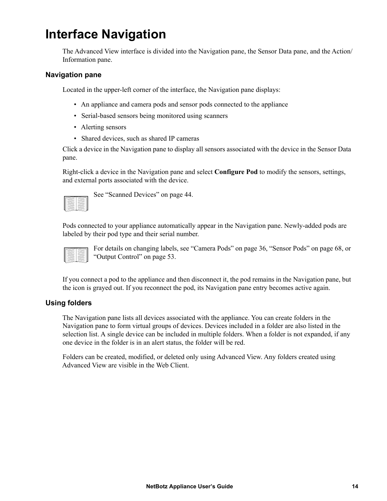### <span id="page-22-0"></span>**Interface Navigation**

The Advanced View interface is divided into the Navigation pane, the Sensor Data pane, and the Action/ Information pane.

#### <span id="page-22-1"></span>**Navigation pane**

Located in the upper-left corner of the interface, the Navigation pane displays:

- An appliance and camera pods and sensor pods connected to the appliance
- Serial-based sensors being monitored using scanners
- Alerting sensors
- Shared devices, such as shared IP cameras

Click a device in the Navigation pane to display all sensors associated with the device in the Sensor Data pane.

Right-click a device in the Navigation pane and select **Configure Pod** to modify the sensors, settings, and external ports associated with the device.



See ["Scanned Devices" on page 44](#page-52-1).

Pods connected to your appliance automatically appear in the Navigation pane. Newly-added pods are labeled by their pod type and their serial number.

| ٠ |  |
|---|--|

For details on changing labels, see ["Camera Pods" on page 36,](#page-44-2) ["Sensor Pods" on page 68,](#page-76-1) or ["Output Control" on page 53.](#page-61-4)

If you connect a pod to the appliance and then disconnect it, the pod remains in the Navigation pane, but the icon is grayed out. If you reconnect the pod, its Navigation pane entry becomes active again.

#### **Using folders**

The Navigation pane lists all devices associated with the appliance. You can create folders in the Navigation pane to form virtual groups of devices. Devices included in a folder are also listed in the selection list. A single device can be included in multiple folders. When a folder is not expanded, if any one device in the folder is in an alert status, the folder will be red.

Folders can be created, modified, or deleted only using Advanced View. Any folders created using Advanced View are visible in the Web Client.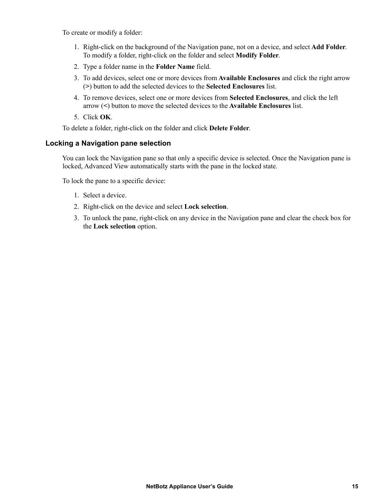To create or modify a folder:

- 1. Right-click on the background of the Navigation pane, not on a device, and select **Add Folder**. To modify a folder, right-click on the folder and select **Modify Folder**.
- 2. Type a folder name in the **Folder Name** field.
- 3. To add devices, select one or more devices from **Available Enclosures** and click the right arrow (**>**) button to add the selected devices to the **Selected Enclosures** list.
- 4. To remove devices, select one or more devices from **Selected Enclosures**, and click the left arrow (**<**) button to move the selected devices to the **Available Enclosures** list.
- 5. Click **OK**.

To delete a folder, right-click on the folder and click **Delete Folder**.

#### <span id="page-23-0"></span>**Locking a Navigation pane selection**

You can lock the Navigation pane so that only a specific device is selected. Once the Navigation pane is locked, Advanced View automatically starts with the pane in the locked state.

To lock the pane to a specific device:

- 1. Select a device.
- 2. Right-click on the device and select **Lock selection**.
- 3. To unlock the pane, right-click on any device in the Navigation pane and clear the check box for the **Lock selection** option.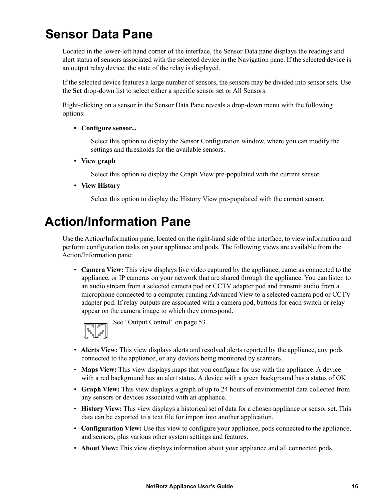### <span id="page-24-0"></span>**Sensor Data Pane**

Located in the lower-left hand corner of the interface, the Sensor Data pane displays the readings and alert status of sensors associated with the selected device in the Navigation pane. If the selected device is an output relay device, the state of the relay is displayed.

If the selected device features a large number of sensors, the sensors may be divided into sensor sets*.* Use the **Set** drop-down list to select either a specific sensor set or All Sensors.

Right-clicking on a sensor in the Sensor Data Pane reveals a drop-down menu with the following options:

#### **• Configure sensor...**

Select this option to display the Sensor Configuration window, where you can modify the settings and thresholds for the available sensors.

**• View graph**

Select this option to display the Graph View pre-populated with the current sensor.

**• View History**

Select this option to display the History View pre-populated with the current sensor.

### <span id="page-24-1"></span>**Action/Information Pane**

Use the Action/Information pane, located on the right-hand side of the interface, to view information and perform configuration tasks on your appliance and pods. The following views are available from the Action/Information pane:

• **Camera View:** This view displays live video captured by the appliance, cameras connected to the appliance, or IP cameras on your network that are shared through the appliance. You can listen to an audio stream from a selected camera pod or CCTV adapter pod and transmit audio from a microphone connected to a computer running Advanced View to a selected camera pod or CCTV adapter pod. If relay outputs are associated with a camera pod, buttons for each switch or relay appear on the camera image to which they correspond.



See ["Output Control" on page 53](#page-61-4).

- **Alerts View:** This view displays alerts and resolved alerts reported by the appliance, any pods connected to the appliance, or any devices being monitored by scanners.
- **Maps View:** This view displays maps that you configure for use with the appliance. A device with a red background has an alert status. A device with a green background has a status of OK.
- **Graph View:** This view displays a graph of up to 24 hours of environmental data collected from any sensors or devices associated with an appliance.
- **History View:** This view displays a historical set of data for a chosen appliance or sensor set. This data can be exported to a text file for import into another application.
- **Configuration View:** Use this view to configure your appliance, pods connected to the appliance, and sensors, plus various other system settings and features.
- **About View:** This view displays information about your appliance and all connected pods.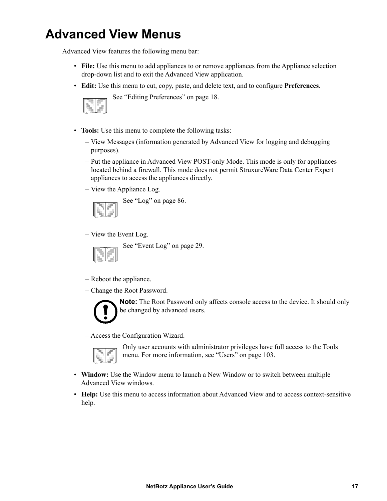### <span id="page-25-0"></span>**Advanced View Menus**

Advanced View features the following menu bar:

- **File:** Use this menu to add appliances to or remove appliances from the Appliance selection drop-down list and to exit the Advanced View application.
- **Edit:** Use this menu to cut, copy, paste, and delete text, and to configure **Preferences**.

See ["Editing Preferences" on page 18.](#page-26-1)

- **Tools:** Use this menu to complete the following tasks:
	- View Messages (information generated by Advanced View for logging and debugging purposes).
	- Put the appliance in Advanced View POST-only Mode. This mode is only for appliances located behind a firewall. This mode does not permit StruxureWare Data Center Expert appliances to access the appliances directly.
	- View the Appliance Log.



See ["Log" on page 86.](#page-94-3)

– View the Event Log.



See ["Event Log" on page 29](#page-37-1).

- Reboot the appliance.
- Change the Root Password.



**Note:** The Root Password only affects console access to the device. It should only be changed by advanced users.

– Access the Configuration Wizard.



Only user accounts with administrator privileges have full access to the Tools menu. For more information, see ["Users" on page 103.](#page-111-2)

- **Window:** Use the Window menu to launch a New Window or to switch between multiple Advanced View windows.
- **Help:** Use this menu to access information about Advanced View and to access context-sensitive help.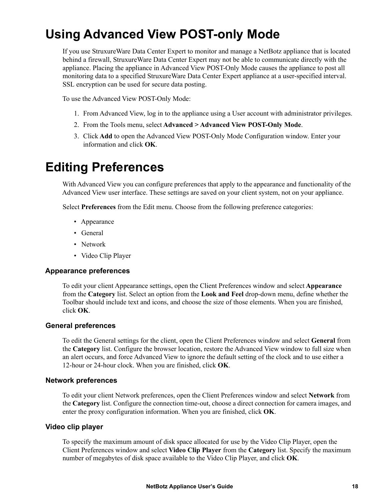## <span id="page-26-0"></span>**Using Advanced View POST-only Mode**

If you use StruxureWare Data Center Expert to monitor and manage a NetBotz appliance that is located behind a firewall, StruxureWare Data Center Expert may not be able to communicate directly with the appliance. Placing the appliance in Advanced View POST-Only Mode causes the appliance to post all monitoring data to a specified StruxureWare Data Center Expert appliance at a user-specified interval. SSL encryption can be used for secure data posting.

To use the Advanced View POST-Only Mode:

- 1. From Advanced View, log in to the appliance using a User account with administrator privileges.
- 2. From the Tools menu, select **Advanced > Advanced View POST-Only Mode**.
- 3. Click **Add** to open the Advanced View POST-Only Mode Configuration window. Enter your information and click **OK**.

### <span id="page-26-1"></span>**Editing Preferences**

With Advanced View you can configure preferences that apply to the appearance and functionality of the Advanced View user interface. These settings are saved on your client system, not on your appliance.

Select **Preferences** from the Edit menu. Choose from the following preference categories:

- Appearance
- General
- Network
- Video Clip Player

#### <span id="page-26-2"></span>**Appearance preferences**

To edit your client Appearance settings, open the Client Preferences window and select **Appearance** from the **Category** list. Select an option from the **Look and Feel** drop-down menu, define whether the Toolbar should include text and icons, and choose the size of those elements. When you are finished, click **OK**.

#### **General preferences**

To edit the General settings for the client, open the Client Preferences window and select **General** from the **Category** list. Configure the browser location, restore the Advanced View window to full size when an alert occurs, and force Advanced View to ignore the default setting of the clock and to use either a 12-hour or 24-hour clock. When you are finished, click **OK**.

#### <span id="page-26-3"></span>**Network preferences**

To edit your client Network preferences, open the Client Preferences window and select **Network** from the **Category** list. Configure the connection time-out, choose a direct connection for camera images, and enter the proxy configuration information. When you are finished, click **OK**.

#### **Video clip player**

To specify the maximum amount of disk space allocated for use by the Video Clip Player, open the Client Preferences window and select **Video Clip Player** from the **Category** list. Specify the maximum number of megabytes of disk space available to the Video Clip Player, and click **OK**.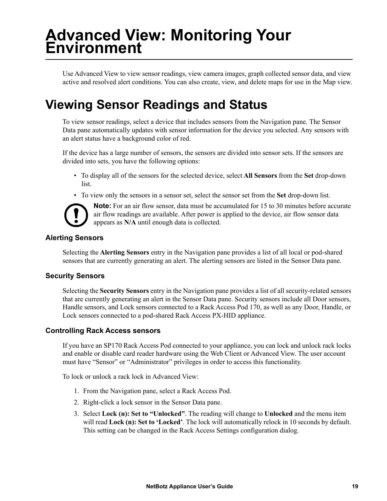# <span id="page-27-0"></span>**Advanced View: Monitoring Your Environment**

Use Advanced View to view sensor readings, view camera images, graph collected sensor data, and view active and resolved alert conditions. You can also create, view, and delete maps for use in the Map view.

## <span id="page-27-1"></span>**Viewing Sensor Readings and Status**

To view sensor readings, select a device that includes sensors from the Navigation pane. The Sensor Data pane automatically updates with sensor information for the device you selected. Any sensors with an alert status have a background color of red.

If the device has a large number of sensors, the sensors are divided into sensor sets. If the sensors are divided into sets, you have the following options:

- To display all of the sensors for the selected device, select **All Sensors** from the **Set** drop-down list.
- To view only the sensors in a sensor set, select the sensor set from the **Set** drop-down list.



**Note:** For an air flow sensor, data must be accumulated for 15 to 30 minutes before accurate air flow readings are available. After power is applied to the device, air flow sensor data appears as **N/A** until enough data is collected.

### **Alerting Sensors**

Selecting the **Alerting Sensors** entry in the Navigation pane provides a list of all local or pod-shared sensors that are currently generating an alert. The alerting sensors are listed in the Sensor Data pane.

### <span id="page-27-2"></span>**Security Sensors**

Selecting the **Security Sensors** entry in the Navigation pane provides a list of all security-related sensors that are currently generating an alert in the Sensor Data pane. Security sensors include all Door sensors, Handle sensors, and Lock sensors connected to a Rack Access Pod 170, as well as any Door, Handle, or Lock sensors connected to a pod-shared Rack Access PX-HID appliance.

### <span id="page-27-3"></span>**Controlling Rack Access sensors**

If you have an SP170 Rack Access Pod connected to your appliance, you can lock and unlock rack locks and enable or disable card reader hardware using the Web Client or Advanced View. The user account must have "Sensor" or "Administrator" privileges in order to access this functionality.

To lock or unlock a rack lock in Advanced View:

- 1. From the Navigation pane, select a Rack Access Pod.
- 2. Right-click a lock sensor in the Sensor Data pane.
- 3. Select **Lock (n): Set to "Unlocked"**. The reading will change to **Unlocked** and the menu item will read **Lock (n): Set to 'Locked'**. The lock will automatically relock in 10 seconds by default. This setting can be changed in the Rack Access Settings configuration dialog.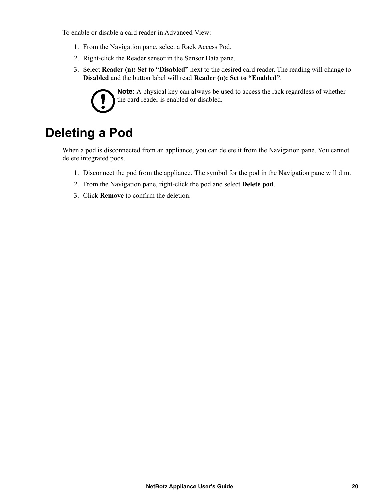To enable or disable a card reader in Advanced View:

- 1. From the Navigation pane, select a Rack Access Pod.
- 2. Right-click the Reader sensor in the Sensor Data pane.
- 3. Select **Reader (n): Set to "Disabled"** next to the desired card reader. The reading will change to **Disabled** and the button label will read **Reader (n): Set to "Enabled"**.



**Note:** A physical key can always be used to access the rack regardless of whether the card reader is enabled or disabled.

### <span id="page-28-0"></span>**Deleting a Pod**

When a pod is disconnected from an appliance, you can delete it from the Navigation pane. You cannot delete integrated pods.

- 1. Disconnect the pod from the appliance. The symbol for the pod in the Navigation pane will dim.
- 2. From the Navigation pane, right-click the pod and select **Delete pod**.
- 3. Click **Remove** to confirm the deletion.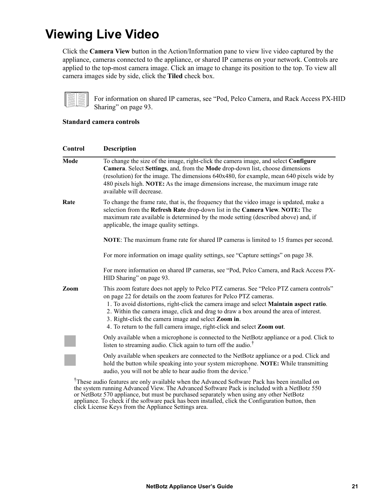### <span id="page-29-0"></span>**Viewing Live Video**

Click the **Camera View** button in the Action/Information pane to view live video captured by the appliance, cameras connected to the appliance, or shared IP cameras on your network. Controls are applied to the top-most camera image. Click an image to change its position to the top. To view all camera images side by side, click the **Tiled** check box.



For information on shared IP cameras, see ["Pod, Pelco Camera, and Rack Access PX-HID](#page-101-0)  [Sharing" on page 93](#page-101-0).

#### **Standard camera controls**

| Control | <b>Description</b>                                                                                                                                                                                                                                                                                                                                                                                                                                                                                 |  |  |
|---------|----------------------------------------------------------------------------------------------------------------------------------------------------------------------------------------------------------------------------------------------------------------------------------------------------------------------------------------------------------------------------------------------------------------------------------------------------------------------------------------------------|--|--|
| Mode    | To change the size of the image, right-click the camera image, and select Configure<br>Camera. Select Settings, and, from the Mode drop-down list, choose dimensions<br>(resolution) for the image. The dimensions $640x480$ , for example, mean $640$ pixels wide by<br>480 pixels high. NOTE: As the image dimensions increase, the maximum image rate<br>available will decrease.                                                                                                               |  |  |
| Rate    | To change the frame rate, that is, the frequency that the video image is updated, make a<br>selection from the Refresh Rate drop-down list in the Camera View. NOTE: The<br>maximum rate available is determined by the mode setting (described above) and, if<br>applicable, the image quality settings.                                                                                                                                                                                          |  |  |
|         | <b>NOTE:</b> The maximum frame rate for shared IP cameras is limited to 15 frames per second.                                                                                                                                                                                                                                                                                                                                                                                                      |  |  |
|         | For more information on image quality settings, see "Capture settings" on page 38.                                                                                                                                                                                                                                                                                                                                                                                                                 |  |  |
|         | For more information on shared IP cameras, see "Pod, Pelco Camera, and Rack Access PX-<br>HID Sharing" on page 93.                                                                                                                                                                                                                                                                                                                                                                                 |  |  |
| Zoom    | This zoom feature does not apply to Pelco PTZ cameras. See "Pelco PTZ camera controls"<br>on page 22 for details on the zoom features for Pelco PTZ cameras.<br>1. To avoid distortions, right-click the camera image and select <b>Maintain aspect ratio</b> .<br>2. Within the camera image, click and drag to draw a box around the area of interest.<br>3. Right-click the camera image and select Zoom in.<br>4. To return to the full camera image, right-click and select <b>Zoom out</b> . |  |  |
|         | Only available when a microphone is connected to the NetBotz appliance or a pod. Click to<br>listen to streaming audio. Click again to turn off the audio. <sup>†</sup>                                                                                                                                                                                                                                                                                                                            |  |  |
|         | Only available when speakers are connected to the NetBotz appliance or a pod. Click and<br>hold the button while speaking into your system microphone. NOTE: While transmitting<br>audio, you will not be able to hear audio from the device. <sup>†</sup>                                                                                                                                                                                                                                         |  |  |
|         | $^{\dagger}$ There is the Continue one calculated that the discretion $A$ at $\alpha$ . $\alpha$ and $\alpha$ and $\alpha$ is the continuation of the discrete $\alpha$                                                                                                                                                                                                                                                                                                                            |  |  |

<sup>†</sup>These audio features are only available when the Advanced Software Pack has been installed on the system running Advanced View. The Advanced Software Pack is included with a NetBotz 550 or NetBotz 570 appliance, but must be purchased separately when using any other NetBotz appliance. To check if the software pack has been installed, click the Configuration button, then click License Keys from the Appliance Settings area.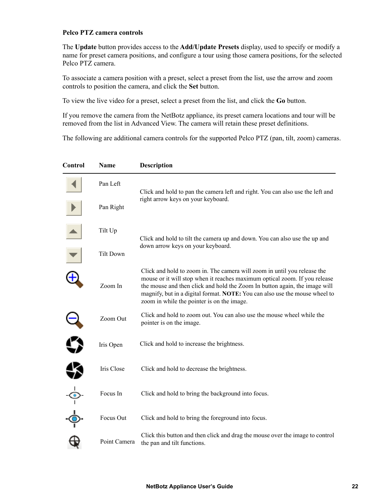#### <span id="page-30-0"></span>**Pelco PTZ camera controls**

The **Update** button provides access to the **Add/Update Presets** display, used to specify or modify a name for preset camera positions, and configure a tour using those camera positions, for the selected Pelco PTZ camera.

To associate a camera position with a preset, select a preset from the list, use the arrow and zoom controls to position the camera, and click the **Set** button.

To view the live video for a preset, select a preset from the list, and click the **Go** button.

If you remove the camera from the NetBotz appliance, its preset camera locations and tour will be removed from the list in Advanced View. The camera will retain these preset definitions.

The following are additional camera controls for the supported Pelco PTZ (pan, tilt, zoom) cameras.

| Control       | Name             | <b>Description</b>                                                                                                                                                                                                                                                                                                                                                |
|---------------|------------------|-------------------------------------------------------------------------------------------------------------------------------------------------------------------------------------------------------------------------------------------------------------------------------------------------------------------------------------------------------------------|
|               | Pan Left         | Click and hold to pan the camera left and right. You can also use the left and<br>right arrow keys on your keyboard.                                                                                                                                                                                                                                              |
|               | Pan Right        |                                                                                                                                                                                                                                                                                                                                                                   |
|               | Tilt Up          | Click and hold to tilt the camera up and down. You can also use the up and<br>down arrow keys on your keyboard.                                                                                                                                                                                                                                                   |
|               | <b>Tilt Down</b> |                                                                                                                                                                                                                                                                                                                                                                   |
|               | Zoom In          | Click and hold to zoom in. The camera will zoom in until you release the<br>mouse or it will stop when it reaches maximum optical zoom. If you release<br>the mouse and then click and hold the Zoom In button again, the image will<br>magnify, but in a digital format. NOTE: You can also use the mouse wheel to<br>zoom in while the pointer is on the image. |
|               | Zoom Out         | Click and hold to zoom out. You can also use the mouse wheel while the<br>pointer is on the image.                                                                                                                                                                                                                                                                |
|               | Iris Open        | Click and hold to increase the brightness.                                                                                                                                                                                                                                                                                                                        |
|               | Iris Close       | Click and hold to decrease the brightness.                                                                                                                                                                                                                                                                                                                        |
| $\frac{1}{2}$ | Focus In         | Click and hold to bring the background into focus.                                                                                                                                                                                                                                                                                                                |
|               | Focus Out        | Click and hold to bring the foreground into focus.                                                                                                                                                                                                                                                                                                                |
|               | Point Camera     | Click this button and then click and drag the mouse over the image to control<br>the pan and tilt functions.                                                                                                                                                                                                                                                      |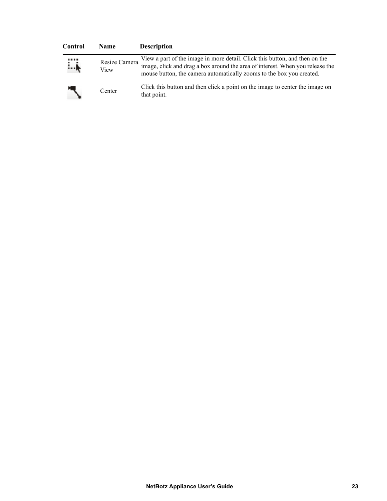| Control | <b>Name</b>           | <b>Description</b>                                                                                                                                                                                                                   |
|---------|-----------------------|--------------------------------------------------------------------------------------------------------------------------------------------------------------------------------------------------------------------------------------|
| <br>∔…  | Resize Camera<br>View | View a part of the image in more detail. Click this button, and then on the<br>image, click and drag a box around the area of interest. When you release the<br>mouse button, the camera automatically zooms to the box you created. |
|         | Center                | Click this button and then click a point on the image to center the image on<br>that point.                                                                                                                                          |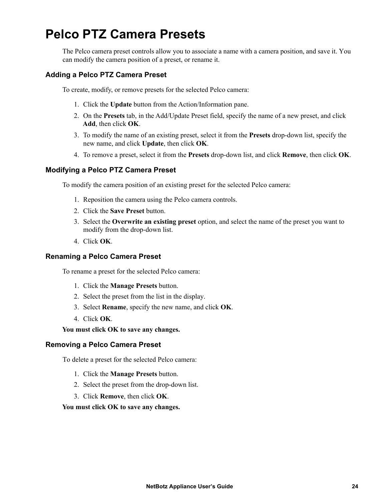## <span id="page-32-0"></span>**Pelco PTZ Camera Presets**

The Pelco camera preset controls allow you to associate a name with a camera position, and save it. You can modify the camera position of a preset, or rename it.

### <span id="page-32-1"></span>**Adding a Pelco PTZ Camera Preset**

To create, modify, or remove presets for the selected Pelco camera:

- 1. Click the **Update** button from the Action/Information pane.
- 2. On the **Presets** tab, in the Add/Update Preset field, specify the name of a new preset, and click **Add**, then click **OK**.
- 3. To modify the name of an existing preset, select it from the **Presets** drop-down list, specify the new name, and click **Update**, then click **OK**.
- 4. To remove a preset, select it from the **Presets** drop-down list, and click **Remove**, then click **OK**.

#### **Modifying a Pelco PTZ Camera Preset**

To modify the camera position of an existing preset for the selected Pelco camera:

- 1. Reposition the camera using the Pelco camera controls.
- 2. Click the **Save Preset** button.
- 3. Select the **Overwrite an existing preset** option, and select the name of the preset you want to modify from the drop-down list.
- 4. Click **OK**.

#### <span id="page-32-2"></span>**Renaming a Pelco Camera Preset**

To rename a preset for the selected Pelco camera:

- 1. Click the **Manage Presets** button.
- 2. Select the preset from the list in the display.
- 3. Select **Rename**, specify the new name, and click **OK**.
- 4. Click **OK**.

#### **You must click OK to save any changes.**

#### **Removing a Pelco Camera Preset**

To delete a preset for the selected Pelco camera:

- 1. Click the **Manage Presets** button.
- 2. Select the preset from the drop-down list.
- 3. Click **Remove**, then click **OK**.

**You must click OK to save any changes.**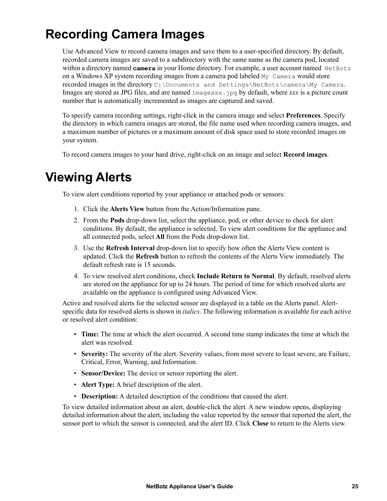# **Recording Camera Images**

Use Advanced View to record camera images and save them to a user-specified directory. By default, recorded camera images are saved to a subdirectory with the same name as the camera pod, located within a directory named **camera** in your Home directory. For example, a user account named NetBotz on a Windows XP system recording images from a camera pod labeled My Camera would store recorded images in the directory C:\Documents and Settings\NetBotz\camera\My Camera. Images are stored as JPG files, and are named imagexxx.jpg by default, where *xxx* is a picture count number that is automatically incremented as images are captured and saved.

To specify camera recording settings, right-click in the camera image and select **Preferences**. Specify the directory in which camera images are stored, the file name used when recording camera images, and a maximum number of pictures or a maximum amount of disk space used to store recorded images on your system.

To record camera images to your hard drive, right-click on an image and select **Record images**.

### **Viewing Alerts**

To view alert conditions reported by your appliance or attached pods or sensors:

- 1. Click the **Alerts View** button from the Action/Information pane.
- 2. From the **Pods** drop-down list, select the appliance, pod, or other device to check for alert conditions. By default, the appliance is selected. To view alert conditions for the appliance and all connected pods, select **All** from the Pods drop-down list.
- 3. Use the **Refresh Interval** drop-down list to specify how often the Alerts View content is updated. Click the **Refresh** button to refresh the contents of the Alerts View immediately. The default refresh rate is 15 seconds.
- 4. To view resolved alert conditions, check **Include Return to Normal**. By default, resolved alerts are stored on the appliance for up to 24 hours. The period of time for which resolved alerts are available on the appliance is configured using Advanced View.

Active and resolved alerts for the selected sensor are displayed in a table on the Alerts panel. Alertspecific data for resolved alerts is shown in *italics*. The following information is available for each active or resolved alert condition:

- **Time:** The time at which the alert occurred. A second time stamp indicates the time at which the alert was resolved.
- **Severity:** The severity of the alert. Severity values, from most severe to least severe, are Failure, Critical, Error, Warning, and Information.
- **Sensor/Device:** The device or sensor reporting the alert.
- **Alert Type:** A brief description of the alert.
- **Description:** A detailed description of the conditions that caused the alert.

To view detailed information about an alert, double-click the alert. A new window opens, displaying detailed information about the alert, including the value reported by the sensor that reported the alert, the sensor port to which the sensor is connected, and the alert ID. Click **Close** to return to the Alerts view.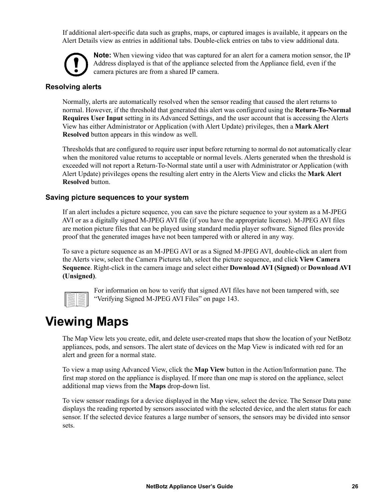If additional alert-specific data such as graphs, maps, or captured images is available, it appears on the Alert Details view as entries in additional tabs. Double-click entries on tabs to view additional data.



**Note:** When viewing video that was captured for an alert for a camera motion sensor, the IP Address displayed is that of the appliance selected from the Appliance field, even if the camera pictures are from a shared IP camera.

#### **Resolving alerts**

Normally, alerts are automatically resolved when the sensor reading that caused the alert returns to normal. However, if the threshold that generated this alert was configured using the **Return-To-Normal Requires User Input** setting in its Advanced Settings, and the user account that is accessing the Alerts View has either Administrator or Application (with Alert Update) privileges, then a **Mark Alert Resolved** button appears in this window as well.

Thresholds that are configured to require user input before returning to normal do not automatically clear when the monitored value returns to acceptable or normal levels. Alerts generated when the threshold is exceeded will not report a Return-To-Normal state until a user with Administrator or Application (with Alert Update) privileges opens the resulting alert entry in the Alerts View and clicks the **Mark Alert Resolved** button.

#### **Saving picture sequences to your system**

If an alert includes a picture sequence, you can save the picture sequence to your system as a M-JPEG AVI or as a digitally signed M-JPEG AVI file (if you have the appropriate license). M-JPEG AVI files are motion picture files that can be played using standard media player software. Signed files provide proof that the generated images have not been tampered with or altered in any way.

To save a picture sequence as an M-JPEG AVI or as a Signed M-JPEG AVI, double-click an alert from the Alerts view, select the Camera Pictures tab, select the picture sequence, and click **View Camera Sequence**. Right-click in the camera image and select either **Download AVI (Signed)** or **Download AVI (Unsigned)**.



For information on how to verify that signed AVI files have not been tampered with, see ["Verifying Signed M-JPEG AVI Files" on page 143.](#page-151-2)

### <span id="page-34-0"></span>**Viewing Maps**

The Map View lets you create, edit, and delete user-created maps that show the location of your NetBotz appliances, pods, and sensors. The alert state of devices on the Map View is indicated with red for an alert and green for a normal state.

To view a map using Advanced View, click the **Map View** button in the Action/Information pane. The first map stored on the appliance is displayed. If more than one map is stored on the appliance, select additional map views from the **Maps** drop-down list.

To view sensor readings for a device displayed in the Map view, select the device. The Sensor Data pane displays the reading reported by sensors associated with the selected device, and the alert status for each sensor. If the selected device features a large number of sensors, the sensors may be divided into sensor sets.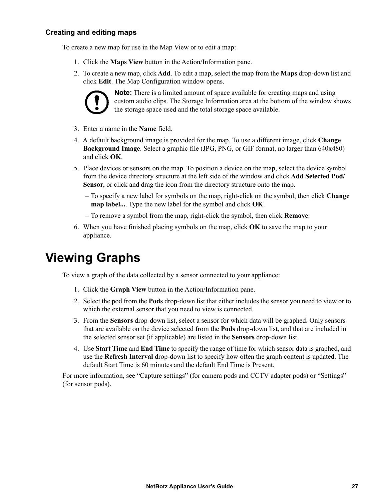### <span id="page-35-0"></span>**Creating and editing maps**

To create a new map for use in the Map View or to edit a map:

- 1. Click the **Maps View** button in the Action/Information pane.
- 2. To create a new map, click **Add**. To edit a map, select the map from the **Maps** drop-down list and click **Edit**. The Map Configuration window opens.



**Note:** There is a limited amount of space available for creating maps and using custom audio clips. The Storage Information area at the bottom of the window shows the storage space used and the total storage space available.

- 3. Enter a name in the **Name** field.
- 4. A default background image is provided for the map. To use a different image, click **Change Background Image**. Select a graphic file (JPG, PNG, or GIF format, no larger than 640x480) and click **OK**.
- 5. Place devices or sensors on the map. To position a device on the map, select the device symbol from the device directory structure at the left side of the window and click **Add Selected Pod/ Sensor**, or click and drag the icon from the directory structure onto the map.
	- To specify a new label for symbols on the map, right-click on the symbol, then click **Change map label...**. Type the new label for the symbol and click **OK**.
	- To remove a symbol from the map, right-click the symbol, then click **Remove**.
- 6. When you have finished placing symbols on the map, click **OK** to save the map to your appliance.

### <span id="page-35-1"></span>**Viewing Graphs**

To view a graph of the data collected by a sensor connected to your appliance:

- 1. Click the **Graph View** button in the Action/Information pane.
- 2. Select the pod from the **Pods** drop-down list that either includes the sensor you need to view or to which the external sensor that you need to view is connected.
- 3. From the **Sensors** drop-down list, select a sensor for which data will be graphed. Only sensors that are available on the device selected from the **Pods** drop-down list, and that are included in the selected sensor set (if applicable) are listed in the **Sensors** drop-down list.
- 4. Use **Start Time** and **End Time** to specify the range of time for which sensor data is graphed, and use the **Refresh Interval** drop-down list to specify how often the graph content is updated. The default Start Time is 60 minutes and the default End Time is Present.

For more information, see "Capture settings" (for camera pods and CCTV adapter pods) or "Settings" (for sensor pods).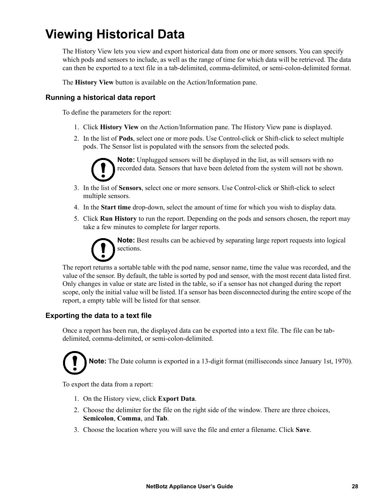## **Viewing Historical Data**

The History View lets you view and export historical data from one or more sensors. You can specify which pods and sensors to include, as well as the range of time for which data will be retrieved. The data can then be exported to a text file in a tab-delimited, comma-delimited, or semi-colon-delimited format.

The **History View** button is available on the Action/Information pane.

#### **Running a historical data report**

To define the parameters for the report:

- 1. Click **History View** on the Action/Information pane. The History View pane is displayed.
- 2. In the list of **Pods**, select one or more pods. Use Control-click or Shift-click to select multiple pods. The Sensor list is populated with the sensors from the selected pods.



**Note:** Unplugged sensors will be displayed in the list, as will sensors with no recorded data. Sensors that have been deleted from the system will not be shown.

- 3. In the list of **Sensors**, select one or more sensors. Use Control-click or Shift-click to select multiple sensors.
- 4. In the **Start time** drop-down, select the amount of time for which you wish to display data.
- 5. Click **Run History** to run the report. Depending on the pods and sensors chosen, the report may take a few minutes to complete for larger reports.

**Note:** Best results can be achieved by separating large report requests into logical sections.

The report returns a sortable table with the pod name, sensor name, time the value was recorded, and the value of the sensor. By default, the table is sorted by pod and sensor, with the most recent data listed first. Only changes in value or state are listed in the table, so if a sensor has not changed during the report scope, only the initial value will be listed. If a sensor has been disconnected during the entire scope of the report, a empty table will be listed for that sensor.

#### **Exporting the data to a text file**

Once a report has been run, the displayed data can be exported into a text file. The file can be tabdelimited, comma-delimited, or semi-colon-delimited.

**Note:** The Date column is exported in a 13-digit format (milliseconds since January 1st, 1970).

To export the data from a report:

- 1. On the History view, click **Export Data**.
- 2. Choose the delimiter for the file on the right side of the window. There are three choices, **Semicolon**, **Comma**, and **Tab**.
- 3. Choose the location where you will save the file and enter a filename. Click **Save**.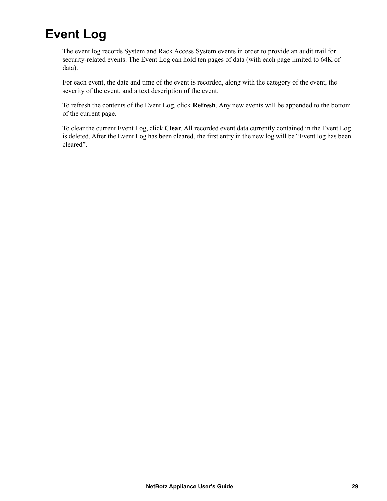# **Event Log**

The event log records System and Rack Access System events in order to provide an audit trail for security-related events. The Event Log can hold ten pages of data (with each page limited to 64K of data).

For each event, the date and time of the event is recorded, along with the category of the event, the severity of the event, and a text description of the event.

To refresh the contents of the Event Log, click **Refresh**. Any new events will be appended to the bottom of the current page.

To clear the current Event Log, click **Clear**. All recorded event data currently contained in the Event Log is deleted. After the Event Log has been cleared, the first entry in the new log will be "Event log has been cleared".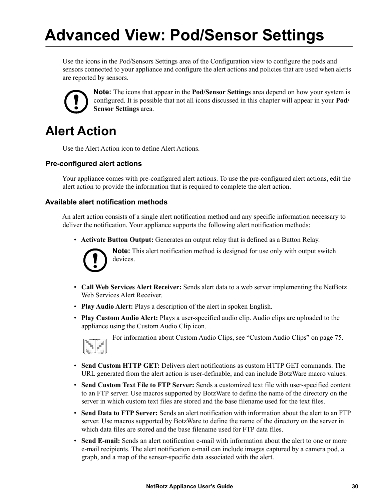# **Advanced View: Pod/Sensor Settings**

Use the icons in the Pod/Sensors Settings area of the Configuration view to configure the pods and sensors connected to your appliance and configure the alert actions and policies that are used when alerts are reported by sensors.



**Note:** The icons that appear in the **Pod/Sensor Settings** area depend on how your system is configured. It is possible that not all icons discussed in this chapter will appear in your **Pod/ Sensor Settings** area.

### **Alert Action**

Use the Alert Action icon to define Alert Actions.

#### **Pre-configured alert actions**

Your appliance comes with pre-configured alert actions. To use the pre-configured alert actions, edit the alert action to provide the information that is required to complete the alert action.

#### **Available alert notification methods**

An alert action consists of a single alert notification method and any specific information necessary to deliver the notification. Your appliance supports the following alert notification methods:

• **Activate Button Output:** Generates an output relay that is defined as a Button Relay.



**Note:** This alert notification method is designed for use only with output switch devices.

- **Call Web Services Alert Receiver:** Sends alert data to a web server implementing the NetBotz Web Services Alert Receiver.
- **Play Audio Alert:** Plays a description of the alert in spoken English.
- **Play Custom Audio Alert:** Plays a user-specified audio clip. Audio clips are uploaded to the appliance using the Custom Audio Clip icon.



For information about Custom Audio Clips, see ["Custom Audio Clips" on page 75.](#page-83-0)

- **Send Custom HTTP GET:** Delivers alert notifications as custom HTTP GET commands. The URL generated from the alert action is user-definable, and can include BotzWare macro values.
- **Send Custom Text File to FTP Server:** Sends a customized text file with user-specified content to an FTP server. Use macros supported by BotzWare to define the name of the directory on the server in which custom text files are stored and the base filename used for the text files.
- **Send Data to FTP Server:** Sends an alert notification with information about the alert to an FTP server. Use macros supported by BotzWare to define the name of the directory on the server in which data files are stored and the base filename used for FTP data files.
- **Send E-mail:** Sends an alert notification e-mail with information about the alert to one or more e-mail recipients. The alert notification e-mail can include images captured by a camera pod, a graph, and a map of the sensor-specific data associated with the alert.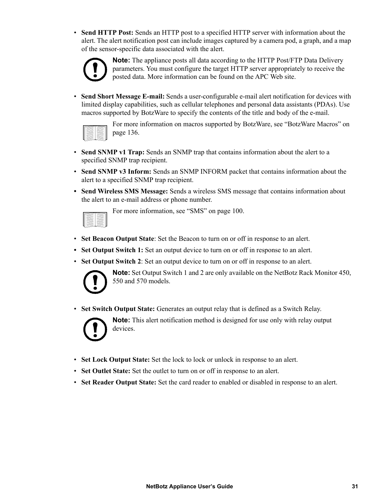• **Send HTTP Post:** Sends an HTTP post to a specified HTTP server with information about the alert. The alert notification post can include images captured by a camera pod, a graph, and a map of the sensor-specific data associated with the alert.



**Note:** The appliance posts all data according to the HTTP Post/FTP Data Delivery parameters. You must configure the target HTTP server appropriately to receive the posted data. More information can be found on the APC Web site.

• **Send Short Message E-mail:** Sends a user-configurable e-mail alert notification for devices with limited display capabilities, such as cellular telephones and personal data assistants (PDAs). Use macros supported by BotzWare to specify the contents of the title and body of the e-mail.



For more information on macros supported by BotzWare, see ["BotzWare Macros" on](#page-144-0)  [page 136](#page-144-0).

- **Send SNMP v1 Trap:** Sends an SNMP trap that contains information about the alert to a specified SNMP trap recipient.
- **Send SNMP v3 Inform:** Sends an SNMP INFORM packet that contains information about the alert to a specified SNMP trap recipient.
- **Send Wireless SMS Message:** Sends a wireless SMS message that contains information about the alert to an e-mail address or phone number.

For more information, see ["SMS" on page 100.](#page-108-0)

- **Set Beacon Output State**: Set the Beacon to turn on or off in response to an alert.
- Set Output Switch 1: Set an output device to turn on or off in response to an alert.
- **Set Output Switch 2**: Set an output device to turn on or off in response to an alert.



**Note:** Set Output Switch 1 and 2 are only available on the NetBotz Rack Monitor 450, 550 and 570 models.

• **Set Switch Output State:** Generates an output relay that is defined as a Switch Relay.



**Note:** This alert notification method is designed for use only with relay output devices.

- **Set Lock Output State:** Set the lock to lock or unlock in response to an alert.
- **Set Outlet State:** Set the outlet to turn on or off in response to an alert.
- **Set Reader Output State:** Set the card reader to enabled or disabled in response to an alert.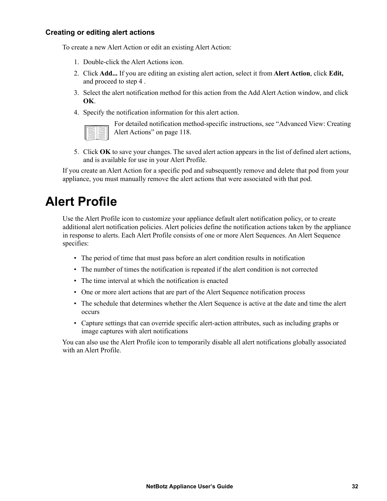#### **Creating or editing alert actions**

To create a new Alert Action or edit an existing Alert Action:

- 1. Double-click the Alert Actions icon.
- 2. Click **Add...** If you are editing an existing alert action, select it from **Alert Action**, click **Edit,**  and proceed to step 4 .
- 3. Select the alert notification method for this action from the Add Alert Action window, and click **OK**.
- 4. Specify the notification information for this alert action.

|  | ı       |
|--|---------|
|  | ۰       |
|  | -<br>ч. |
|  | --<br>i |
|  | ٠<br>÷  |
|  | s.      |
|  | ۰<br>c. |
|  |         |

For detailed notification method-specific instructions, see ["Advanced View: Creating](#page-126-0)  [Alert Actions" on page 118](#page-126-0).

5. Click **OK** to save your changes. The saved alert action appears in the list of defined alert actions, and is available for use in your Alert Profile.

If you create an Alert Action for a specific pod and subsequently remove and delete that pod from your appliance, you must manually remove the alert actions that were associated with that pod.

### **Alert Profile**

Use the Alert Profile icon to customize your appliance default alert notification policy, or to create additional alert notification policies. Alert policies define the notification actions taken by the appliance in response to alerts. Each Alert Profile consists of one or more Alert Sequences. An Alert Sequence specifies:

- The period of time that must pass before an alert condition results in notification
- The number of times the notification is repeated if the alert condition is not corrected
- The time interval at which the notification is enacted
- One or more alert actions that are part of the Alert Sequence notification process
- The schedule that determines whether the Alert Sequence is active at the date and time the alert occurs
- Capture settings that can override specific alert-action attributes, such as including graphs or image captures with alert notifications

You can also use the Alert Profile icon to temporarily disable all alert notifications globally associated with an Alert Profile.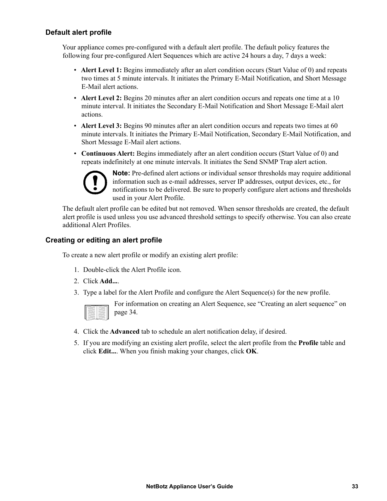#### **Default alert profile**

Your appliance comes pre-configured with a default alert profile. The default policy features the following four pre-configured Alert Sequences which are active 24 hours a day, 7 days a week:

- **Alert Level 1:** Begins immediately after an alert condition occurs (Start Value of 0) and repeats two times at 5 minute intervals. It initiates the Primary E-Mail Notification, and Short Message E-Mail alert actions.
- **Alert Level 2:** Begins 20 minutes after an alert condition occurs and repeats one time at a 10 minute interval. It initiates the Secondary E-Mail Notification and Short Message E-Mail alert actions.
- **Alert Level 3:** Begins 90 minutes after an alert condition occurs and repeats two times at 60 minute intervals. It initiates the Primary E-Mail Notification, Secondary E-Mail Notification, and Short Message E-Mail alert actions.
- **Continuous Alert:** Begins immediately after an alert condition occurs (Start Value of 0) and repeats indefinitely at one minute intervals. It initiates the Send SNMP Trap alert action.



**Note:** Pre-defined alert actions or individual sensor thresholds may require additional information such as e-mail addresses, server IP addresses, output devices, etc., for notifications to be delivered. Be sure to properly configure alert actions and thresholds used in your Alert Profile.

The default alert profile can be edited but not removed. When sensor thresholds are created, the default alert profile is used unless you use advanced threshold settings to specify otherwise. You can also create additional Alert Profiles.

#### **Creating or editing an alert profile**

To create a new alert profile or modify an existing alert profile:

- 1. Double-click the Alert Profile icon.
- 2. Click **Add...**.
- 3. Type a label for the Alert Profile and configure the Alert Sequence(s) for the new profile.

For information on creating an Alert Sequence, see ["Creating an alert sequence" on](#page-42-0)  [page 34](#page-42-0).

- 4. Click the **Advanced** tab to schedule an alert notification delay, if desired.
- 5. If you are modifying an existing alert profile, select the alert profile from the **Profile** table and click **Edit...**. When you finish making your changes, click **OK**.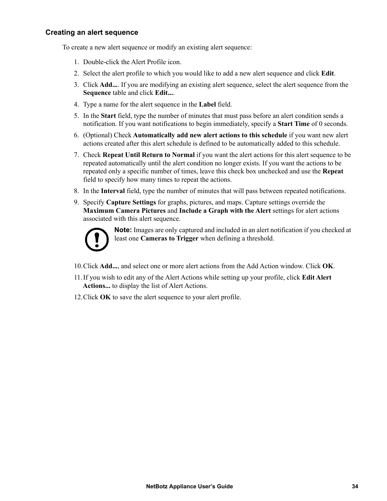#### <span id="page-42-0"></span>**Creating an alert sequence**

To create a new alert sequence or modify an existing alert sequence:

- 1. Double-click the Alert Profile icon.
- 2. Select the alert profile to which you would like to add a new alert sequence and click **Edit**.
- 3. Click **Add...**. If you are modifying an existing alert sequence, select the alert sequence from the **Sequence** table and click **Edit...**.
- 4. Type a name for the alert sequence in the **Label** field.
- 5. In the **Start** field, type the number of minutes that must pass before an alert condition sends a notification. If you want notifications to begin immediately, specify a **Start Time** of 0 seconds.
- 6. (Optional) Check **Automatically add new alert actions to this schedule** if you want new alert actions created after this alert schedule is defined to be automatically added to this schedule.
- 7. Check **Repeat Until Return to Normal** if you want the alert actions for this alert sequence to be repeated automatically until the alert condition no longer exists. If you want the actions to be repeated only a specific number of times, leave this check box unchecked and use the **Repeat** field to specify how many times to repeat the actions.
- 8. In the **Interval** field, type the number of minutes that will pass between repeated notifications.
- 9. Specify **Capture Settings** for graphs, pictures, and maps. Capture settings override the **Maximum Camera Pictures** and **Include a Graph with the Alert** settings for alert actions associated with this alert sequence.



**Note:** Images are only captured and included in an alert notification if you checked at least one **Cameras to Trigger** when defining a threshold.

- 10.Click **Add...**, and select one or more alert actions from the Add Action window. Click **OK**.
- 11.If you wish to edit any of the Alert Actions while setting up your profile, click **Edit Alert Actions...** to display the list of Alert Actions.
- 12.Click **OK** to save the alert sequence to your alert profile.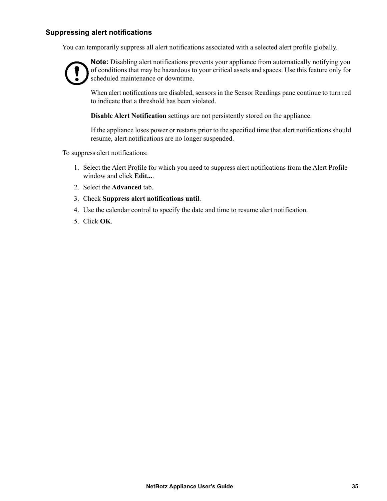#### **Suppressing alert notifications**

You can temporarily suppress all alert notifications associated with a selected alert profile globally.



**Note:** Disabling alert notifications prevents your appliance from automatically notifying you of conditions that may be hazardous to your critical assets and spaces. Use this feature only for scheduled maintenance or downtime.

When alert notifications are disabled, sensors in the Sensor Readings pane continue to turn red to indicate that a threshold has been violated.

**Disable Alert Notification** settings are not persistently stored on the appliance.

If the appliance loses power or restarts prior to the specified time that alert notifications should resume, alert notifications are no longer suspended.

To suppress alert notifications:

- 1. Select the Alert Profile for which you need to suppress alert notifications from the Alert Profile window and click **Edit...**.
- 2. Select the **Advanced** tab.
- 3. Check **Suppress alert notifications until**.
- 4. Use the calendar control to specify the date and time to resume alert notification.
- 5. Click **OK**.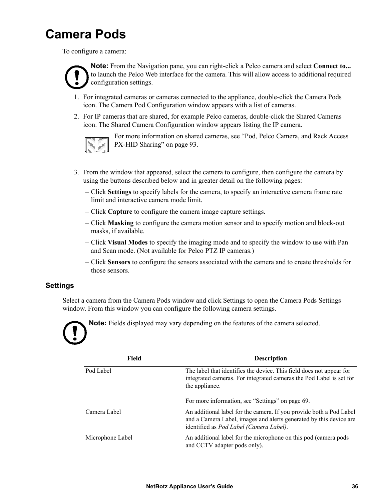## **Camera Pods**

To configure a camera:



**Note:** From the Navigation pane, you can right-click a Pelco camera and select **Connect to...** to launch the Pelco Web interface for the camera. This will allow access to additional required configuration settings.

- 1. For integrated cameras or cameras connected to the appliance, double-click the Camera Pods icon. The Camera Pod Configuration window appears with a list of cameras.
- 2. For IP cameras that are shared, for example Pelco cameras, double-click the Shared Cameras icon. The Shared Camera Configuration window appears listing the IP camera.

For more information on shared cameras, see ["Pod, Pelco Camera, and Rack Access](#page-101-0)  [PX-HID Sharing" on page 93](#page-101-0).

- 3. From the window that appeared, select the camera to configure, then configure the camera by using the buttons described below and in greater detail on the following pages:
	- Click **Settings** to specify labels for the camera, to specify an interactive camera frame rate limit and interactive camera mode limit.
	- Click **Capture** to configure the camera image capture settings.
	- Click **Masking** to configure the camera motion sensor and to specify motion and block-out masks, if available.
	- Click **Visual Modes** to specify the imaging mode and to specify the window to use with Pan and Scan mode. (Not available for Pelco PTZ IP cameras.)
	- Click **Sensors** to configure the sensors associated with the camera and to create thresholds for those sensors.

#### **Settings**

Select a camera from the Camera Pods window and click Settings to open the Camera Pods Settings window. From this window you can configure the following camera settings.



**Note:** Fields displayed may vary depending on the features of the camera selected.

| Field            | <b>Description</b>                                                                                                                                                                           |
|------------------|----------------------------------------------------------------------------------------------------------------------------------------------------------------------------------------------|
| Pod Label        | The label that identifies the device. This field does not appear for<br>integrated cameras. For integrated cameras the Pod Label is set for<br>the appliance.                                |
|                  | For more information, see "Settings" on page 69.                                                                                                                                             |
| Camera Label     | An additional label for the camera. If you provide both a Pod Label<br>and a Camera Label, images and alerts generated by this device are<br>identified as <i>Pod Label (Camera Label)</i> . |
| Microphone Label | An additional label for the microphone on this pod (camera pods)<br>and CCTV adapter pods only).                                                                                             |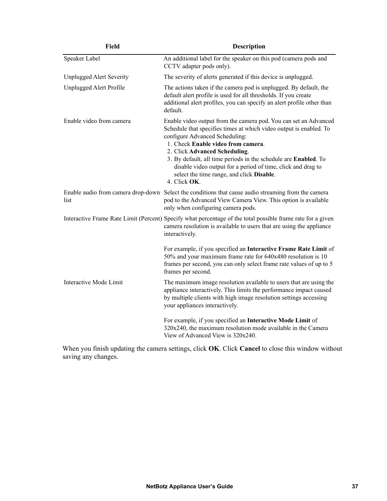| <b>Field</b>                    | <b>Description</b>                                                                                                                                                                                                                                                                                                                                                                                                                              |
|---------------------------------|-------------------------------------------------------------------------------------------------------------------------------------------------------------------------------------------------------------------------------------------------------------------------------------------------------------------------------------------------------------------------------------------------------------------------------------------------|
| Speaker Label                   | An additional label for the speaker on this pod (camera pods and<br>CCTV adapter pods only).                                                                                                                                                                                                                                                                                                                                                    |
| <b>Unplugged Alert Severity</b> | The severity of alerts generated if this device is unplugged.                                                                                                                                                                                                                                                                                                                                                                                   |
| Unplugged Alert Profile         | The actions taken if the camera pod is unplugged. By default, the<br>default alert profile is used for all thresholds. If you create<br>additional alert profiles, you can specify an alert profile other than<br>default.                                                                                                                                                                                                                      |
| Enable video from camera        | Enable video output from the camera pod. You can set an Advanced<br>Schedule that specifies times at which video output is enabled. To<br>configure Advanced Scheduling:<br>1. Check Enable video from camera.<br>2. Click Advanced Scheduling.<br>3. By default, all time periods in the schedule are Enabled. To<br>disable video output for a period of time, click and drag to<br>select the time range, and click Disable.<br>4. Click OK. |
| list                            | Enable audio from camera drop-down Select the conditions that cause audio streaming from the camera<br>pod to the Advanced View Camera View. This option is available<br>only when configuring camera pods.                                                                                                                                                                                                                                     |
|                                 | Interactive Frame Rate Limit (Percent) Specify what percentage of the total possible frame rate for a given<br>camera resolution is available to users that are using the appliance<br>interactively.                                                                                                                                                                                                                                           |
|                                 | For example, if you specified an Interactive Frame Rate Limit of<br>50% and your maximum frame rate for 640x480 resolution is 10<br>frames per second, you can only select frame rate values of up to 5<br>frames per second.                                                                                                                                                                                                                   |
| Interactive Mode Limit          | The maximum image resolution available to users that are using the<br>appliance interactively. This limits the performance impact caused<br>by multiple clients with high image resolution settings accessing<br>your appliances interactively.                                                                                                                                                                                                 |
|                                 | For example, if you specified an Interactive Mode Limit of<br>320x240, the maximum resolution mode available in the Camera<br>View of Advanced View is 320x240.                                                                                                                                                                                                                                                                                 |

When you finish updating the camera settings, click **OK**. Click **Cancel** to close this window without saving any changes.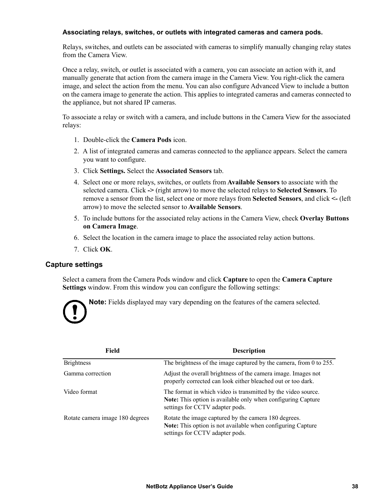#### **Associating relays, switches, or outlets with integrated cameras and camera pods.**

Relays, switches, and outlets can be associated with cameras to simplify manually changing relay states from the Camera View.

Once a relay, switch, or outlet is associated with a camera, you can associate an action with it, and manually generate that action from the camera image in the Camera View. You right-click the camera image, and select the action from the menu. You can also configure Advanced View to include a button on the camera image to generate the action. This applies to integrated cameras and cameras connected to the appliance, but not shared IP cameras.

To associate a relay or switch with a camera, and include buttons in the Camera View for the associated relays:

- 1. Double-click the **Camera Pods** icon.
- 2. A list of integrated cameras and cameras connected to the appliance appears. Select the camera you want to configure.
- 3. Click **Settings.** Select the **Associated Sensors** tab.
- 4. Select one or more relays, switches, or outlets from **Available Sensors** to associate with the selected camera. Click **->** (right arrow) to move the selected relays to **Selected Sensors**. To remove a sensor from the list, select one or more relays from **Selected Sensors**, and click **<-** (left arrow) to move the selected sensor to **Available Sensors**.
- 5. To include buttons for the associated relay actions in the Camera View, check **Overlay Buttons on Camera Image**.
- 6. Select the location in the camera image to place the associated relay action buttons.
- 7. Click **OK**.

#### **Capture settings**

Select a camera from the Camera Pods window and click **Capture** to open the **Camera Capture Settings** window. From this window you can configure the following settings:



**Note:** Fields displayed may vary depending on the features of the camera selected.

| Field                           | <b>Description</b>                                                                                                                                               |
|---------------------------------|------------------------------------------------------------------------------------------------------------------------------------------------------------------|
| <b>Brightness</b>               | The brightness of the image captured by the camera, from 0 to 255.                                                                                               |
| Gamma correction                | Adjust the overall brightness of the camera image. Images not<br>properly corrected can look either bleached out or too dark.                                    |
| Video format                    | The format in which video is transmitted by the video source.<br>Note: This option is available only when configuring Capture<br>settings for CCTV adapter pods. |
| Rotate camera image 180 degrees | Rotate the image captured by the camera 180 degrees.<br><b>Note:</b> This option is not available when configuring Capture<br>settings for CCTV adapter pods.    |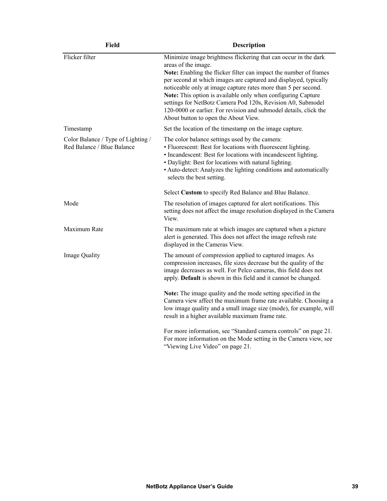| <b>Field</b>                                                     | <b>Description</b>                                                                                                                                                                                                                                                                                                                                                                                                                                                                                                                            |
|------------------------------------------------------------------|-----------------------------------------------------------------------------------------------------------------------------------------------------------------------------------------------------------------------------------------------------------------------------------------------------------------------------------------------------------------------------------------------------------------------------------------------------------------------------------------------------------------------------------------------|
| Flicker filter                                                   | Minimize image brightness flickering that can occur in the dark<br>areas of the image.<br>Note: Enabling the flicker filter can impact the number of frames<br>per second at which images are captured and displayed, typically<br>noticeable only at image capture rates more than 5 per second.<br>Note: This option is available only when configuring Capture<br>settings for NetBotz Camera Pod 120s, Revision A0, Submodel<br>120-0000 or earlier. For revision and submodel details, click the<br>About button to open the About View. |
| Timestamp                                                        | Set the location of the timestamp on the image capture.                                                                                                                                                                                                                                                                                                                                                                                                                                                                                       |
| Color Balance / Type of Lighting /<br>Red Balance / Blue Balance | The color balance settings used by the camera:<br>• Fluorescent: Best for locations with fluorescent lighting.<br>• Incandescent: Best for locations with incandescent lighting.<br>• Daylight: Best for locations with natural lighting.<br>• Auto-detect: Analyzes the lighting conditions and automatically<br>selects the best setting.                                                                                                                                                                                                   |
|                                                                  | Select Custom to specify Red Balance and Blue Balance.                                                                                                                                                                                                                                                                                                                                                                                                                                                                                        |
| Mode                                                             | The resolution of images captured for alert notifications. This<br>setting does not affect the image resolution displayed in the Camera<br>View.                                                                                                                                                                                                                                                                                                                                                                                              |
| Maximum Rate                                                     | The maximum rate at which images are captured when a picture<br>alert is generated. This does not affect the image refresh rate<br>displayed in the Cameras View.                                                                                                                                                                                                                                                                                                                                                                             |
| Image Quality                                                    | The amount of compression applied to captured images. As<br>compression increases, file sizes decrease but the quality of the<br>image decreases as well. For Pelco cameras, this field does not<br>apply. Default is shown in this field and it cannot be changed.                                                                                                                                                                                                                                                                           |
|                                                                  | Note: The image quality and the mode setting specified in the<br>Camera view affect the maximum frame rate available. Choosing a<br>low image quality and a small image size (mode), for example, will<br>result in a higher available maximum frame rate.                                                                                                                                                                                                                                                                                    |
|                                                                  | For more information, see "Standard camera controls" on page 21.<br>For more information on the Mode setting in the Camera view, see<br>"Viewing Live Video" on page 21.                                                                                                                                                                                                                                                                                                                                                                      |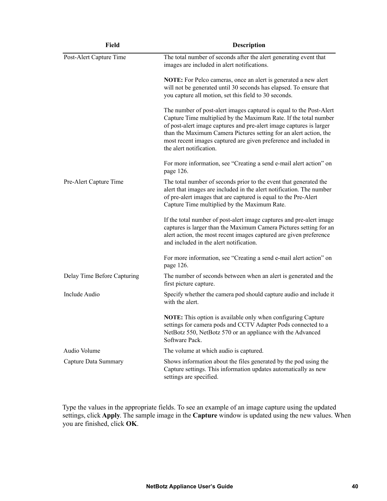| <b>Field</b>                | <b>Description</b>                                                                                                                                                                                                                                                                                                                                                                 |
|-----------------------------|------------------------------------------------------------------------------------------------------------------------------------------------------------------------------------------------------------------------------------------------------------------------------------------------------------------------------------------------------------------------------------|
| Post-Alert Capture Time     | The total number of seconds after the alert generating event that<br>images are included in alert notifications.                                                                                                                                                                                                                                                                   |
|                             | <b>NOTE:</b> For Pelco cameras, once an alert is generated a new alert<br>will not be generated until 30 seconds has elapsed. To ensure that<br>you capture all motion, set this field to 30 seconds.                                                                                                                                                                              |
|                             | The number of post-alert images captured is equal to the Post-Alert<br>Capture Time multiplied by the Maximum Rate. If the total number<br>of post-alert image captures and pre-alert image captures is larger<br>than the Maximum Camera Pictures setting for an alert action, the<br>most recent images captured are given preference and included in<br>the alert notification. |
|                             | For more information, see "Creating a send e-mail alert action" on<br>page 126.                                                                                                                                                                                                                                                                                                    |
| Pre-Alert Capture Time      | The total number of seconds prior to the event that generated the<br>alert that images are included in the alert notification. The number<br>of pre-alert images that are captured is equal to the Pre-Alert<br>Capture Time multiplied by the Maximum Rate.                                                                                                                       |
|                             | If the total number of post-alert image captures and pre-alert image<br>captures is larger than the Maximum Camera Pictures setting for an<br>alert action, the most recent images captured are given preference<br>and included in the alert notification.                                                                                                                        |
|                             | For more information, see "Creating a send e-mail alert action" on<br>page 126.                                                                                                                                                                                                                                                                                                    |
| Delay Time Before Capturing | The number of seconds between when an alert is generated and the<br>first picture capture.                                                                                                                                                                                                                                                                                         |
| Include Audio               | Specify whether the camera pod should capture audio and include it<br>with the alert.                                                                                                                                                                                                                                                                                              |
|                             | NOTE: This option is available only when configuring Capture<br>settings for camera pods and CCTV Adapter Pods connected to a<br>NetBotz 550, NetBotz 570 or an appliance with the Advanced<br>Software Pack.                                                                                                                                                                      |
| Audio Volume                | The volume at which audio is captured.                                                                                                                                                                                                                                                                                                                                             |
| Capture Data Summary        | Shows information about the files generated by the pod using the<br>Capture settings. This information updates automatically as new<br>settings are specified.                                                                                                                                                                                                                     |

Type the values in the appropriate fields. To see an example of an image capture using the updated settings, click **Apply**. The sample image in the **Capture** window is updated using the new values. When you are finished, click **OK**.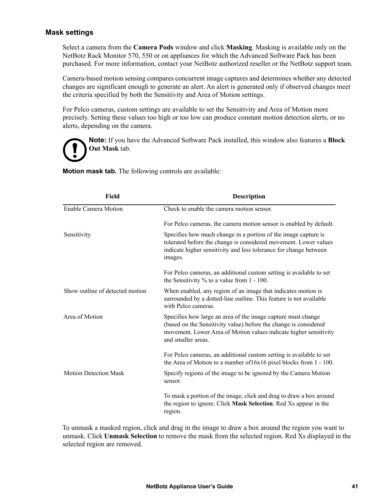#### **Mask settings**

Select a camera from the **Camera Pods** window and click **Masking**. Masking is available only on the NetBotz Rack Monitor 570, 550 or on appliances for which the Advanced Software Pack has been purchased. For more information, contact your NetBotz authorized reseller or the NetBotz support team.

Camera-based motion sensing compares concurrent image captures and determines whether any detected changes are significant enough to generate an alert. An alert is generated only if observed changes meet the criteria specified by both the Sensitivity and Area of Motion settings.

For Pelco cameras, custom settings are available to set the Sensitivity and Area of Motion more precisely. Setting these values too high or too low can produce constant motion detection alerts, or no alerts, depending on the camera.



**Note:** If you have the Advanced Software Pack installed, this window also features a **Block Out Mask** tab.

**Motion mask tab.** The following controls are available:

| <b>Field</b>                    | <b>Description</b>                                                                                                                                                                                                          |
|---------------------------------|-----------------------------------------------------------------------------------------------------------------------------------------------------------------------------------------------------------------------------|
| Enable Camera Motion            | Check to enable the camera motion sensor.                                                                                                                                                                                   |
|                                 | For Pelco cameras, the camera motion sensor is enabled by default.                                                                                                                                                          |
| Sensitivity                     | Specifies how much change in a portion of the image capture is<br>tolerated before the change is considered movement. Lower values<br>indicate higher sensitivity and less tolerance for change between<br>images.          |
|                                 | For Pelco cameras, an additional custom setting is available to set<br>the Sensitivity $\%$ to a value from 1 - 100.                                                                                                        |
| Show outline of detected motion | When enabled, any region of an image that indicates motion is<br>surrounded by a dotted-line outline. This feature is not available<br>with Pelco cameras.                                                                  |
| Area of Motion                  | Specifies how large an area of the image capture must change<br>(based on the Sensitivity value) before the change is considered<br>movement. Lower Area of Motion values indicate higher sensitivity<br>and smaller areas. |
|                                 | For Pelco cameras, an additional custom setting is available to set<br>the Area of Motion to a number of $16x16$ pixel blocks from $1 - 100$ .                                                                              |
| <b>Motion Detection Mask</b>    | Specify regions of the image to be ignored by the Camera Motion<br>sensor.                                                                                                                                                  |
|                                 | To mask a portion of the image, click and drag to draw a box around<br>the region to ignore. Click Mask Selection. Red Xs appear in the<br>region.                                                                          |

To unmask a masked region, click and drag in the image to draw a box around the region you want to unmask. Click **Unmask Selection** to remove the mask from the selected region. Red Xs displayed in the selected region are removed.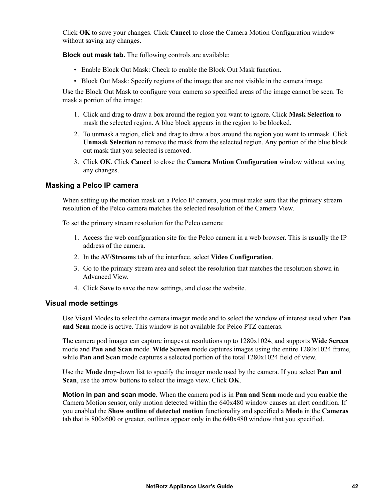Click **OK** to save your changes. Click **Cancel** to close the Camera Motion Configuration window without saving any changes.

**Block out mask tab.** The following controls are available:

- Enable Block Out Mask: Check to enable the Block Out Mask function.
- Block Out Mask: Specify regions of the image that are not visible in the camera image.

Use the Block Out Mask to configure your camera so specified areas of the image cannot be seen. To mask a portion of the image:

- 1. Click and drag to draw a box around the region you want to ignore. Click **Mask Selection** to mask the selected region. A blue block appears in the region to be blocked.
- 2. To unmask a region, click and drag to draw a box around the region you want to unmask. Click **Unmask Selection** to remove the mask from the selected region. Any portion of the blue block out mask that you selected is removed.
- 3. Click **OK**. Click **Cancel** to close the **Camera Motion Configuration** window without saving any changes.

#### **Masking a Pelco IP camera**

When setting up the motion mask on a Pelco IP camera, you must make sure that the primary stream resolution of the Pelco camera matches the selected resolution of the Camera View.

To set the primary stream resolution for the Pelco camera:

- 1. Access the web configuration site for the Pelco camera in a web browser. This is usually the IP address of the camera.
- 2. In the **AV/Streams** tab of the interface, select **Video Configuration**.
- 3. Go to the primary stream area and select the resolution that matches the resolution shown in Advanced View.
- 4. Click **Save** to save the new settings, and close the website.

#### **Visual mode settings**

Use Visual Modes to select the camera imager mode and to select the window of interest used when **Pan and Scan** mode is active. This window is not available for Pelco PTZ cameras.

The camera pod imager can capture images at resolutions up to 1280x1024, and supports **Wide Screen** mode and **Pan and Scan** mode. **Wide Screen** mode captures images using the entire 1280x1024 frame, while **Pan and Scan** mode captures a selected portion of the total  $1280x1024$  field of view.

Use the **Mode** drop-down list to specify the imager mode used by the camera. If you select **Pan and Scan**, use the arrow buttons to select the image view. Click **OK**.

**Motion in pan and scan mode.** When the camera pod is in **Pan and Scan** mode and you enable the Camera Motion sensor, only motion detected within the 640x480 window causes an alert condition. If you enabled the **Show outline of detected motion** functionality and specified a **Mode** in the **Cameras** tab that is 800x600 or greater, outlines appear only in the 640x480 window that you specified.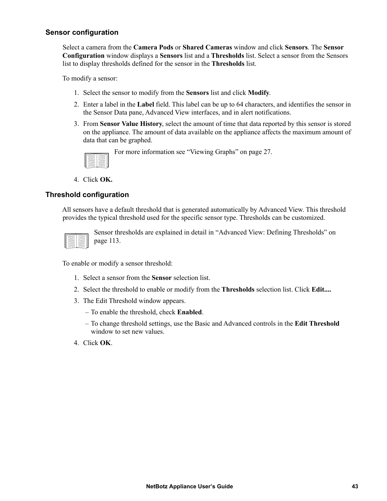#### **Sensor configuration**

Select a camera from the **Camera Pods** or **Shared Cameras** window and click **Sensors**. The **Sensor Configuration** window displays a **Sensors** list and a **Thresholds** list. Select a sensor from the Sensors list to display thresholds defined for the sensor in the **Thresholds** list.

To modify a sensor:

- 1. Select the sensor to modify from the **Sensors** list and click **Modify**.
- 2. Enter a label in the **Label** field. This label can be up to 64 characters, and identifies the sensor in the Sensor Data pane, Advanced View interfaces, and in alert notifications.
- 3. From **Sensor Value History**, select the amount of time that data reported by this sensor is stored on the appliance. The amount of data available on the appliance affects the maximum amount of data that can be graphed.



For more information see ["Viewing Graphs" on page 27](#page-35-0).

4. Click **OK.**

#### **Threshold configuration**

All sensors have a default threshold that is generated automatically by Advanced View. This threshold provides the typical threshold used for the specific sensor type. Thresholds can be customized.



Sensor thresholds are explained in detail in ["Advanced View: Defining Thresholds" on](#page-121-0)  [page 113.](#page-121-0)

To enable or modify a sensor threshold:

- 1. Select a sensor from the **Sensor** selection list.
- 2. Select the threshold to enable or modify from the **Thresholds** selection list. Click **Edit....**
- 3. The Edit Threshold window appears.
	- To enable the threshold, check **Enabled**.
	- To change threshold settings, use the Basic and Advanced controls in the **Edit Threshold** window to set new values.
- 4. Click **OK**.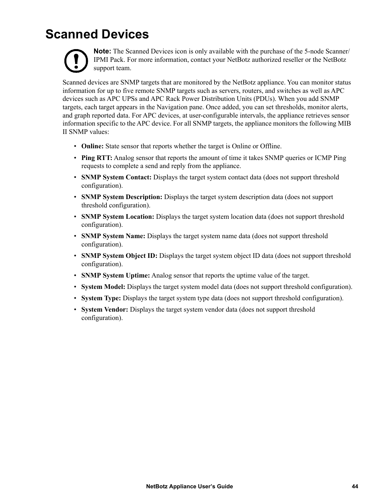# **Scanned Devices**



**Note:** The Scanned Devices icon is only available with the purchase of the 5-node Scanner/ IPMI Pack. For more information, contact your NetBotz authorized reseller or the NetBotz support team.

Scanned devices are SNMP targets that are monitored by the NetBotz appliance. You can monitor status information for up to five remote SNMP targets such as servers, routers, and switches as well as APC devices such as APC UPSs and APC Rack Power Distribution Units (PDUs). When you add SNMP targets, each target appears in the Navigation pane. Once added, you can set thresholds, monitor alerts, and graph reported data. For APC devices, at user-configurable intervals, the appliance retrieves sensor information specific to the APC device. For all SNMP targets, the appliance monitors the following MIB II SNMP values:

- **Online:** State sensor that reports whether the target is Online or Offline.
- **Ping RTT:** Analog sensor that reports the amount of time it takes SNMP queries or ICMP Ping requests to complete a send and reply from the appliance.
- **SNMP System Contact:** Displays the target system contact data (does not support threshold configuration).
- **SNMP System Description:** Displays the target system description data (does not support threshold configuration).
- **SNMP System Location:** Displays the target system location data (does not support threshold configuration).
- **SNMP System Name:** Displays the target system name data (does not support threshold configuration).
- **SNMP System Object ID:** Displays the target system object ID data (does not support threshold configuration).
- **SNMP System Uptime:** Analog sensor that reports the uptime value of the target.
- **System Model:** Displays the target system model data (does not support threshold configuration).
- **System Type:** Displays the target system type data (does not support threshold configuration).
- **System Vendor:** Displays the target system vendor data (does not support threshold configuration).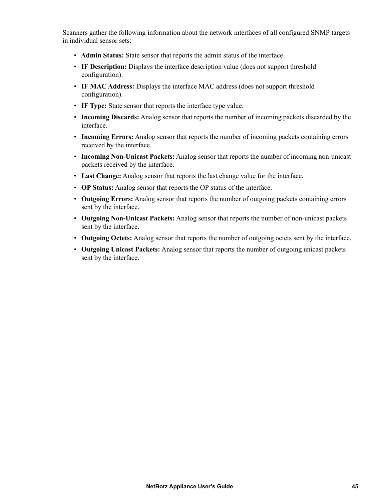Scanners gather the following information about the network interfaces of all configured SNMP targets in individual sensor sets:

- **Admin Status:** State sensor that reports the admin status of the interface.
- **IF Description:** Displays the interface description value (does not support threshold configuration).
- **IF MAC Address:** Displays the interface MAC address (does not support threshold configuration).
- **IF Type:** State sensor that reports the interface type value.
- **Incoming Discards:** Analog sensor that reports the number of incoming packets discarded by the interface.
- **Incoming Errors:** Analog sensor that reports the number of incoming packets containing errors received by the interface.
- **Incoming Non-Unicast Packets:** Analog sensor that reports the number of incoming non-unicast packets received by the interface.
- **Last Change:** Analog sensor that reports the last change value for the interface.
- **OP Status:** Analog sensor that reports the OP status of the interface.
- **Outgoing Errors:** Analog sensor that reports the number of outgoing packets containing errors sent by the interface.
- **Outgoing Non-Unicast Packets:** Analog sensor that reports the number of non-unicast packets sent by the interface.
- **Outgoing Octets:** Analog sensor that reports the number of outgoing octets sent by the interface.
- **Outgoing Unicast Packets:** Analog sensor that reports the number of outgoing unicast packets sent by the interface.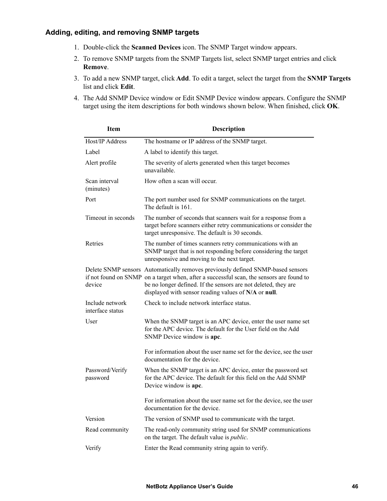#### **Adding, editing, and removing SNMP targets**

- 1. Double-click the **Scanned Devices** icon. The SNMP Target window appears.
- 2. To remove SNMP targets from the SNMP Targets list, select SNMP target entries and click **Remove**.
- 3. To add a new SNMP target, click **Add**. To edit a target, select the target from the **SNMP Targets** list and click **Edit**.
- 4. The Add SNMP Device window or Edit SNMP Device window appears. Configure the SNMP target using the item descriptions for both windows shown below. When finished, click **OK**.

| <b>Item</b>                         | <b>Description</b>                                                                                                                                                                                                                                                                                    |
|-------------------------------------|-------------------------------------------------------------------------------------------------------------------------------------------------------------------------------------------------------------------------------------------------------------------------------------------------------|
| Host/IP Address                     | The hostname or IP address of the SNMP target.                                                                                                                                                                                                                                                        |
| Label                               | A label to identify this target.                                                                                                                                                                                                                                                                      |
| Alert profile                       | The severity of alerts generated when this target becomes<br>unavailable.                                                                                                                                                                                                                             |
| Scan interval<br>(minutes)          | How often a scan will occur.                                                                                                                                                                                                                                                                          |
| Port                                | The port number used for SNMP communications on the target.<br>The default is 161.                                                                                                                                                                                                                    |
| Timeout in seconds                  | The number of seconds that scanners wait for a response from a<br>target before scanners either retry communications or consider the<br>target unresponsive. The default is 30 seconds.                                                                                                               |
| Retries                             | The number of times scanners retry communications with an<br>SNMP target that is not responding before considering the target<br>unresponsive and moving to the next target.                                                                                                                          |
| device                              | Delete SNMP sensors Automatically removes previously defined SNMP-based sensors<br>if not found on SNMP on a target when, after a successful scan, the sensors are found to<br>be no longer defined. If the sensors are not deleted, they are<br>displayed with sensor reading values of N/A or null. |
| Include network<br>interface status | Check to include network interface status.                                                                                                                                                                                                                                                            |
| User                                | When the SNMP target is an APC device, enter the user name set<br>for the APC device. The default for the User field on the Add<br>SNMP Device window is apc.                                                                                                                                         |
|                                     | For information about the user name set for the device, see the user<br>documentation for the device.                                                                                                                                                                                                 |
| Password/Verify<br>password         | When the SNMP target is an APC device, enter the password set<br>for the APC device. The default for this field on the Add SNMP<br>Device window is apc.                                                                                                                                              |
|                                     | For information about the user name set for the device, see the user<br>documentation for the device.                                                                                                                                                                                                 |
| Version                             | The version of SNMP used to communicate with the target.                                                                                                                                                                                                                                              |
| Read community                      | The read-only community string used for SNMP communications<br>on the target. The default value is <i>public</i> .                                                                                                                                                                                    |
| Verify                              | Enter the Read community string again to verify.                                                                                                                                                                                                                                                      |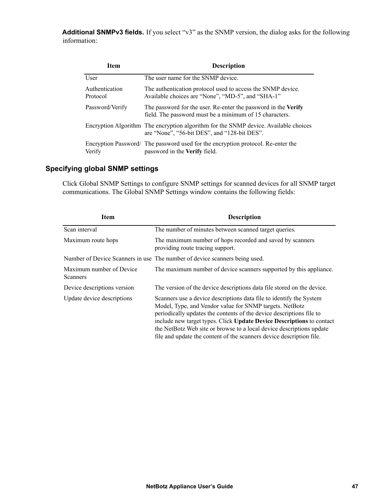Additional SNMPv3 fields. If you select "v3" as the SNMP version, the dialog asks for the following information:

| Item                       | <b>Description</b>                                                                                                                   |
|----------------------------|--------------------------------------------------------------------------------------------------------------------------------------|
| User                       | The user name for the SNMP device.                                                                                                   |
| Authentication<br>Protocol | The authentication protocol used to access the SNMP device.<br>Available choices are "None", "MD-5", and "SHA-1"                     |
| Password/Verify            | The password for the user. Re-enter the password in the Verify<br>field. The password must be a minimum of 15 characters.            |
|                            | Encryption Algorithm The encryption algorithm for the SNMP device. Available choices<br>are "None", "56-bit DES", and "128-bit DES". |
| Verify                     | Encryption Password/ The password used for the encryption protocol. Re-enter the<br>password in the Verify field.                    |

#### **Specifying global SNMP settings**

Click Global SNMP Settings to configure SNMP settings for scanned devices for all SNMP target communications. The Global SNMP Settings window contains the following fields:

| <b>Item</b>                          | <b>Description</b>                                                                                                                                                                                                                                                                                                                                                                                                              |
|--------------------------------------|---------------------------------------------------------------------------------------------------------------------------------------------------------------------------------------------------------------------------------------------------------------------------------------------------------------------------------------------------------------------------------------------------------------------------------|
| Scan interval                        | The number of minutes between scanned target queries.                                                                                                                                                                                                                                                                                                                                                                           |
| Maximum route hops                   | The maximum number of hops recorded and saved by scanners<br>providing route tracing support.                                                                                                                                                                                                                                                                                                                                   |
|                                      | Number of Device Scanners in use The number of device scanners being used.                                                                                                                                                                                                                                                                                                                                                      |
| Maximum number of Device<br>Scanners | The maximum number of device scanners supported by this appliance.                                                                                                                                                                                                                                                                                                                                                              |
| Device descriptions version          | The version of the device descriptions data file stored on the device.                                                                                                                                                                                                                                                                                                                                                          |
| Update device descriptions           | Scanners use a device descriptions data file to identify the System<br>Model, Type, and Vendor value for SNMP targets. NetBotz<br>periodically updates the contents of the device descriptions file to<br>include new target types. Click Update Device Descriptions to contact<br>the NetBotz Web site or browse to a local device descriptions update<br>file and update the content of the scanners device description file. |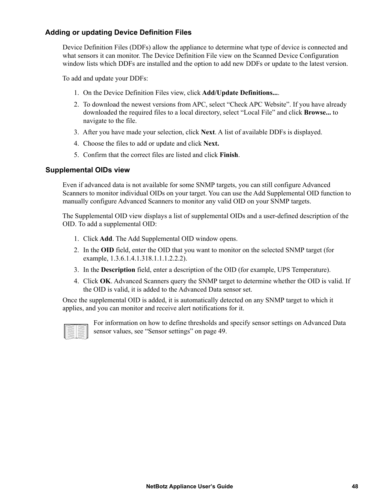#### **Adding or updating Device Definition Files**

Device Definition Files (DDFs) allow the appliance to determine what type of device is connected and what sensors it can monitor. The Device Definition File view on the Scanned Device Configuration window lists which DDFs are installed and the option to add new DDFs or update to the latest version.

To add and update your DDFs:

- 1. On the Device Definition Files view, click **Add/Update Definitions...**.
- 2. To download the newest versions from APC, select "Check APC Website". If you have already downloaded the required files to a local directory, select "Local File" and click **Browse...** to navigate to the file.
- 3. After you have made your selection, click **Next**. A list of available DDFs is displayed.
- 4. Choose the files to add or update and click **Next.**
- 5. Confirm that the correct files are listed and click **Finish**.

#### **Supplemental OIDs view**

Even if advanced data is not available for some SNMP targets, you can still configure Advanced Scanners to monitor individual OIDs on your target. You can use the Add Supplemental OID function to manually configure Advanced Scanners to monitor any valid OID on your SNMP targets.

The Supplemental OID view displays a list of supplemental OIDs and a user-defined description of the OID. To add a supplemental OID:

- 1. Click **Add**. The Add Supplemental OID window opens.
- 2. In the **OID** field, enter the OID that you want to monitor on the selected SNMP target (for example, 1.3.6.1.4.1.318.1.1.1.2.2.2).
- 3. In the **Description** field, enter a description of the OID (for example, UPS Temperature).
- 4. Click **OK**. Advanced Scanners query the SNMP target to determine whether the OID is valid. If the OID is valid, it is added to the Advanced Data sensor set.

Once the supplemental OID is added, it is automatically detected on any SNMP target to which it applies, and you can monitor and receive alert notifications for it.



For information on how to define thresholds and specify sensor settings on Advanced Data sensor values, see ["Sensor settings" on page 49.](#page-57-0)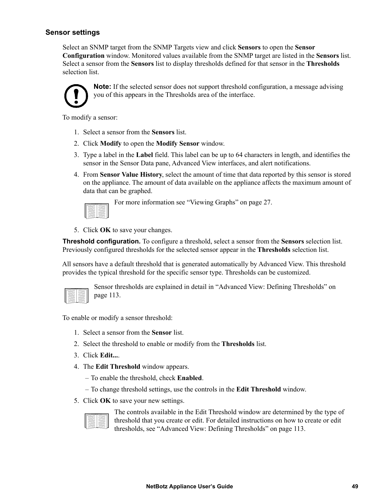#### <span id="page-57-0"></span>**Sensor settings**

Select an SNMP target from the SNMP Targets view and click **Sensors** to open the **Sensor Configuration** window. Monitored values available from the SNMP target are listed in the **Sensors** list. Select a sensor from the **Sensors** list to display thresholds defined for that sensor in the **Thresholds** selection list.



**Note:** If the selected sensor does not support threshold configuration, a message advising you of this appears in the Thresholds area of the interface.

To modify a sensor:

- 1. Select a sensor from the **Sensors** list.
- 2. Click **Modify** to open the **Modify Sensor** window.
- 3. Type a label in the **Label** field. This label can be up to 64 characters in length, and identifies the sensor in the Sensor Data pane, Advanced View interfaces, and alert notifications.
- 4. From **Sensor Value History**, select the amount of time that data reported by this sensor is stored on the appliance. The amount of data available on the appliance affects the maximum amount of data that can be graphed.



For more information see ["Viewing Graphs" on page 27](#page-35-0).

5. Click **OK** to save your changes.

**Threshold configuration.** To configure a threshold, select a sensor from the **Sensors** selection list. Previously configured thresholds for the selected sensor appear in the **Thresholds** selection list.

All sensors have a default threshold that is generated automatically by Advanced View. This threshold provides the typical threshold for the specific sensor type. Thresholds can be customized.

Sensor thresholds are explained in detail in ["Advanced View: Defining Thresholds" on](#page-121-0)  [page 113.](#page-121-0)

To enable or modify a sensor threshold:

- 1. Select a sensor from the **Sensor** list.
- 2. Select the threshold to enable or modify from the **Thresholds** list.
- 3. Click **Edit...**.
- 4. The **Edit Threshold** window appears.
	- To enable the threshold, check **Enabled**.
	- To change threshold settings, use the controls in the **Edit Threshold** window.
- 5. Click **OK** to save your new settings.

The controls available in the Edit Threshold window are determined by the type of threshold that you create or edit. For detailed instructions on how to create or edit thresholds, see ["Advanced View: Defining Thresholds" on page 113.](#page-121-0)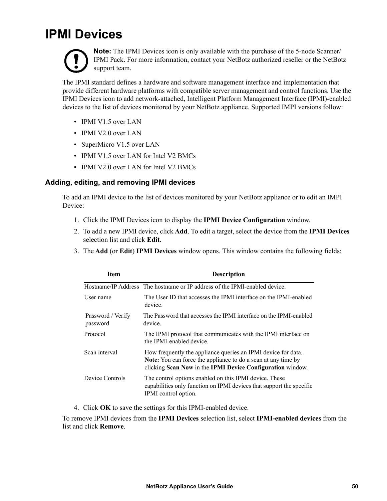### **IPMI Devices**



**Note:** The IPMI Devices icon is only available with the purchase of the 5-node Scanner/ IPMI Pack. For more information, contact your NetBotz authorized reseller or the NetBotz support team.

The IPMI standard defines a hardware and software management interface and implementation that provide different hardware platforms with compatible server management and control functions. Use the IPMI Devices icon to add network-attached, Intelligent Platform Management Interface (IPMI)-enabled devices to the list of devices monitored by your NetBotz appliance. Supported IMPI versions follow:

- IPMI V1.5 over LAN
- IPMI V2.0 over LAN
- SuperMicro V1.5 over LAN
- IPMI V1.5 over LAN for Intel V2 BMCs
- IPMI V2.0 over LAN for Intel V2 BMCs

#### **Adding, editing, and removing IPMI devices**

To add an IPMI device to the list of devices monitored by your NetBotz appliance or to edit an IMPI Device:

- 1. Click the IPMI Devices icon to display the **IPMI Device Configuration** window.
- 2. To add a new IPMI device, click **Add**. To edit a target, select the device from the **IPMI Devices** selection list and click **Edit**.
- 3. The **Add** (or **Edit**) **IPMI Devices** window opens. This window contains the following fields:

| Item                          | <b>Description</b>                                                                                                                                                                                  |
|-------------------------------|-----------------------------------------------------------------------------------------------------------------------------------------------------------------------------------------------------|
|                               | Hostname/IP Address The hostname or IP address of the IPMI-enabled device.                                                                                                                          |
| User name                     | The User ID that accesses the IPMI interface on the IPMI-enabled<br>device.                                                                                                                         |
| Password / Verify<br>password | The Password that accesses the IPMI interface on the IPMI-enabled<br>device.                                                                                                                        |
| Protocol                      | The IPMI protocol that communicates with the IPMI interface on<br>the IPMI-enabled device                                                                                                           |
| Scan interval                 | How frequently the appliance queries an IPMI device for data.<br><b>Note:</b> You can force the appliance to do a scan at any time by<br>clicking Scan Now in the IPMI Device Configuration window. |
| Device Controls               | The control options enabled on this IPMI device. These<br>capabilities only function on IPMI devices that support the specific<br>IPMI control option.                                              |

4. Click **OK** to save the settings for this IPMI-enabled device.

To remove IPMI devices from the **IPMI Devices** selection list, select **IPMI-enabled devices** from the list and click **Remove**.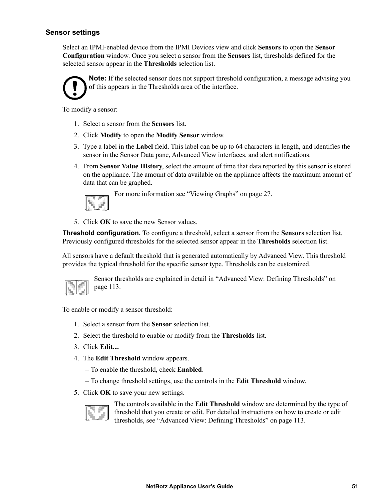#### **Sensor settings**

Select an IPMI-enabled device from the IPMI Devices view and click **Sensors** to open the **Sensor Configuration** window. Once you select a sensor from the **Sensors** list, thresholds defined for the selected sensor appear in the **Thresholds** selection list.



**Note:** If the selected sensor does not support threshold configuration, a message advising you of this appears in the Thresholds area of the interface.

To modify a sensor:

- 1. Select a sensor from the **Sensors** list.
- 2. Click **Modify** to open the **Modify Sensor** window.
- 3. Type a label in the **Label** field. This label can be up to 64 characters in length, and identifies the sensor in the Sensor Data pane, Advanced View interfaces, and alert notifications.
- 4. From **Sensor Value History**, select the amount of time that data reported by this sensor is stored on the appliance. The amount of data available on the appliance affects the maximum amount of data that can be graphed.

|  | ۰ |
|--|---|

For more information see ["Viewing Graphs" on page 27](#page-35-0).

5. Click **OK** to save the new Sensor values.

**Threshold configuration.** To configure a threshold, select a sensor from the **Sensors** selection list. Previously configured thresholds for the selected sensor appear in the **Thresholds** selection list.

All sensors have a default threshold that is generated automatically by Advanced View. This threshold provides the typical threshold for the specific sensor type. Thresholds can be customized.



Sensor thresholds are explained in detail in ["Advanced View: Defining Thresholds" on](#page-121-0)  [page 113.](#page-121-0)

To enable or modify a sensor threshold:

- 1. Select a sensor from the **Sensor** selection list.
- 2. Select the threshold to enable or modify from the **Thresholds** list.
- 3. Click **Edit...**.
- 4. The **Edit Threshold** window appears.
	- To enable the threshold, check **Enabled**.
	- To change threshold settings, use the controls in the **Edit Threshold** window.
- 5. Click **OK** to save your new settings.



The controls available in the **Edit Threshold** window are determined by the type of threshold that you create or edit. For detailed instructions on how to create or edit thresholds, see ["Advanced View: Defining Thresholds" on page 113.](#page-121-0)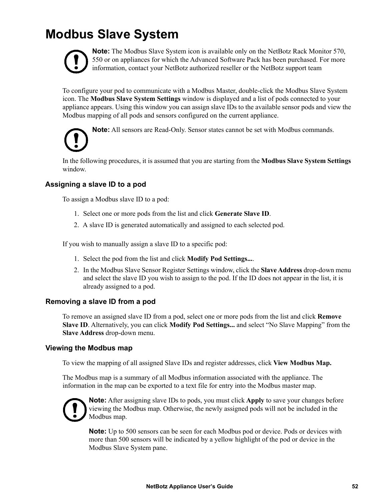### **Modbus Slave System**



**Note:** The Modbus Slave System icon is available only on the NetBotz Rack Monitor 570, 550 or on appliances for which the Advanced Software Pack has been purchased. For more information, contact your NetBotz authorized reseller or the NetBotz support team

To configure your pod to communicate with a Modbus Master, double-click the Modbus Slave System icon. The **Modbus Slave System Settings** window is displayed and a list of pods connected to your appliance appears. Using this window you can assign slave IDs to the available sensor pods and view the Modbus mapping of all pods and sensors configured on the current appliance.

**Note:** All sensors are Read-Only. Sensor states cannot be set with Modbus commands.

In the following procedures, it is assumed that you are starting from the **Modbus Slave System Settings**  window.

#### **Assigning a slave ID to a pod**

To assign a Modbus slave ID to a pod:

- 1. Select one or more pods from the list and click **Generate Slave ID**.
- 2. A slave ID is generated automatically and assigned to each selected pod.

If you wish to manually assign a slave ID to a specific pod:

- 1. Select the pod from the list and click **Modify Pod Settings...**.
- 2. In the Modbus Slave Sensor Register Settings window, click the **Slave Address** drop-down menu and select the slave ID you wish to assign to the pod. If the ID does not appear in the list, it is already assigned to a pod.

#### **Removing a slave ID from a pod**

To remove an assigned slave ID from a pod, select one or more pods from the list and click **Remove Slave ID**. Alternatively, you can click **Modify Pod Settings...** and select "No Slave Mapping" from the **Slave Address** drop-down menu.

#### **Viewing the Modbus map**

To view the mapping of all assigned Slave IDs and register addresses, click **View Modbus Map.**

The Modbus map is a summary of all Modbus information associated with the appliance. The information in the map can be exported to a text file for entry into the Modbus master map.



**Note:** After assigning slave IDs to pods, you must click **Apply** to save your changes before viewing the Modbus map. Otherwise, the newly assigned pods will not be included in the Modbus map.

**Note:** Up to 500 sensors can be seen for each Modbus pod or device. Pods or devices with more than 500 sensors will be indicated by a yellow highlight of the pod or device in the Modbus Slave System pane.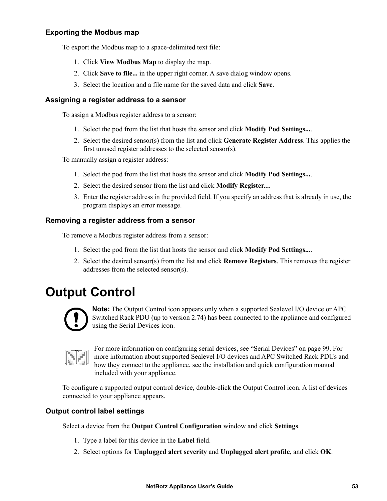#### **Exporting the Modbus map**

To export the Modbus map to a space-delimited text file:

- 1. Click **View Modbus Map** to display the map.
- 2. Click **Save to file...** in the upper right corner. A save dialog window opens.
- 3. Select the location and a file name for the saved data and click **Save**.

#### **Assigning a register address to a sensor**

To assign a Modbus register address to a sensor:

- 1. Select the pod from the list that hosts the sensor and click **Modify Pod Settings...**.
- 2. Select the desired sensor(s) from the list and click **Generate Register Address**. This applies the first unused register addresses to the selected sensor(s).

To manually assign a register address:

- 1. Select the pod from the list that hosts the sensor and click **Modify Pod Settings...**.
- 2. Select the desired sensor from the list and click **Modify Register...**.
- 3. Enter the register address in the provided field. If you specify an address that is already in use, the program displays an error message.

#### **Removing a register address from a sensor**

To remove a Modbus register address from a sensor:

- 1. Select the pod from the list that hosts the sensor and click **Modify Pod Settings...**.
- 2. Select the desired sensor(s) from the list and click **Remove Registers**. This removes the register addresses from the selected sensor(s).

### **Output Control**



**Note:** The Output Control icon appears only when a supported Sealevel I/O device or APC Switched Rack PDU (up to version 2.74) has been connected to the appliance and configured using the Serial Devices icon.

For more information on configuring serial devices, see ["Serial Devices" on page 99](#page-107-0). For more information about supported Sealevel I/O devices and APC Switched Rack PDUs and how they connect to the appliance, see the installation and quick configuration manual included with your appliance.

To configure a supported output control device, double-click the Output Control icon. A list of devices connected to your appliance appears.

#### **Output control label settings**

Select a device from the **Output Control Configuration** window and click **Settings**.

- 1. Type a label for this device in the **Label** field.
- 2. Select options for **Unplugged alert severity** and **Unplugged alert profile**, and click **OK**.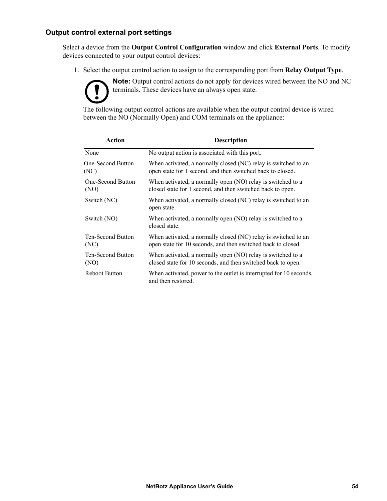#### **Output control external port settings**

Select a device from the **Output Control Configuration** window and click **External Ports**. To modify devices connected to your output control devices:

1. Select the output control action to assign to the corresponding port from **Relay Output Type**.

**Note:** Output control actions do not apply for devices wired between the NO and NC terminals. These devices have an always open state.

The following output control actions are available when the output control device is wired between the NO (Normally Open) and COM terminals on the appliance:

| Action                           | <b>Description</b>                                                                                                             |
|----------------------------------|--------------------------------------------------------------------------------------------------------------------------------|
| None                             | No output action is associated with this port.                                                                                 |
| <b>One-Second Button</b><br>(NC) | When activated, a normally closed (NC) relay is switched to an<br>open state for 1 second, and then switched back to closed.   |
| One-Second Button<br>(NO)        | When activated, a normally open (NO) relay is switched to a<br>closed state for 1 second, and then switched back to open.      |
| Switch (NC)                      | When activated, a normally closed (NC) relay is switched to an<br>open state.                                                  |
| Switch (NO)                      | When activated, a normally open (NO) relay is switched to a<br>closed state.                                                   |
| <b>Ten-Second Button</b><br>(NC) | When activated, a normally closed (NC) relay is switched to an<br>open state for 10 seconds, and then switched back to closed. |
| <b>Ten-Second Button</b><br>(NO) | When activated, a normally open (NO) relay is switched to a<br>closed state for 10 seconds, and then switched back to open.    |
| <b>Reboot Button</b>             | When activated, power to the outlet is interrupted for 10 seconds,<br>and then restored.                                       |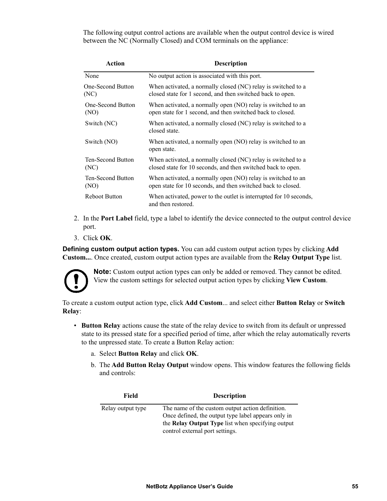The following output control actions are available when the output control device is wired between the NC (Normally Closed) and COM terminals on the appliance:

| Action                           | <b>Description</b>                                                                                                            |
|----------------------------------|-------------------------------------------------------------------------------------------------------------------------------|
| None                             | No output action is associated with this port.                                                                                |
| <b>One-Second Button</b><br>(NC) | When activated, a normally closed (NC) relay is switched to a<br>closed state for 1 second, and then switched back to open.   |
| One-Second Button<br>(NO)        | When activated, a normally open (NO) relay is switched to an<br>open state for 1 second, and then switched back to closed.    |
| Switch (NC)                      | When activated, a normally closed (NC) relay is switched to a<br>closed state.                                                |
| Switch (NO)                      | When activated, a normally open (NO) relay is switched to an<br>open state.                                                   |
| Ten-Second Button<br>(NC)        | When activated, a normally closed (NC) relay is switched to a<br>closed state for 10 seconds, and then switched back to open. |
| Ten-Second Button<br>(NO)        | When activated, a normally open (NO) relay is switched to an<br>open state for 10 seconds, and then switched back to closed.  |
| <b>Reboot Button</b>             | When activated, power to the outlet is interrupted for 10 seconds,<br>and then restored.                                      |

- 2. In the **Port Label** field, type a label to identify the device connected to the output control device port.
- 3. Click **OK**.

**Defining custom output action types.** You can add custom output action types by clicking **Add Custom...**. Once created, custom output action types are available from the **Relay Output Type** list.



**Note:** Custom output action types can only be added or removed. They cannot be edited. View the custom settings for selected output action types by clicking **View Custom**.

To create a custom output action type, click **Add Custom**... and select either **Button Relay** or **Switch Relay**:

- **Button Relay** actions cause the state of the relay device to switch from its default or unpressed state to its pressed state for a specified period of time, after which the relay automatically reverts to the unpressed state. To create a Button Relay action:
	- a. Select **Button Relay** and click **OK**.
	- b. The **Add Button Relay Output** window opens. This window features the following fields and controls:

| Field             | <b>Description</b>                                                                                       |
|-------------------|----------------------------------------------------------------------------------------------------------|
| Relay output type | The name of the custom output action definition.                                                         |
|                   | Once defined, the output type label appears only in<br>the Relay Output Type list when specifying output |
|                   | control external port settings.                                                                          |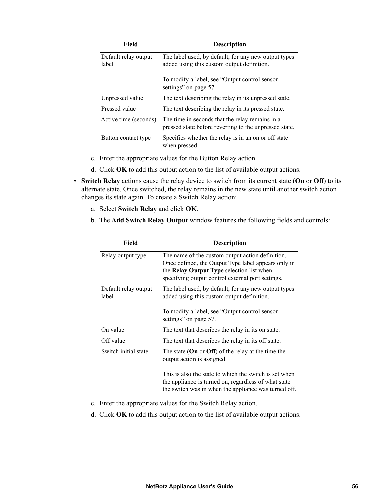| Field                         | <b>Description</b>                                                                                        |
|-------------------------------|-----------------------------------------------------------------------------------------------------------|
| Default relay output<br>label | The label used, by default, for any new output types<br>added using this custom output definition.        |
|                               | To modify a label, see "Output control sensor"<br>settings" on page 57.                                   |
| Unpressed value               | The text describing the relay in its unpressed state.                                                     |
| Pressed value                 | The text describing the relay in its pressed state.                                                       |
| Active time (seconds)         | The time in seconds that the relay remains in a<br>pressed state before reverting to the unpressed state. |
| Button contact type           | Specifies whether the relay is in an on or off state<br>when pressed.                                     |

- c. Enter the appropriate values for the Button Relay action.
- d. Click **OK** to add this output action to the list of available output actions.
- **Switch Relay** actions cause the relay device to switch from its current state (**On** or **Off**) to its alternate state. Once switched, the relay remains in the new state until another switch action changes its state again. To create a Switch Relay action:
	- a. Select **Switch Relay** and click **OK**.
	- b. The **Add Switch Relay Output** window features the following fields and controls:

| <b>Field</b>                  | <b>Description</b>                                                                                                                                                                                               |
|-------------------------------|------------------------------------------------------------------------------------------------------------------------------------------------------------------------------------------------------------------|
| Relay output type             | The name of the custom output action definition.<br>Once defined, the Output Type label appears only in<br>the <b>Relay Output Type</b> selection list when<br>specifying output control external port settings. |
| Default relay output<br>label | The label used, by default, for any new output types<br>added using this custom output definition.                                                                                                               |
|                               | To modify a label, see "Output control sensor<br>settings" on page 57.                                                                                                                                           |
| On value                      | The text that describes the relay in its on state.                                                                                                                                                               |
| Off value                     | The text that describes the relay in its off state.                                                                                                                                                              |
| Switch initial state          | The state (On or Off) of the relay at the time the<br>output action is assigned.                                                                                                                                 |
|                               | This is also the state to which the switch is set when<br>the appliance is turned on, regardless of what state<br>the switch was in when the appliance was turned off.                                           |

- c. Enter the appropriate values for the Switch Relay action.
- d. Click **OK** to add this output action to the list of available output actions.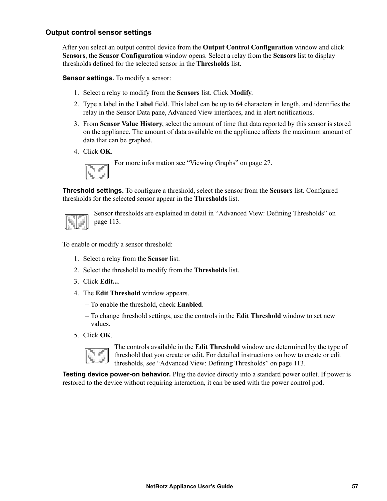#### <span id="page-65-0"></span>**Output control sensor settings**

After you select an output control device from the **Output Control Configuration** window and click **Sensors**, the **Sensor Configuration** window opens. Select a relay from the **Sensors** list to display thresholds defined for the selected sensor in the **Thresholds** list.

**Sensor settings.** To modify a sensor:

- 1. Select a relay to modify from the **Sensors** list. Click **Modify**.
- 2. Type a label in the **Label** field. This label can be up to 64 characters in length, and identifies the relay in the Sensor Data pane, Advanced View interfaces, and in alert notifications.
- 3. From **Sensor Value History**, select the amount of time that data reported by this sensor is stored on the appliance. The amount of data available on the appliance affects the maximum amount of data that can be graphed.
- 4. Click **OK**.



For more information see ["Viewing Graphs" on page 27](#page-35-0).

**Threshold settings.** To configure a threshold, select the sensor from the **Sensors** list. Configured thresholds for the selected sensor appear in the **Thresholds** list.

Sensor thresholds are explained in detail in ["Advanced View: Defining Thresholds" on](#page-121-0)  [page 113.](#page-121-0)

To enable or modify a sensor threshold:

- 1. Select a relay from the **Sensor** list.
- 2. Select the threshold to modify from the **Thresholds** list.
- 3. Click **Edit...**.
- 4. The **Edit Threshold** window appears.
	- To enable the threshold, check **Enabled**.
	- To change threshold settings, use the controls in the **Edit Threshold** window to set new values.
- 5. Click **OK**.

The controls available in the **Edit Threshold** window are determined by the type of threshold that you create or edit. For detailed instructions on how to create or edit thresholds, see ["Advanced View: Defining Thresholds" on page 113.](#page-121-0)

**Testing device power-on behavior.** Plug the device directly into a standard power outlet. If power is restored to the device without requiring interaction, it can be used with the power control pod.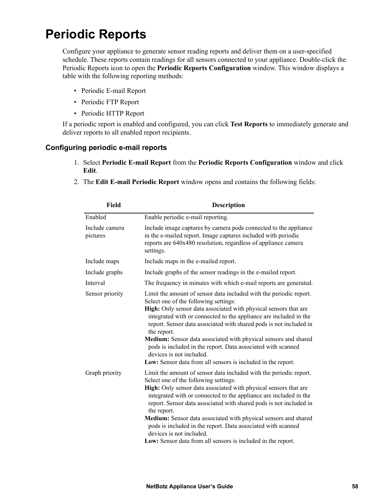### **Periodic Reports**

Configure your appliance to generate sensor reading reports and deliver them on a user-specified schedule. These reports contain readings for all sensors connected to your appliance. Double-click the Periodic Reports icon to open the **Periodic Reports Configuration** window. This window displays a table with the following reporting methods:

- Periodic E-mail Report
- Periodic FTP Report
- Periodic HTTP Report

If a periodic report is enabled and configured, you can click **Test Reports** to immediately generate and deliver reports to all enabled report recipients.

#### **Configuring periodic e-mail reports**

- 1. Select **Periodic E-mail Report** from the **Periodic Reports Configuration** window and click **Edit**.
- 2. The **Edit E-mail Periodic Report** window opens and contains the following fields:

| Field                      | <b>Description</b>                                                                                                                                                                                                                                                                                                                                                                                                                                                                                                                                                       |
|----------------------------|--------------------------------------------------------------------------------------------------------------------------------------------------------------------------------------------------------------------------------------------------------------------------------------------------------------------------------------------------------------------------------------------------------------------------------------------------------------------------------------------------------------------------------------------------------------------------|
| Enabled                    | Enable periodic e-mail reporting.                                                                                                                                                                                                                                                                                                                                                                                                                                                                                                                                        |
| Include camera<br>pictures | Include image captures by camera pods connected to the appliance<br>in the e-mailed report. Image captures included with periodic<br>reports are 640x480 resolution, regardless of appliance camera<br>settings.                                                                                                                                                                                                                                                                                                                                                         |
| Include maps               | Include maps in the e-mailed report.                                                                                                                                                                                                                                                                                                                                                                                                                                                                                                                                     |
| Include graphs             | Include graphs of the sensor readings in the e-mailed report.                                                                                                                                                                                                                                                                                                                                                                                                                                                                                                            |
| Interval                   | The frequency in minutes with which e-mail reports are generated.                                                                                                                                                                                                                                                                                                                                                                                                                                                                                                        |
| Sensor priority            | Limit the amount of sensor data included with the periodic report.<br>Select one of the following settings:<br>High: Only sensor data associated with physical sensors that are<br>integrated with or connected to the appliance are included in the<br>report. Sensor data associated with shared pods is not included in<br>the report.<br>Medium: Sensor data associated with physical sensors and shared<br>pods is included in the report. Data associated with scanned<br>devices is not included.<br>Low: Sensor data from all sensors is included in the report. |
| Graph priority             | Limit the amount of sensor data included with the periodic report.<br>Select one of the following settings:<br>High: Only sensor data associated with physical sensors that are<br>integrated with or connected to the appliance are included in the<br>report. Sensor data associated with shared pods is not included in<br>the report.<br>Medium: Sensor data associated with physical sensors and shared<br>pods is included in the report. Data associated with scanned<br>devices is not included.<br>Low: Sensor data from all sensors is included in the report. |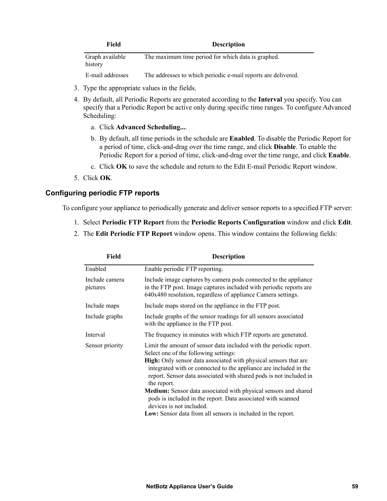| Field                      | <b>Description</b>                                 |
|----------------------------|----------------------------------------------------|
| Graph available<br>history | The maximum time period for which data is graphed. |

E-mail addresses The addresses to which periodic e-mail reports are delivered.

- 3. Type the appropriate values in the fields.
- 4. By default, all Periodic Reports are generated according to the **Interval** you specify. You can specify that a Periodic Report be active only during specific time ranges. To configure Advanced Scheduling:
	- a. Click **Advanced Scheduling...**.
	- b. By default, all time periods in the schedule are **Enabled**. To disable the Periodic Report for a period of time, click-and-drag over the time range, and click **Disable**. To enable the Periodic Report for a period of time, click-and-drag over the time range, and click **Enable**.
	- c. Click **OK** to save the schedule and return to the Edit E-mail Periodic Report window.
- 5. Click **OK**.

#### **Configuring periodic FTP reports**

To configure your appliance to periodically generate and deliver sensor reports to a specified FTP server:

- 1. Select **Periodic FTP Report** from the **Periodic Reports Configuration** window and click **Edit**.
- 2. The **Edit Periodic FTP Report** window opens. This window contains the following fields:

| Field                      | <b>Description</b>                                                                                                                                                                                                                                                                                                                                                                                                                                                                                              |  |  |
|----------------------------|-----------------------------------------------------------------------------------------------------------------------------------------------------------------------------------------------------------------------------------------------------------------------------------------------------------------------------------------------------------------------------------------------------------------------------------------------------------------------------------------------------------------|--|--|
| Enabled                    | Enable periodic FTP reporting.                                                                                                                                                                                                                                                                                                                                                                                                                                                                                  |  |  |
| Include camera<br>pictures | Include image captures by camera pods connected to the appliance<br>in the FTP post. Image captures included with periodic reports are<br>640x480 resolution, regardless of appliance Camera settings.                                                                                                                                                                                                                                                                                                          |  |  |
| Include maps               | Include maps stored on the appliance in the FTP post.                                                                                                                                                                                                                                                                                                                                                                                                                                                           |  |  |
| Include graphs             | Include graphs of the sensor readings for all sensors associated<br>with the appliance in the FTP post.                                                                                                                                                                                                                                                                                                                                                                                                         |  |  |
| Interval                   | The frequency in minutes with which FTP reports are generated.                                                                                                                                                                                                                                                                                                                                                                                                                                                  |  |  |
| Sensor priority            | Limit the amount of sensor data included with the periodic report.<br>Select one of the following settings:<br><b>High:</b> Only sensor data associated with physical sensors that are<br>integrated with or connected to the appliance are included in the<br>report. Sensor data associated with shared pods is not included in<br>the report.<br>Medium: Sensor data associated with physical sensors and shared<br>pods is included in the report. Data associated with scanned<br>devices is not included. |  |  |
|                            | Low: Sensor data from all sensors is included in the report.                                                                                                                                                                                                                                                                                                                                                                                                                                                    |  |  |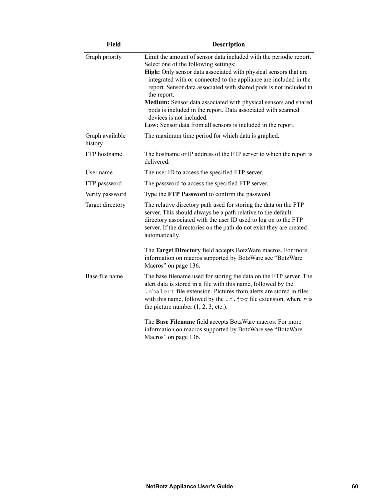| <b>Field</b>               | <b>Description</b>                                                                                                                                                                                                                                                                                                                                                                                                                                                                                                                                                       |  |
|----------------------------|--------------------------------------------------------------------------------------------------------------------------------------------------------------------------------------------------------------------------------------------------------------------------------------------------------------------------------------------------------------------------------------------------------------------------------------------------------------------------------------------------------------------------------------------------------------------------|--|
| Graph priority             | Limit the amount of sensor data included with the periodic report.<br>Select one of the following settings:<br>High: Only sensor data associated with physical sensors that are<br>integrated with or connected to the appliance are included in the<br>report. Sensor data associated with shared pods is not included in<br>the report.<br>Medium: Sensor data associated with physical sensors and shared<br>pods is included in the report. Data associated with scanned<br>devices is not included.<br>Low: Sensor data from all sensors is included in the report. |  |
| Graph available<br>history | The maximum time period for which data is graphed.                                                                                                                                                                                                                                                                                                                                                                                                                                                                                                                       |  |
| FTP hostname               | The hostname or IP address of the FTP server to which the report is<br>delivered.                                                                                                                                                                                                                                                                                                                                                                                                                                                                                        |  |
| User name                  | The user ID to access the specified FTP server.                                                                                                                                                                                                                                                                                                                                                                                                                                                                                                                          |  |
| FTP password               | The password to access the specified FTP server.                                                                                                                                                                                                                                                                                                                                                                                                                                                                                                                         |  |
| Verify password            | Type the FTP Password to confirm the password.                                                                                                                                                                                                                                                                                                                                                                                                                                                                                                                           |  |
| Target directory           | The relative directory path used for storing the data on the FTP<br>server. This should always be a path relative to the default<br>directory associated with the user ID used to log on to the FTP<br>server. If the directories on the path do not exist they are created<br>automatically.                                                                                                                                                                                                                                                                            |  |
|                            | The Target Directory field accepts BotzWare macros. For more<br>information on macros supported by BotzWare see "BotzWare<br>Macros" on page 136.                                                                                                                                                                                                                                                                                                                                                                                                                        |  |
| Base file name             | The base filename used for storing the data on the FTP server. The<br>alert data is stored in a file with this name, followed by the<br>.nbalert file extension. Pictures from alerts are stored in files<br>with this name, followed by the $\ldots$ jpg file extension, where <i>n</i> is<br>the picture number $(1, 2, 3, etc.).$                                                                                                                                                                                                                                     |  |
|                            | The Base Filename field accepts BotzWare macros. For more<br>information on macros supported by BotzWare see "BotzWare<br>Macros" on page 136.                                                                                                                                                                                                                                                                                                                                                                                                                           |  |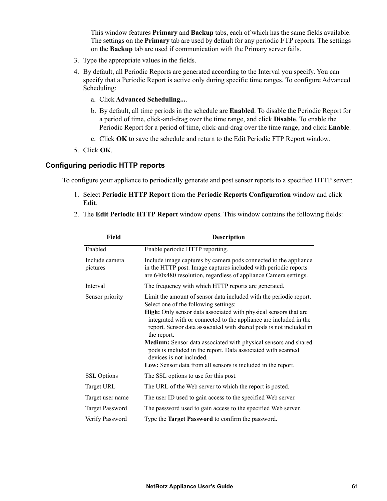This window features **Primary** and **Backup** tabs, each of which has the same fields available. The settings on the **Primary** tab are used by default for any periodic FTP reports. The settings on the **Backup** tab are used if communication with the Primary server fails.

- 3. Type the appropriate values in the fields.
- 4. By default, all Periodic Reports are generated according to the Interval you specify. You can specify that a Periodic Report is active only during specific time ranges. To configure Advanced Scheduling:
	- a. Click **Advanced Scheduling...**.
	- b. By default, all time periods in the schedule are **Enabled**. To disable the Periodic Report for a period of time, click-and-drag over the time range, and click **Disable**. To enable the Periodic Report for a period of time, click-and-drag over the time range, and click **Enable**.
	- c. Click **OK** to save the schedule and return to the Edit Periodic FTP Report window.
- 5. Click **OK**.

#### **Configuring periodic HTTP reports**

To configure your appliance to periodically generate and post sensor reports to a specified HTTP server:

- 1. Select **Periodic HTTP Report** from the **Periodic Reports Configuration** window and click **Edit**.
- 2. The **Edit Periodic HTTP Report** window opens. This window contains the following fields:

| <b>Field</b>               | <b>Description</b>                                                                                                                                                                                                                                                                                                                                                                                                                                                                                                                                                       |  |
|----------------------------|--------------------------------------------------------------------------------------------------------------------------------------------------------------------------------------------------------------------------------------------------------------------------------------------------------------------------------------------------------------------------------------------------------------------------------------------------------------------------------------------------------------------------------------------------------------------------|--|
| Enabled                    | Enable periodic HTTP reporting.                                                                                                                                                                                                                                                                                                                                                                                                                                                                                                                                          |  |
| Include camera<br>pictures | Include image captures by camera pods connected to the appliance<br>in the HTTP post. Image captures included with periodic reports<br>are 640x480 resolution, regardless of appliance Camera settings.                                                                                                                                                                                                                                                                                                                                                                  |  |
| Interval                   | The frequency with which HTTP reports are generated.                                                                                                                                                                                                                                                                                                                                                                                                                                                                                                                     |  |
| Sensor priority            | Limit the amount of sensor data included with the periodic report.<br>Select one of the following settings:<br>High: Only sensor data associated with physical sensors that are<br>integrated with or connected to the appliance are included in the<br>report. Sensor data associated with shared pods is not included in<br>the report.<br>Medium: Sensor data associated with physical sensors and shared<br>pods is included in the report. Data associated with scanned<br>devices is not included.<br>Low: Sensor data from all sensors is included in the report. |  |
| <b>SSL Options</b>         | The SSL options to use for this post.                                                                                                                                                                                                                                                                                                                                                                                                                                                                                                                                    |  |
| Target URL                 | The URL of the Web server to which the report is posted.                                                                                                                                                                                                                                                                                                                                                                                                                                                                                                                 |  |
| Target user name           | The user ID used to gain access to the specified Web server.                                                                                                                                                                                                                                                                                                                                                                                                                                                                                                             |  |
| <b>Target Password</b>     | The password used to gain access to the specified Web server.                                                                                                                                                                                                                                                                                                                                                                                                                                                                                                            |  |
| Verify Password            | Type the Target Password to confirm the password.                                                                                                                                                                                                                                                                                                                                                                                                                                                                                                                        |  |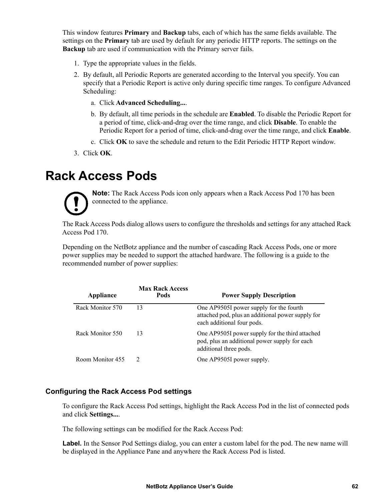This window features **Primary** and **Backup** tabs, each of which has the same fields available. The settings on the **Primary** tab are used by default for any periodic HTTP reports. The settings on the **Backup** tab are used if communication with the Primary server fails.

- 1. Type the appropriate values in the fields.
- 2. By default, all Periodic Reports are generated according to the Interval you specify. You can specify that a Periodic Report is active only during specific time ranges. To configure Advanced Scheduling:
	- a. Click **Advanced Scheduling...**.
	- b. By default, all time periods in the schedule are **Enabled**. To disable the Periodic Report for a period of time, click-and-drag over the time range, and click **Disable**. To enable the Periodic Report for a period of time, click-and-drag over the time range, and click **Enable**.
	- c. Click **OK** to save the schedule and return to the Edit Periodic HTTP Report window.
- 3. Click **OK**.

### **Rack Access Pods**



**Note:** The Rack Access Pods icon only appears when a Rack Access Pod 170 has been connected to the appliance.

The Rack Access Pods dialog allows users to configure the thresholds and settings for any attached Rack Access Pod 170.

Depending on the NetBotz appliance and the number of cascading Rack Access Pods, one or more power supplies may be needed to support the attached hardware. The following is a guide to the recommended number of power supplies:

| Appliance        | <b>Max Rack Access</b><br>Pods | <b>Power Supply Description</b>                                                                                            |
|------------------|--------------------------------|----------------------------------------------------------------------------------------------------------------------------|
| Rack Monitor 570 | 13                             | One AP9505I power supply for the fourth<br>attached pod, plus an additional power supply for<br>each additional four pods. |
| Rack Monitor 550 | 13                             | One AP9505I power supply for the third attached<br>pod, plus an additional power supply for each<br>additional three pods. |
| Room Monitor 455 |                                | One AP9505I power supply.                                                                                                  |

#### **Configuring the Rack Access Pod settings**

To configure the Rack Access Pod settings, highlight the Rack Access Pod in the list of connected pods and click **Settings...**.

The following settings can be modified for the Rack Access Pod:

**Label.** In the Sensor Pod Settings dialog, you can enter a custom label for the pod. The new name will be displayed in the Appliance Pane and anywhere the Rack Access Pod is listed.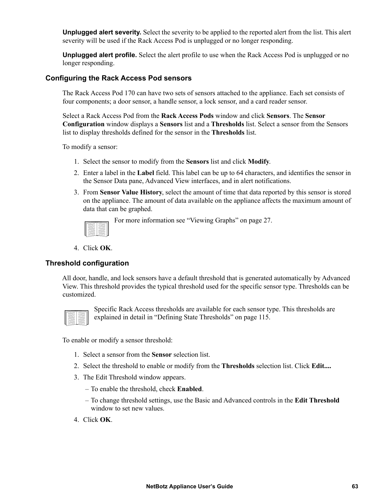**Unplugged alert severity.** Select the severity to be applied to the reported alert from the list. This alert severity will be used if the Rack Access Pod is unplugged or no longer responding.

**Unplugged alert profile.** Select the alert profile to use when the Rack Access Pod is unplugged or no longer responding.

#### **Configuring the Rack Access Pod sensors**

The Rack Access Pod 170 can have two sets of sensors attached to the appliance. Each set consists of four components; a door sensor, a handle sensor, a lock sensor, and a card reader sensor.

Select a Rack Access Pod from the **Rack Access Pods** window and click **Sensors**. The **Sensor Configuration** window displays a **Sensors** list and a **Thresholds** list. Select a sensor from the Sensors list to display thresholds defined for the sensor in the **Thresholds** list.

To modify a sensor:

- 1. Select the sensor to modify from the **Sensors** list and click **Modify**.
- 2. Enter a label in the **Label** field. This label can be up to 64 characters, and identifies the sensor in the Sensor Data pane, Advanced View interfaces, and in alert notifications.
- 3. From **Sensor Value History**, select the amount of time that data reported by this sensor is stored on the appliance. The amount of data available on the appliance affects the maximum amount of data that can be graphed.

For more information see ["Viewing Graphs" on page 27](#page-35-0).

4. Click **OK**.

#### **Threshold configuration**

All door, handle, and lock sensors have a default threshold that is generated automatically by Advanced View. This threshold provides the typical threshold used for the specific sensor type. Thresholds can be customized.



Specific Rack Access thresholds are available for each sensor type. This thresholds are explained in detail in ["Defining State Thresholds" on page 115](#page-123-0).

To enable or modify a sensor threshold:

- 1. Select a sensor from the **Sensor** selection list.
- 2. Select the threshold to enable or modify from the **Thresholds** selection list. Click **Edit....**
- 3. The Edit Threshold window appears.
	- To enable the threshold, check **Enabled**.
	- To change threshold settings, use the Basic and Advanced controls in the **Edit Threshold** window to set new values.
- 4. Click **OK**.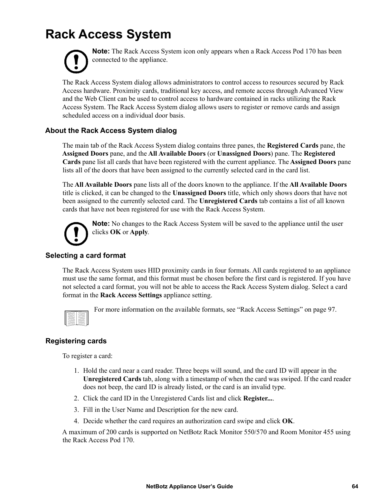## **Rack Access System**



**Note:** The Rack Access System icon only appears when a Rack Access Pod 170 has been connected to the appliance.

The Rack Access System dialog allows administrators to control access to resources secured by Rack Access hardware. Proximity cards, traditional key access, and remote access through Advanced View and the Web Client can be used to control access to hardware contained in racks utilizing the Rack Access System. The Rack Access System dialog allows users to register or remove cards and assign scheduled access on a individual door basis.

#### **About the Rack Access System dialog**

The main tab of the Rack Access System dialog contains three panes, the **Registered Cards** pane, the **Assigned Doors** pane, and the **All Available Doors** (or **Unassigned Doors**) pane. The **Registered Cards** pane list all cards that have been registered with the current appliance. The **Assigned Doors** pane lists all of the doors that have been assigned to the currently selected card in the card list.

The **All Available Doors** pane lists all of the doors known to the appliance. If the **All Available Doors** title is clicked, it can be changed to the **Unassigned Doors** title, which only shows doors that have not been assigned to the currently selected card. The **Unregistered Cards** tab contains a list of all known cards that have not been registered for use with the Rack Access System.



**Note:** No changes to the Rack Access System will be saved to the appliance until the user clicks **OK** or **Apply**.

#### **Selecting a card format**

The Rack Access System uses HID proximity cards in four formats. All cards registered to an appliance must use the same format, and this format must be chosen before the first card is registered. If you have not selected a card format, you will not be able to access the Rack Access System dialog. Select a card format in the **Rack Access Settings** appliance setting.



For more information on the available formats, see ["Rack Access Settings" on page 97](#page-105-0).

#### **Registering cards**

To register a card:

- 1. Hold the card near a card reader. Three beeps will sound, and the card ID will appear in the **Unregistered Cards** tab, along with a timestamp of when the card was swiped. If the card reader does not beep, the card ID is already listed, or the card is an invalid type.
- 2. Click the card ID in the Unregistered Cards list and click **Register...**.
- 3. Fill in the User Name and Description for the new card.
- 4. Decide whether the card requires an authorization card swipe and click **OK**.

A maximum of 200 cards is supported on NetBotz Rack Monitor 550/570 and Room Monitor 455 using the Rack Access Pod 170.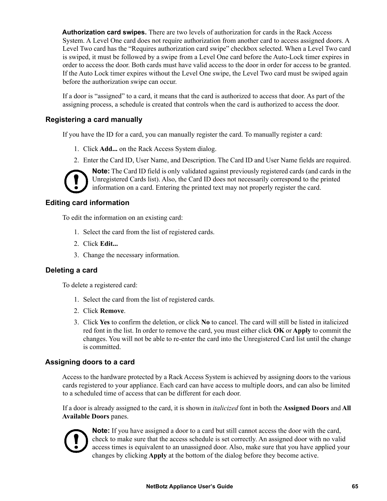**Authorization card swipes.** There are two levels of authorization for cards in the Rack Access System. A Level One card does not require authorization from another card to access assigned doors. A Level Two card has the "Requires authorization card swipe" checkbox selected. When a Level Two card is swiped, it must be followed by a swipe from a Level One card before the Auto-Lock timer expires in order to access the door. Both cards must have valid access to the door in order for access to be granted. If the Auto Lock timer expires without the Level One swipe, the Level Two card must be swiped again before the authorization swipe can occur.

If a door is "assigned" to a card, it means that the card is authorized to access that door. As part of the assigning process, a schedule is created that controls when the card is authorized to access the door.

#### **Registering a card manually**

If you have the ID for a card, you can manually register the card. To manually register a card:

- 1. Click **Add...** on the Rack Access System dialog.
- 2. Enter the Card ID, User Name, and Description. The Card ID and User Name fields are required.



**Note:** The Card ID field is only validated against previously registered cards (and cards in the Unregistered Cards list). Also, the Card ID does not necessarily correspond to the printed information on a card. Entering the printed text may not properly register the card.

#### **Editing card information**

To edit the information on an existing card:

- 1. Select the card from the list of registered cards.
- 2. Click **Edit...**
- 3. Change the necessary information.

#### **Deleting a card**

To delete a registered card:

- 1. Select the card from the list of registered cards.
- 2. Click **Remove**.
- 3. Click **Yes** to confirm the deletion, or click **No** to cancel. The card will still be listed in italicized red font in the list. In order to remove the card, you must either click **OK** or **Apply** to commit the changes. You will not be able to re-enter the card into the Unregistered Card list until the change is committed.

#### **Assigning doors to a card**

Access to the hardware protected by a Rack Access System is achieved by assigning doors to the various cards registered to your appliance. Each card can have access to multiple doors, and can also be limited to a scheduled time of access that can be different for each door.

If a door is already assigned to the card, it is shown in *italicized* font in both the **Assigned Doors** and **All Available Doors** panes.



**Note:** If you have assigned a door to a card but still cannot access the door with the card, check to make sure that the access schedule is set correctly. An assigned door with no valid access times is equivalent to an unassigned door. Also, make sure that you have applied your changes by clicking **Apply** at the bottom of the dialog before they become active.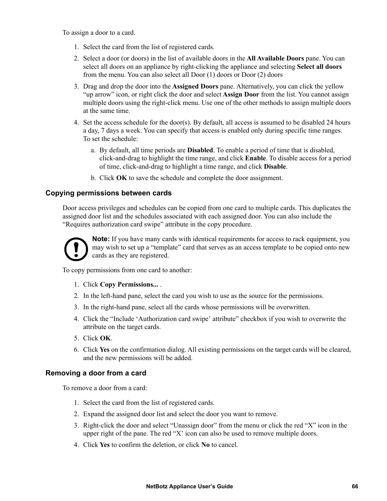To assign a door to a card.

- 1. Select the card from the list of registered cards.
- 2. Select a door (or doors) in the list of available doors in the **All Available Doors** pane. You can select all doors on an appliance by right-clicking the appliance and selecting **Select all doors** from the menu. You can also select all Door (1) doors or Door (2) doors
- 3. Drag and drop the door into the **Assigned Doors** pane. Alternatively, you can click the yellow "up arrow" icon, or right click the door and select **Assign Door** from the list. You cannot assign multiple doors using the right-click menu. Use one of the other methods to assign multiple doors at the same time.
- 4. Set the access schedule for the door(s). By default, all access is assumed to be disabled 24 hours a day, 7 days a week. You can specify that access is enabled only during specific time ranges. To set the schedule:
	- a. By default, all time periods are **Disabled**. To enable a period of time that is disabled, click-and-drag to highlight the time range, and click **Enable**. To disable access for a period of time, click-and-drag to highlight a time range, and click **Disable**.
	- b. Click **OK** to save the schedule and complete the door assignment.

#### **Copying permissions between cards**

Door access privileges and schedules can be copied from one card to multiple cards. This duplicates the assigned door list and the schedules associated with each assigned door. You can also include the "Requires authorization card swipe" attribute in the copy procedure.



**Note:** If you have many cards with identical requirements for access to rack equipment, you may wish to set up a "template" card that serves as an access template to be copied onto new cards as they are registered.

To copy permissions from one card to another:

- 1. Click **Copy Permissions...** .
- 2. In the left-hand pane, select the card you wish to use as the source for the permissions.
- 3. In the right-hand pane, select all the cards whose permissions will be overwritten.
- 4. Click the "Include 'Authorization card swipe' attribute" checkbox if you wish to overwrite the attribute on the target cards.
- 5. Click **OK**.
- 6. Click **Yes** on the confirmation dialog. All existing permissions on the target cards will be cleared, and the new permissions will be added.

#### **Removing a door from a card**

To remove a door from a card:

- 1. Select the card from the list of registered cards.
- 2. Expand the assigned door list and select the door you want to remove.
- 3. Right-click the door and select "Unassign door" from the menu or click the red "X" icon in the upper right of the pane. The red " $X$ " icon can also be used to remove multiple doors.
- 4. Click **Yes** to confirm the deletion, or click **No** to cancel.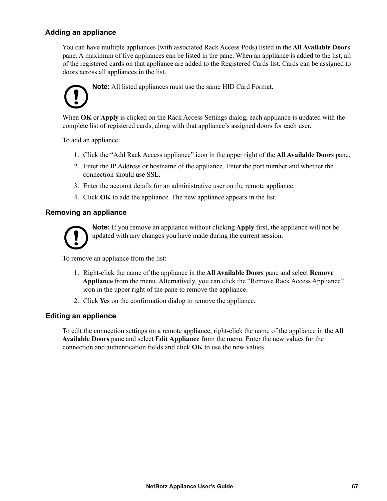#### **Adding an appliance**

You can have multiple appliances (with associated Rack Access Pods) listed in the **All Available Doors** pane. A maximum of five appliances can be listed in the pane. When an appliance is added to the list, all of the registered cards on that appliance are added to the Registered Cards list. Cards can be assigned to doors across all appliances in the list.



When **OK** or **Apply** is clicked on the Rack Access Settings dialog, each appliance is updated with the complete list of registered cards, along with that appliance's assigned doors for each user.

To add an appliance:

- 1. Click the "Add Rack Access appliance" icon in the upper right of the **All Available Doors** pane.
- 2. Enter the IP Address or hostname of the appliance. Enter the port number and whether the connection should use SSL.
- 3. Enter the account details for an administrative user on the remote appliance.
- 4. Click **OK** to add the appliance. The new appliance appears in the list.

#### **Removing an appliance**



**Note:** If you remove an appliance without clicking **Apply** first, the appliance will not be updated with any changes you have made during the current session.

To remove an appliance from the list:

- 1. Right-click the name of the appliance in the **All Available Doors** pane and select **Remove Appliance** from the menu. Alternatively, you can click the "Remove Rack Access Appliance" icon in the upper right of the pane to remove the appliance.
- 2. Click **Yes** on the confirmation dialog to remove the appliance.

#### **Editing an appliance**

To edit the connection settings on a remote appliance, right-click the name of the appliance in the **All Available Doors** pane and select **Edit Appliance** from the menu. Enter the new values for the connection and authentication fields and click **OK** to use the new values.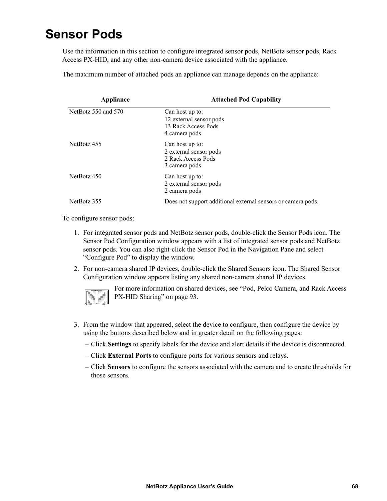### <span id="page-76-0"></span>**Sensor Pods**

Use the information in this section to configure integrated sensor pods, NetBotz sensor pods, Rack Access PX-HID, and any other non-camera device associated with the appliance.

The maximum number of attached pods an appliance can manage depends on the appliance:

| Appliance           | <b>Attached Pod Capability</b>                                                     |
|---------------------|------------------------------------------------------------------------------------|
| NetBotz 550 and 570 | Can host up to:<br>12 external sensor pods<br>13 Rack Access Pods<br>4 camera pods |
| NetBotz 455         | Can host up to:<br>2 external sensor pods<br>2 Rack Access Pods<br>3 camera pods   |
| NetBotz 450         | Can host up to:<br>2 external sensor pods<br>2 camera pods                         |
| NetBotz 355         | Does not support additional external sensors or camera pods.                       |

To configure sensor pods:

- 1. For integrated sensor pods and NetBotz sensor pods, double-click the Sensor Pods icon. The Sensor Pod Configuration window appears with a list of integrated sensor pods and NetBotz sensor pods. You can also right-click the Sensor Pod in the Navigation Pane and select "Configure Pod" to display the window.
- 2. For non-camera shared IP devices, double-click the Shared Sensors icon. The Shared Sensor Configuration window appears listing any shared non-camera shared IP devices.

|   | r  |
|---|----|
|   |    |
|   |    |
|   |    |
|   |    |
|   |    |
| ٠ | ۰  |
|   | __ |

For more information on shared devices, see ["Pod, Pelco Camera, and Rack Access](#page-101-0)  [PX-HID Sharing" on page 93](#page-101-0).

- 3. From the window that appeared, select the device to configure, then configure the device by using the buttons described below and in greater detail on the following pages:
	- Click **Settings** to specify labels for the device and alert details if the device is disconnected.
	- Click **External Ports** to configure ports for various sensors and relays.
	- Click **Sensors** to configure the sensors associated with the camera and to create thresholds for those sensors.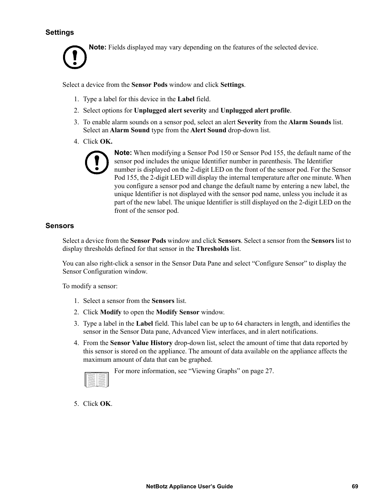#### <span id="page-77-0"></span>**Settings**

**Note:** Fields displayed may vary depending on the features of the selected device.

Select a device from the **Sensor Pods** window and click **Settings**.

- 1. Type a label for this device in the **Label** field.
- 2. Select options for **Unplugged alert severity** and **Unplugged alert profile**.
- 3. To enable alarm sounds on a sensor pod, select an alert **Severity** from the **Alarm Sounds** list. Select an **Alarm Sound** type from the **Alert Sound** drop-down list.
- 4. Click **OK.**



**Note:** When modifying a Sensor Pod 150 or Sensor Pod 155, the default name of the sensor pod includes the unique Identifier number in parenthesis. The Identifier number is displayed on the 2-digit LED on the front of the sensor pod. For the Sensor Pod 155, the 2-digit LED will display the internal temperature after one minute. When you configure a sensor pod and change the default name by entering a new label, the unique Identifier is not displayed with the sensor pod name, unless you include it as part of the new label. The unique Identifier is still displayed on the 2-digit LED on the front of the sensor pod.

#### **Sensors**

Select a device from the **Sensor Pods** window and click **Sensors**. Select a sensor from the **Sensors** list to display thresholds defined for that sensor in the **Thresholds** list.

You can also right-click a sensor in the Sensor Data Pane and select "Configure Sensor" to display the Sensor Configuration window.

To modify a sensor:

- 1. Select a sensor from the **Sensors** list.
- 2. Click **Modify** to open the **Modify Sensor** window.
- 3. Type a label in the **Label** field. This label can be up to 64 characters in length, and identifies the sensor in the Sensor Data pane, Advanced View interfaces, and in alert notifications.
- 4. From the **Sensor Value History** drop-down list, select the amount of time that data reported by this sensor is stored on the appliance. The amount of data available on the appliance affects the maximum amount of data that can be graphed.



For more information, see ["Viewing Graphs" on page 27](#page-35-0).

5. Click **OK**.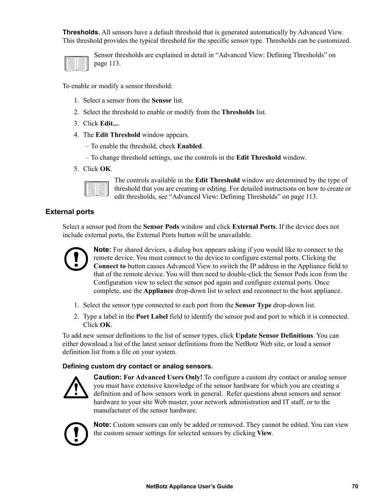**Thresholds.** All sensors have a default threshold that is generated automatically by Advanced View. This threshold provides the typical threshold for the specific sensor type. Thresholds can be customized.

| ı |  |
|---|--|

Sensor thresholds are explained in detail in ["Advanced View: Defining Thresholds" on](#page-121-0)  [page 113.](#page-121-0)

To enable or modify a sensor threshold:

- 1. Select a sensor from the **Sensor** list.
- 2. Select the threshold to enable or modify from the **Thresholds** list.
- 3. Click **Edit...**.
- 4. The **Edit Threshold** window appears.
	- To enable the threshold, check **Enabled**.
	- To change threshold settings, use the controls in the **Edit Threshold** window.
- 5. Click **OK**.

The controls available in the **Edit Threshold** window are determined by the type of threshold that you are creating or editing. For detailed instructions on how to create or edit thresholds, see ["Advanced View: Defining Thresholds" on page 113](#page-121-0).

#### **External ports**

Select a sensor pod from the **Sensor Pods** window and click **External Ports**. If the device does not include external ports, the External Ports button will be unavailable.



**Note:** For shared devices, a dialog box appears asking if you would like to connect to the remote device. You must connect to the device to configure external ports. Clicking the **Connect to** button causes Advanced View to switch the IP address in the Appliance field to that of the remote device. You will then need to double-click the Sensor Pods icon from the Configuration view to select the sensor pod again and configure external ports. Once complete, use the **Appliance** drop-down list to select and reconnect to the host appliance.

- 1. Select the sensor type connected to each port from the **Sensor Type** drop-down list.
- 2. Type a label in the **Port Label** field to identify the sensor pod and port to which it is connected. Click **OK**.

To add new sensor definitions to the list of sensor types, click **Update Sensor Definitions**. You can either download a list of the latest sensor definitions from the NetBotz Web site, or load a sensor definition list from a file on your system.

#### **Defining custom dry contact or analog sensors.**



**Caution:** For Advanced Users Only! To configure a custom dry contact or analog sensor you must have extensive knowledge of the sensor hardware for which you are creating a definition and of how sensors work in general. Refer questions about sensors and sensor hardware to your site Web master, your network administration and IT staff, or to the manufacturer of the sensor hardware.



**Note:** Custom sensors can only be added or removed. They cannot be edited. You can view the custom sensor settings for selected sensors by clicking **View**.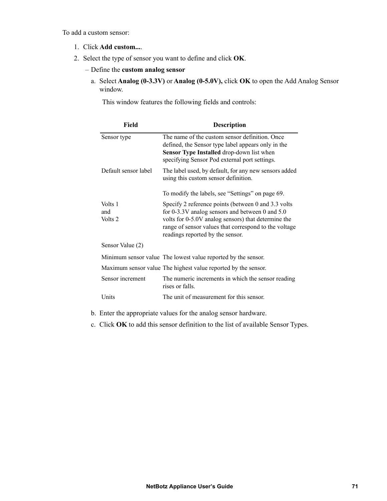To add a custom sensor:

- 1. Click **Add custom...**.
- 2. Select the type of sensor you want to define and click **OK**.
	- Define the **custom analog sensor**
		- a. Select **Analog (0-3.3V)** or **Analog (0-5.0V),** click **OK** to open the Add Analog Sensor window.

This window features the following fields and controls:

| <b>Field</b>              | <b>Description</b>                                                                                                                                                                                                                                            |
|---------------------------|---------------------------------------------------------------------------------------------------------------------------------------------------------------------------------------------------------------------------------------------------------------|
| Sensor type               | The name of the custom sensor definition. Once<br>defined, the Sensor type label appears only in the<br>Sensor Type Installed drop-down list when<br>specifying Sensor Pod external port settings.                                                            |
| Default sensor label      | The label used, by default, for any new sensors added<br>using this custom sensor definition.                                                                                                                                                                 |
|                           | To modify the labels, see "Settings" on page 69.                                                                                                                                                                                                              |
| Volts 1<br>and<br>Volts 2 | Specify 2 reference points (between 0 and 3.3 volts)<br>for $0-3.3V$ analog sensors and between 0 and 5.0<br>volts for 0-5.0V analog sensors) that determine the<br>range of sensor values that correspond to the voltage<br>readings reported by the sensor. |
| Sensor Value (2)          |                                                                                                                                                                                                                                                               |
|                           | Minimum sensor value The lowest value reported by the sensor.                                                                                                                                                                                                 |
|                           | Maximum sensor value The highest value reported by the sensor.                                                                                                                                                                                                |
| Sensor increment          | The numeric increments in which the sensor reading<br>rises or falls.                                                                                                                                                                                         |
| Units                     | The unit of measurement for this sensor.                                                                                                                                                                                                                      |

- b. Enter the appropriate values for the analog sensor hardware.
- c. Click **OK** to add this sensor definition to the list of available Sensor Types.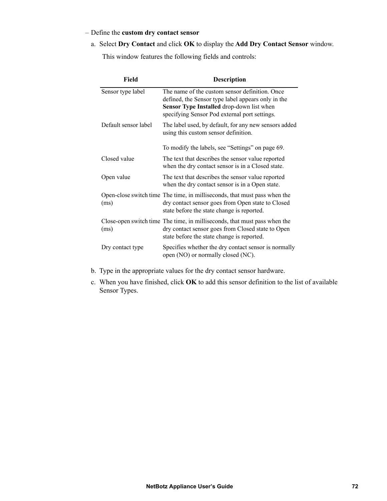#### – Define the **custom dry contact sensor**

a. Select **Dry Contact** and click **OK** to display the **Add Dry Contact Sensor** window.

This window features the following fields and controls:

| Field                | <b>Description</b>                                                                                                                                                                                        |
|----------------------|-----------------------------------------------------------------------------------------------------------------------------------------------------------------------------------------------------------|
| Sensor type label    | The name of the custom sensor definition. Once<br>defined, the Sensor type label appears only in the<br><b>Sensor Type Installed drop-down list when</b><br>specifying Sensor Pod external port settings. |
| Default sensor label | The label used, by default, for any new sensors added<br>using this custom sensor definition.                                                                                                             |
|                      | To modify the labels, see "Settings" on page 69.                                                                                                                                                          |
| Closed value         | The text that describes the sensor value reported<br>when the dry contact sensor is in a Closed state.                                                                                                    |
| Open value           | The text that describes the sensor value reported<br>when the dry contact sensor is in a Open state.                                                                                                      |
| (ms)                 | Open-close switch time The time, in milliseconds, that must pass when the<br>dry contact sensor goes from Open state to Closed<br>state before the state change is reported.                              |
| (ms)                 | Close-open switch time The time, in milliseconds, that must pass when the<br>dry contact sensor goes from Closed state to Open<br>state before the state change is reported.                              |
| Dry contact type     | Specifies whether the dry contact sensor is normally<br>open (NO) or normally closed (NC).                                                                                                                |

- b. Type in the appropriate values for the dry contact sensor hardware.
- c. When you have finished, click **OK** to add this sensor definition to the list of available Sensor Types.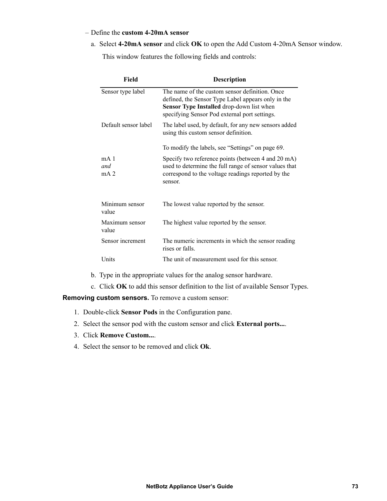#### – Define the **custom 4-20mA sensor**

a. Select **4-20mA sensor** and click **OK** to open the Add Custom 4-20mA Sensor window.

This window features the following fields and controls:

| Field                                     | <b>Description</b>                                                                                                                                                                                        |
|-------------------------------------------|-----------------------------------------------------------------------------------------------------------------------------------------------------------------------------------------------------------|
| Sensor type label                         | The name of the custom sensor definition. Once<br>defined, the Sensor Type Label appears only in the<br><b>Sensor Type Installed drop-down list when</b><br>specifying Sensor Pod external port settings. |
| Default sensor label                      | The label used, by default, for any new sensors added<br>using this custom sensor definition.                                                                                                             |
|                                           | To modify the labels, see "Settings" on page 69.                                                                                                                                                          |
| mA <sub>1</sub><br>and<br>mA <sub>2</sub> | Specify two reference points (between 4 and 20 mA)<br>used to determine the full range of sensor values that<br>correspond to the voltage readings reported by the<br>sensor.                             |
| Minimum sensor<br>value                   | The lowest value reported by the sensor.                                                                                                                                                                  |
| Maximum sensor<br>value                   | The highest value reported by the sensor.                                                                                                                                                                 |
| Sensor increment                          | The numeric increments in which the sensor reading<br>rises or falls.                                                                                                                                     |
| Units                                     | The unit of measurement used for this sensor.                                                                                                                                                             |

- b. Type in the appropriate values for the analog sensor hardware.
- c. Click **OK** to add this sensor definition to the list of available Sensor Types.

**Removing custom sensors.** To remove a custom sensor:

- 1. Double-click **Sensor Pods** in the Configuration pane.
- 2. Select the sensor pod with the custom sensor and click **External ports...**.
- 3. Click **Remove Custom...**.
- 4. Select the sensor to be removed and click **Ok**.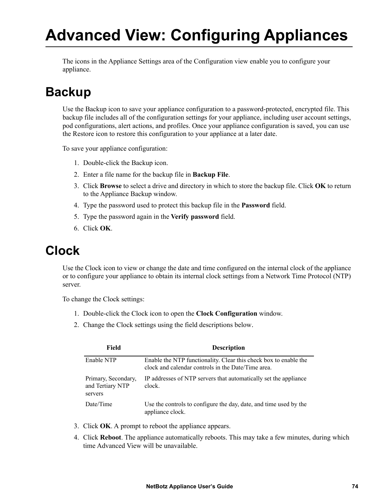# **Advanced View: Configuring Appliances**

The icons in the Appliance Settings area of the Configuration view enable you to configure your appliance.

### <span id="page-82-0"></span>**Backup**

Use the Backup icon to save your appliance configuration to a password-protected, encrypted file. This backup file includes all of the configuration settings for your appliance, including user account settings, pod configurations, alert actions, and profiles. Once your appliance configuration is saved, you can use the Restore icon to restore this configuration to your appliance at a later date.

To save your appliance configuration:

- 1. Double-click the Backup icon.
- 2. Enter a file name for the backup file in **Backup File**.
- 3. Click **Browse** to select a drive and directory in which to store the backup file. Click **OK** to return to the Appliance Backup window.
- 4. Type the password used to protect this backup file in the **Password** field.
- 5. Type the password again in the **Verify password** field.
- 6. Click **OK**.

### **Clock**

Use the Clock icon to view or change the date and time configured on the internal clock of the appliance or to configure your appliance to obtain its internal clock settings from a Network Time Protocol (NTP) server.

To change the Clock settings:

- 1. Double-click the Clock icon to open the **Clock Configuration** window.
- 2. Change the Clock settings using the field descriptions below.

| Field                                              | <b>Description</b>                                                                                                     |
|----------------------------------------------------|------------------------------------------------------------------------------------------------------------------------|
| Enable NTP                                         | Enable the NTP functionality. Clear this check box to enable the<br>clock and calendar controls in the Date/Time area. |
| Primary, Secondary,<br>and Tertiary NTP<br>servers | IP addresses of NTP servers that automatically set the appliance<br>clock.                                             |
| Date/Time                                          | Use the controls to configure the day, date, and time used by the<br>appliance clock.                                  |

- 3. Click **OK**. A prompt to reboot the appliance appears.
- 4. Click **Reboot**. The appliance automatically reboots. This may take a few minutes, during which time Advanced View will be unavailable.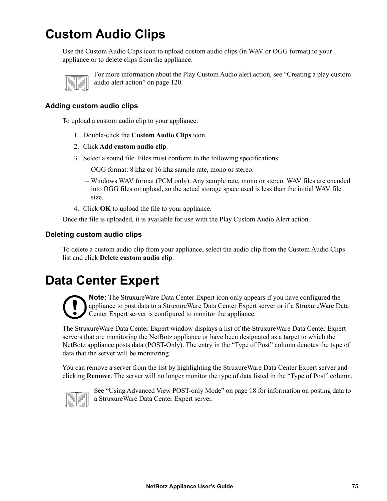## **Custom Audio Clips**

Use the Custom Audio Clips icon to upload custom audio clips (in WAV or OGG format) to your appliance or to delete clips from the appliance.



For more information about the Play Custom Audio alert action, see ["Creating a play custom](#page-128-0)  [audio alert action" on page 120.](#page-128-0)

#### **Adding custom audio clips**

To upload a custom audio clip to your appliance:

- 1. Double-click the **Custom Audio Clips** icon.
- 2. Click **Add custom audio clip**.
- 3. Select a sound file. Files must conform to the following specifications:
	- OGG format: 8 khz or 16 khz sample rate, mono or stereo.
	- Windows WAV format (PCM only): Any sample rate, mono or stereo. WAV files are encoded into OGG files on upload, so the actual storage space used is less than the initial WAV file size.
- 4. Click **OK** to upload the file to your appliance.

Once the file is uploaded, it is available for use with the Play Custom Audio Alert action.

#### **Deleting custom audio clips**

To delete a custom audio clip from your appliance, select the audio clip from the Custom Audio Clips list and click **Delete custom audio clip**.

### **Data Center Expert**



**Note:** The StruxureWare Data Center Expert icon only appears if you have configured the appliance to post data to a StruxureWare Data Center Expert server or if a StruxureWare Data Center Expert server is configured to monitor the appliance.

The StruxureWare Data Center Expert window displays a list of the StruxureWare Data Center Expert servers that are monitoring the NetBotz appliance or have been designated as a target to which the NetBotz appliance posts data (POST-Only). The entry in the "Type of Post" column denotes the type of data that the server will be monitoring.

You can remove a server from the list by highlighting the StruxureWare Data Center Expert server and clicking **Remove**. The server will no longer monitor the type of data listed in the "Type of Post" column.



See ["Using Advanced View POST-only Mode" on page 18](#page-26-0) for information on posting data to a StruxureWare Data Center Expert server.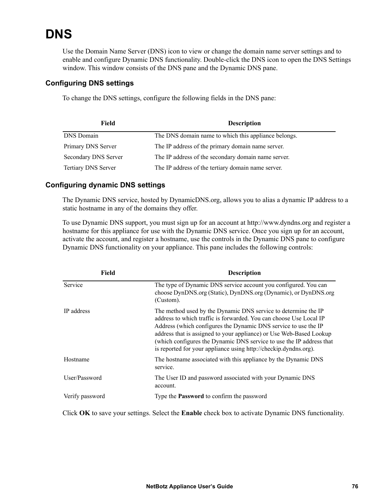## **DNS**

Use the Domain Name Server (DNS) icon to view or change the domain name server settings and to enable and configure Dynamic DNS functionality. Double-click the DNS icon to open the DNS Settings window. This window consists of the DNS pane and the Dynamic DNS pane.

#### **Configuring DNS settings**

To change the DNS settings, configure the following fields in the DNS pane:

| Field                | <b>Description</b>                                   |
|----------------------|------------------------------------------------------|
| <b>DNS</b> Domain    | The DNS domain name to which this appliance belongs. |
| Primary DNS Server   | The IP address of the primary domain name server.    |
| Secondary DNS Server | The IP address of the secondary domain name server.  |
| Tertiary DNS Server  | The IP address of the tertiary domain name server.   |

#### **Configuring dynamic DNS settings**

The Dynamic DNS service, hosted by DynamicDNS.org, allows you to alias a dynamic IP address to a static hostname in any of the domains they offer.

To use Dynamic DNS support, you must sign up for an account at http://www.dyndns.org and register a hostname for this appliance for use with the Dynamic DNS service. Once you sign up for an account, activate the account, and register a hostname, use the controls in the Dynamic DNS pane to configure Dynamic DNS functionality on your appliance. This pane includes the following controls:

| Field           | <b>Description</b>                                                                                                                                                                                                                                                                                                                                                                                                         |
|-----------------|----------------------------------------------------------------------------------------------------------------------------------------------------------------------------------------------------------------------------------------------------------------------------------------------------------------------------------------------------------------------------------------------------------------------------|
| Service         | The type of Dynamic DNS service account you configured. You can<br>choose DynDNS.org (Static), DynDNS.org (Dynamic), or DynDNS.org<br>(Custom).                                                                                                                                                                                                                                                                            |
| IP address      | The method used by the Dynamic DNS service to determine the IP<br>address to which traffic is forwarded. You can choose Use Local IP<br>Address (which configures the Dynamic DNS service to use the IP<br>address that is assigned to your appliance) or Use Web-Based Lookup<br>(which configures the Dynamic DNS service to use the IP address that<br>is reported for your appliance using http://checkip.dyndns.org). |
| Hostname        | The hostname associated with this appliance by the Dynamic DNS<br>service.                                                                                                                                                                                                                                                                                                                                                 |
| User/Password   | The User ID and password associated with your Dynamic DNS<br>account.                                                                                                                                                                                                                                                                                                                                                      |
| Verify password | Type the <b>Password</b> to confirm the password                                                                                                                                                                                                                                                                                                                                                                           |

Click **OK** to save your settings. Select the **Enable** check box to activate Dynamic DNS functionality.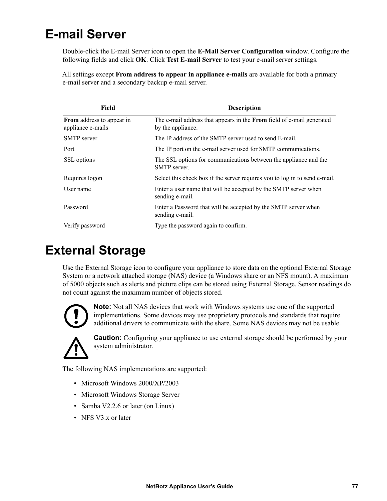## **E-mail Server**

Double-click the E-mail Server icon to open the **E-Mail Server Configuration** window. Configure the following fields and click **OK**. Click **Test E-mail Server** to test your e-mail server settings.

All settings except **From address to appear in appliance e-mails** are available for both a primary e-mail server and a secondary backup e-mail server.

| <b>Field</b>                                          | <b>Description</b>                                                                                |
|-------------------------------------------------------|---------------------------------------------------------------------------------------------------|
| <b>From</b> address to appear in<br>appliance e-mails | The e-mail address that appears in the <b>From</b> field of e-mail generated<br>by the appliance. |
| <b>SMTP</b> server                                    | The IP address of the SMTP server used to send E-mail.                                            |
| Port                                                  | The IP port on the e-mail server used for SMTP communications.                                    |
| SSL options                                           | The SSL options for communications between the appliance and the<br><b>SMTP</b> server.           |
| Requires logon                                        | Select this check box if the server requires you to log in to send e-mail.                        |
| User name                                             | Enter a user name that will be accepted by the SMTP server when<br>sending e-mail.                |
| Password                                              | Enter a Password that will be accepted by the SMTP server when<br>sending e-mail.                 |
| Verify password                                       | Type the password again to confirm.                                                               |

### **External Storage**

Use the External Storage icon to configure your appliance to store data on the optional External Storage System or a network attached storage (NAS) device (a Windows share or an NFS mount). A maximum of 5000 objects such as alerts and picture clips can be stored using External Storage. Sensor readings do not count against the maximum number of objects stored.



**Note:** Not all NAS devices that work with Windows systems use one of the supported implementations. Some devices may use proprietary protocols and standards that require additional drivers to communicate with the share. Some NAS devices may not be usable.



**Caution:** Configuring your appliance to use external storage should be performed by your system administrator.

The following NAS implementations are supported:

- Microsoft Windows 2000/XP/2003
- Microsoft Windows Storage Server
- Samba V2.2.6 or later (on Linux)
- NFS V3.x or later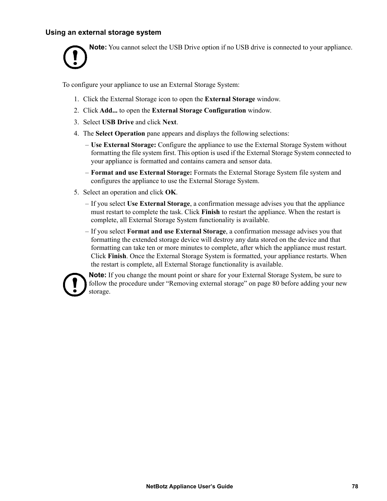#### **Using an external storage system**

**Note:** You cannot select the USB Drive option if no USB drive is connected to your appliance.

To configure your appliance to use an External Storage System:

- 1. Click the External Storage icon to open the **External Storage** window.
- 2. Click **Add...** to open the **External Storage Configuration** window.
- 3. Select **USB Drive** and click **Next**.
- 4. The **Select Operation** pane appears and displays the following selections:
	- **Use External Storage:** Configure the appliance to use the External Storage System without formatting the file system first. This option is used if the External Storage System connected to your appliance is formatted and contains camera and sensor data.
	- **Format and use External Storage:** Formats the External Storage System file system and configures the appliance to use the External Storage System.
- 5. Select an operation and click **OK**.
	- If you select **Use External Storage**, a confirmation message advises you that the appliance must restart to complete the task. Click **Finish** to restart the appliance. When the restart is complete, all External Storage System functionality is available.
	- If you select **Format and use External Storage**, a confirmation message advises you that formatting the extended storage device will destroy any data stored on the device and that formatting can take ten or more minutes to complete, after which the appliance must restart. Click **Finish**. Once the External Storage System is formatted, your appliance restarts. When the restart is complete, all External Storage functionality is available.



**Note:** If you change the mount point or share for your External Storage System, be sure to follow the procedure under ["Removing external storage" on page 80](#page-88-0) before adding your new storage.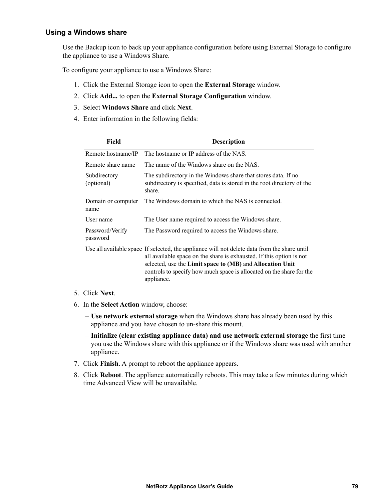#### **Using a Windows share**

Use the Backup icon to back up your appliance configuration before using External Storage to configure the appliance to use a Windows Share.

To configure your appliance to use a Windows Share:

- 1. Click the External Storage icon to open the **External Storage** window.
- 2. Click **Add...** to open the **External Storage Configuration** window.
- 3. Select **Windows Share** and click **Next**.
- 4. Enter information in the following fields:

| Field                       | <b>Description</b>                                                                                                                                                                                                                                                                                                      |
|-----------------------------|-------------------------------------------------------------------------------------------------------------------------------------------------------------------------------------------------------------------------------------------------------------------------------------------------------------------------|
| Remote hostname/IP          | The hostname or IP address of the NAS.                                                                                                                                                                                                                                                                                  |
| Remote share name           | The name of the Windows share on the NAS.                                                                                                                                                                                                                                                                               |
| Subdirectory<br>(optional)  | The subdirectory in the Windows share that stores data. If no<br>subdirectory is specified, data is stored in the root directory of the<br>share.                                                                                                                                                                       |
| Domain or computer<br>name  | The Windows domain to which the NAS is connected.                                                                                                                                                                                                                                                                       |
| User name                   | The User name required to access the Windows share.                                                                                                                                                                                                                                                                     |
| Password/Verify<br>password | The Password required to access the Windows share.                                                                                                                                                                                                                                                                      |
|                             | Use all available space If selected, the appliance will not delete data from the share until<br>all available space on the share is exhausted. If this option is not<br>selected, use the Limit space to (MB) and Allocation Unit<br>controls to specify how much space is allocated on the share for the<br>appliance. |

#### 5. Click **Next**.

- 6. In the **Select Action** window, choose:
	- **Use network external storage** when the Windows share has already been used by this appliance and you have chosen to un-share this mount.
	- **Initialize (clear existing appliance data) and use network external storage** the first time you use the Windows share with this appliance or if the Windows share was used with another appliance.
- 7. Click **Finish**. A prompt to reboot the appliance appears.
- 8. Click **Reboot**. The appliance automatically reboots. This may take a few minutes during which time Advanced View will be unavailable.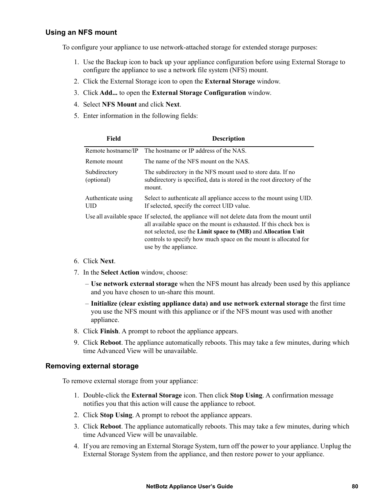#### **Using an NFS mount**

To configure your appliance to use network-attached storage for extended storage purposes:

- 1. Use the Backup icon to back up your appliance configuration before using External Storage to configure the appliance to use a network file system (NFS) mount.
- 2. Click the External Storage icon to open the **External Storage** window.
- 3. Click **Add...** to open the **External Storage Configuration** window.
- 4. Select **NFS Mount** and click **Next**.
- 5. Enter information in the following fields:

| Field                      | <b>Description</b>                                                                                                                                                                                                                                                                                                                |
|----------------------------|-----------------------------------------------------------------------------------------------------------------------------------------------------------------------------------------------------------------------------------------------------------------------------------------------------------------------------------|
| Remote hostname/IP         | The hostname or IP address of the NAS.                                                                                                                                                                                                                                                                                            |
| Remote mount               | The name of the NFS mount on the NAS.                                                                                                                                                                                                                                                                                             |
| Subdirectory<br>(optional) | The subdirectory in the NFS mount used to store data. If no<br>subdirectory is specified, data is stored in the root directory of the<br>mount.                                                                                                                                                                                   |
| Authenticate using<br>UID  | Select to authenticate all appliance access to the mount using UID.<br>If selected, specify the correct UID value.                                                                                                                                                                                                                |
|                            | Use all available space If selected, the appliance will not delete data from the mount until<br>all available space on the mount is exhausted. If this check box is<br>not selected, use the Limit space to (MB) and Allocation Unit<br>controls to specify how much space on the mount is allocated for<br>use by the appliance. |

- 6. Click **Next**.
- 7. In the **Select Action** window, choose:
	- **Use network external storage** when the NFS mount has already been used by this appliance and you have chosen to un-share this mount.
	- **Initialize (clear existing appliance data) and use network external storage** the first time you use the NFS mount with this appliance or if the NFS mount was used with another appliance.
- 8. Click **Finish**. A prompt to reboot the appliance appears.
- 9. Click **Reboot**. The appliance automatically reboots. This may take a few minutes, during which time Advanced View will be unavailable.

#### <span id="page-88-0"></span>**Removing external storage**

To remove external storage from your appliance:

- 1. Double-click the **External Storage** icon. Then click **Stop Using**. A confirmation message notifies you that this action will cause the appliance to reboot.
- 2. Click **Stop Using**. A prompt to reboot the appliance appears.
- 3. Click **Reboot**. The appliance automatically reboots. This may take a few minutes, during which time Advanced View will be unavailable.
- 4. If you are removing an External Storage System, turn off the power to your appliance. Unplug the External Storage System from the appliance, and then restore power to your appliance.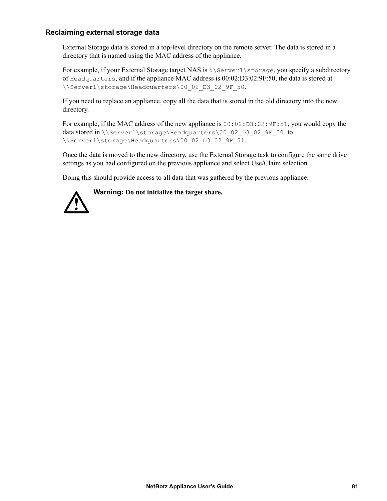#### **Reclaiming external storage data**

External Storage data is stored in a top-level directory on the remote server. The data is stored in a directory that is named using the MAC address of the appliance.

For example, if your External Storage target NAS is  $\S$  is  $\S$ of Headquarters, and if the appliance MAC address is 00:02:D3:02:9F:50, the data is stored at \\Server1\storage\Headquarters\00\_02\_D3\_02\_9F\_50.

If you need to replace an appliance, copy all the data that is stored in the old directory into the new directory.

For example, if the MAC address of the new appliance is  $00:02:DS:02:9F:51$ , you would copy the data stored in \\Server1\storage\Headquarters\00\_02\_D3\_02\_9F\_50 to \\Server1\storage\Headquarters\00\_02\_D3\_02\_9F\_51.

Once the data is moved to the new directory, use the External Storage task to configure the same drive settings as you had configured on the previous appliance and select Use/Claim selection.

Doing this should provide access to all data that was gathered by the previous appliance.



**Warning: Do not initialize the target share.**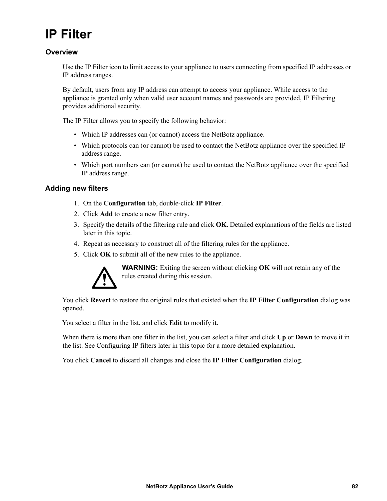## **IP Filter**

#### **Overview**

Use the IP Filter icon to limit access to your appliance to users connecting from specified IP addresses or IP address ranges.

By default, users from any IP address can attempt to access your appliance. While access to the appliance is granted only when valid user account names and passwords are provided, IP Filtering provides additional security.

The IP Filter allows you to specify the following behavior:

- Which IP addresses can (or cannot) access the NetBotz appliance.
- Which protocols can (or cannot) be used to contact the NetBotz appliance over the specified IP address range.
- Which port numbers can (or cannot) be used to contact the NetBotz appliance over the specified IP address range.

#### **Adding new filters**

- 1. On the **Configuration** tab, double-click **IP Filter**.
- 2. Click **Add** to create a new filter entry.
- 3. Specify the details of the filtering rule and click **OK**. Detailed explanations of the fields are listed later in this topic.
- 4. Repeat as necessary to construct all of the filtering rules for the appliance.
- 5. Click **OK** to submit all of the new rules to the appliance.



**WARNING:** Exiting the screen without clicking **OK** will not retain any of the rules created during this session.

You click **Revert** to restore the original rules that existed when the **IP Filter Configuration** dialog was opened.

You select a filter in the list, and click **Edit** to modify it.

When there is more than one filter in the list, you can select a filter and click **Up** or **Down** to move it in the list. See Configuring IP filters later in this topic for a more detailed explanation.

You click **Cancel** to discard all changes and close the **IP Filter Configuration** dialog.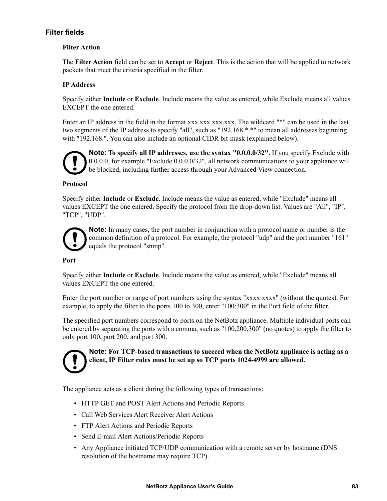#### **Filter fields**

#### **Filter Action**

The **Filter Action** field can be set to **Accept** or **Reject**. This is the action that will be applied to network packets that meet the criteria specified in the filter.

#### **IP Address**

Specify either **Include** or **Exclude**. Include means the value as entered, while Exclude means all values EXCEPT the one entered.

Enter an IP address in the field in the format xxx.xxx.xxx.xxx.xxx. The wildcard "\*" can be used in the last two segments of the IP address to specify "all", such as "192.168.\*.\*" to mean all addresses beginning with "192.168.". You can also include an optional CIDR bit-mask (explained below).



**Note: To specify all IP addresses, use the syntax "0.0.0.0/32".** If you specify Exclude with 0.0.0.0, for example,"Exclude 0.0.0.0/32", all network communications to your appliance will be blocked, including further access through your Advanced View connection.

#### **Protocol**

Specify either **Include** or **Exclude**. Include means the value as entered, while "Exclude" means all values EXCEPT the one entered. Specify the protocol from the drop-down list. Values are "All", "IP", "TCP", "UDP".



**Note:** In many cases, the port number in conjunction with a protocol name or number is the common definition of a protocol. For example, the protocol "udp" and the port number "161" equals the protocol "snmp".

#### **Port**

Specify either **Include** or **Exclude**. Include means the value as entered, while "Exclude" means all values EXCEPT the one entered.

Enter the port number or range of port numbers using the syntax "xxxx:xxxx" (without the quotes). For example, to apply the filter to the ports 100 to 300, enter "100:300" in the Port field of the filter.

The specified port numbers correspond to ports on the NetBotz appliance. Multiple individual ports can be entered by separating the ports with a comma, such as "100,200,300" (no quotes) to apply the filter to only port 100, port 200, and port 300.



**Note: For TCP-based transactions to succeed when the NetBotz appliance is acting as a client, IP Filter rules must be set up so TCP ports 1024-4999 are allowed.**

The appliance acts as a client during the following types of transactions:

- HTTP GET and POST Alert Actions and Periodic Reports
- Call Web Services Alert Receiver Alert Actions
- FTP Alert Actions and Periodic Reports
- Send E-mail Alert Actions/Periodic Reports
- Any Appliance initiated TCP/UDP communication with a remote server by hostname (DNS resolution of the hostname may require TCP).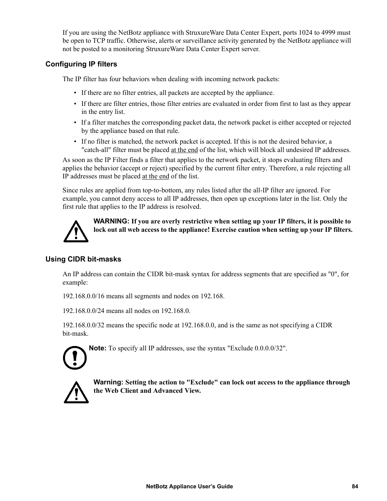If you are using the NetBotz appliance with StruxureWare Data Center Expert, ports 1024 to 4999 must be open to TCP traffic. Otherwise, alerts or surveillance activity generated by the NetBotz appliance will not be posted to a monitoring StruxureWare Data Center Expert server.

#### **Configuring IP filters**

The IP filter has four behaviors when dealing with incoming network packets:

- If there are no filter entries, all packets are accepted by the appliance.
- If there are filter entries, those filter entries are evaluated in order from first to last as they appear in the entry list.
- If a filter matches the corresponding packet data, the network packet is either accepted or rejected by the appliance based on that rule.
- If no filter is matched, the network packet is accepted. If this is not the desired behavior, a "catch-all" filter must be placed at the end of the list, which will block all undesired IP addresses.

As soon as the IP Filter finds a filter that applies to the network packet, it stops evaluating filters and applies the behavior (accept or reject) specified by the current filter entry. Therefore, a rule rejecting all IP addresses must be placed at the end of the list.

Since rules are applied from top-to-bottom, any rules listed after the all-IP filter are ignored. For example, you cannot deny access to all IP addresses, then open up exceptions later in the list. Only the first rule that applies to the IP address is resolved.



**WARNING: If you are overly restrictive when setting up your IP filters, it is possible to lock out all web access to the appliance! Exercise caution when setting up your IP filters.**

#### **Using CIDR bit-masks**

An IP address can contain the CIDR bit-mask syntax for address segments that are specified as "0", for example:

192.168.0.0/16 means all segments and nodes on 192.168.

192.168.0.0/24 means all nodes on 192.168.0.

192.168.0.0/32 means the specific node at 192.168.0.0, and is the same as not specifying a CIDR bit-mask.



**Note:** To specify all IP addresses, use the syntax "Exclude 0.0.0.0/32".



**Warning: Setting the action to "Exclude" can lock out access to the appliance through the Web Client and Advanced View.**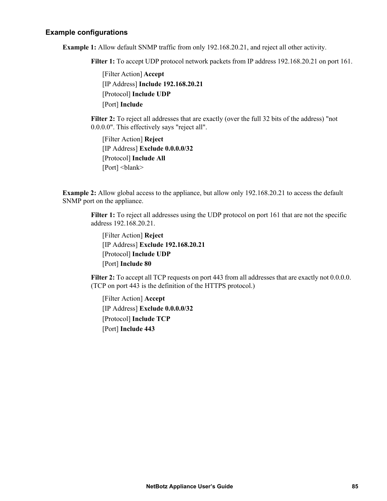#### **Example configurations**

**Example 1:** Allow default SNMP traffic from only 192.168.20.21, and reject all other activity.

**Filter 1:** To accept UDP protocol network packets from IP address 192.168.20.21 on port 161.

[Filter Action] **Accept** [IP Address] **Include 192.168.20.21** [Protocol] **Include UDP** [Port] **Include** 

**Filter 2:** To reject all addresses that are exactly (over the full 32 bits of the address) "not 0.0.0.0". This effectively says "reject all".

[Filter Action] **Reject** [IP Address] **Exclude 0.0.0.0/32** [Protocol] **Include All** [Port] <br/>blank>

**Example 2:** Allow global access to the appliance, but allow only 192.168.20.21 to access the default SNMP port on the appliance.

**Filter 1:** To reject all addresses using the UDP protocol on port 161 that are not the specific address 192.168.20.21.

[Filter Action] **Reject**  [IP Address] **Exclude 192.168.20.21** [Protocol] **Include UDP** [Port] **Include 80**

**Filter 2:** To accept all TCP requests on port 443 from all addresses that are exactly not 0.0.0.0. (TCP on port 443 is the definition of the HTTPS protocol.)

[Filter Action] **Accept** [IP Address] **Exclude 0.0.0.0/32** [Protocol] **Include TCP** [Port] **Include 443**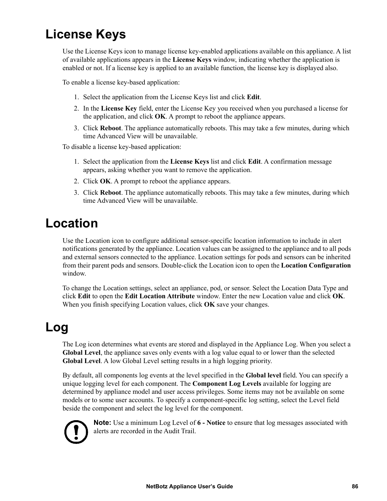## **License Keys**

Use the License Keys icon to manage license key-enabled applications available on this appliance. A list of available applications appears in the **License Keys** window, indicating whether the application is enabled or not. If a license key is applied to an available function, the license key is displayed also.

To enable a license key-based application:

- 1. Select the application from the License Keys list and click **Edit**.
- 2. In the **License Key** field, enter the License Key you received when you purchased a license for the application, and click **OK**. A prompt to reboot the appliance appears.
- 3. Click **Reboot**. The appliance automatically reboots. This may take a few minutes, during which time Advanced View will be unavailable.

To disable a license key-based application:

- 1. Select the application from the **License Keys** list and click **Edit**. A confirmation message appears, asking whether you want to remove the application.
- 2. Click **OK**. A prompt to reboot the appliance appears.
- 3. Click **Reboot**. The appliance automatically reboots. This may take a few minutes, during which time Advanced View will be unavailable.

### **Location**

Use the Location icon to configure additional sensor-specific location information to include in alert notifications generated by the appliance. Location values can be assigned to the appliance and to all pods and external sensors connected to the appliance. Location settings for pods and sensors can be inherited from their parent pods and sensors. Double-click the Location icon to open the **Location Configuration** window.

To change the Location settings, select an appliance, pod, or sensor. Select the Location Data Type and click **Edit** to open the **Edit Location Attribute** window. Enter the new Location value and click **OK**. When you finish specifying Location values, click **OK** save your changes.

### <span id="page-94-0"></span>**Log**

The Log icon determines what events are stored and displayed in the Appliance Log. When you select a **Global Level**, the appliance saves only events with a log value equal to or lower than the selected **Global Level**. A low Global Level setting results in a high logging priority.

By default, all components log events at the level specified in the **Global level** field. You can specify a unique logging level for each component. The **Component Log Levels** available for logging are determined by appliance model and user access privileges. Some items may not be available on some models or to some user accounts. To specify a component-specific log setting, select the Level field beside the component and select the log level for the component.



**Note:** Use a minimum Log Level of **6 - Notice** to ensure that log messages associated with alerts are recorded in the Audit Trail.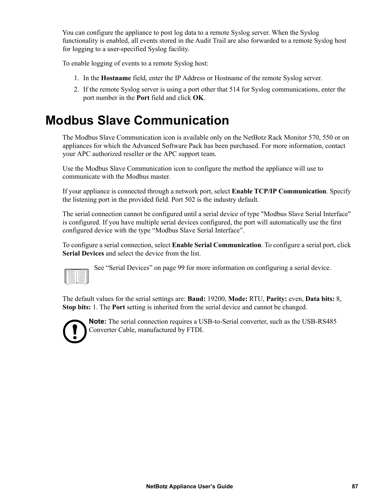You can configure the appliance to post log data to a remote Syslog server. When the Syslog functionality is enabled, all events stored in the Audit Trail are also forwarded to a remote Syslog host for logging to a user-specified Syslog facility.

To enable logging of events to a remote Syslog host:

- 1. In the **Hostname** field, enter the IP Address or Hostname of the remote Syslog server.
- 2. If the remote Syslog server is using a port other that 514 for Syslog communications, enter the port number in the **Port** field and click **OK**.

### **Modbus Slave Communication**

The Modbus Slave Communication icon is available only on the NetBotz Rack Monitor 570, 550 or on appliances for which the Advanced Software Pack has been purchased. For more information, contact your APC authorized reseller or the APC support team.

Use the Modbus Slave Communication icon to configure the method the appliance will use to communicate with the Modbus master.

If your appliance is connected through a network port, select **Enable TCP/IP Communication**. Specify the listening port in the provided field. Port 502 is the industry default.

The serial connection cannot be configured until a serial device of type "Modbus Slave Serial Interface" is configured. If you have multiple serial devices configured, the port will automatically use the first configured device with the type "Modbus Slave Serial Interface".

To configure a serial connection, select **Enable Serial Communication**. To configure a serial port, click **Serial Devices** and select the device from the list.

See ["Serial Devices" on page 99](#page-107-0) for more information on configuring a serial device.

The default values for the serial settings are: **Baud:** 19200, **Mode:** RTU, **Parity:** even, **Data bits:** 8, **Stop bits:** 1. The **Port** setting is inherited from the serial device and cannot be changed.



**Note:** The serial connection requires a USB-to-Serial converter, such as the USB-RS485 Converter Cable, manufactured by FTDI.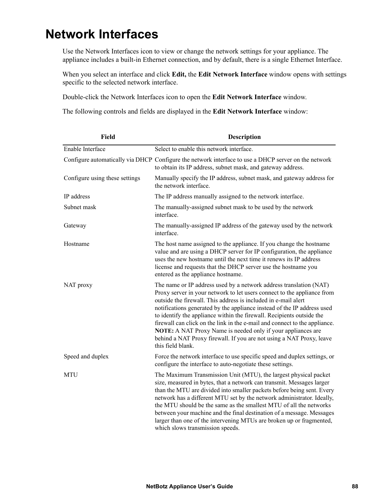## **Network Interfaces**

Use the Network Interfaces icon to view or change the network settings for your appliance. The appliance includes a built-in Ethernet connection, and by default, there is a single Ethernet Interface.

When you select an interface and click **Edit,** the **Edit Network Interface** window opens with settings specific to the selected network interface.

Double-click the Network Interfaces icon to open the **Edit Network Interface** window.

The following controls and fields are displayed in the **Edit Network Interface** window:

| Field                          | <b>Description</b>                                                                                                                                                                                                                                                                                                                                                                                                                                                                                                                                                                                             |
|--------------------------------|----------------------------------------------------------------------------------------------------------------------------------------------------------------------------------------------------------------------------------------------------------------------------------------------------------------------------------------------------------------------------------------------------------------------------------------------------------------------------------------------------------------------------------------------------------------------------------------------------------------|
| Enable Interface               | Select to enable this network interface.                                                                                                                                                                                                                                                                                                                                                                                                                                                                                                                                                                       |
|                                | Configure automatically via DHCP Configure the network interface to use a DHCP server on the network<br>to obtain its IP address, subnet mask, and gateway address.                                                                                                                                                                                                                                                                                                                                                                                                                                            |
| Configure using these settings | Manually specify the IP address, subnet mask, and gateway address for<br>the network interface.                                                                                                                                                                                                                                                                                                                                                                                                                                                                                                                |
| IP address                     | The IP address manually assigned to the network interface.                                                                                                                                                                                                                                                                                                                                                                                                                                                                                                                                                     |
| Subnet mask                    | The manually-assigned subnet mask to be used by the network<br>interface.                                                                                                                                                                                                                                                                                                                                                                                                                                                                                                                                      |
| Gateway                        | The manually-assigned IP address of the gateway used by the network<br>interface.                                                                                                                                                                                                                                                                                                                                                                                                                                                                                                                              |
| Hostname                       | The host name assigned to the appliance. If you change the hostname<br>value and are using a DHCP server for IP configuration, the appliance<br>uses the new hostname until the next time it renews its IP address<br>license and requests that the DHCP server use the hostname you<br>entered as the appliance hostname.                                                                                                                                                                                                                                                                                     |
| NAT proxy                      | The name or IP address used by a network address translation (NAT)<br>Proxy server in your network to let users connect to the appliance from<br>outside the firewall. This address is included in e-mail alert<br>notifications generated by the appliance instead of the IP address used<br>to identify the appliance within the firewall. Recipients outside the<br>firewall can click on the link in the e-mail and connect to the appliance.<br>NOTE: A NAT Proxy Name is needed only if your appliances are<br>behind a NAT Proxy firewall. If you are not using a NAT Proxy, leave<br>this field blank. |
| Speed and duplex               | Force the network interface to use specific speed and duplex settings, or<br>configure the interface to auto-negotiate these settings.                                                                                                                                                                                                                                                                                                                                                                                                                                                                         |
| <b>MTU</b>                     | The Maximum Transmission Unit (MTU), the largest physical packet<br>size, measured in bytes, that a network can transmit. Messages larger<br>than the MTU are divided into smaller packets before being sent. Every<br>network has a different MTU set by the network administrator. Ideally,<br>the MTU should be the same as the smallest MTU of all the networks<br>between your machine and the final destination of a message. Messages<br>larger than one of the intervening MTUs are broken up or fragmented,<br>which slows transmission speeds.                                                       |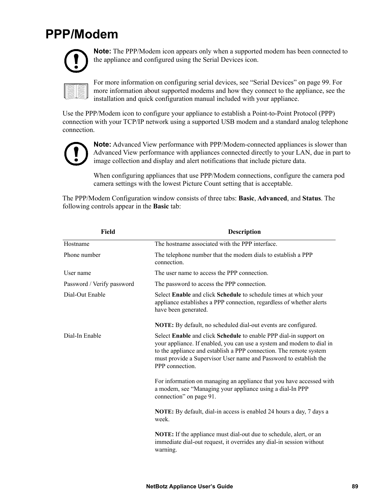## **PPP/Modem**



**Note:** The PPP/Modem icon appears only when a supported modem has been connected to the appliance and configured using the Serial Devices icon.

For more information on configuring serial devices, see ["Serial Devices" on page 99.](#page-107-0) For more information about supported modems and how they connect to the appliance, see the installation and quick configuration manual included with your appliance.

Use the PPP/Modem icon to configure your appliance to establish a Point-to-Point Protocol (PPP) connection with your TCP/IP network using a supported USB modem and a standard analog telephone connection.



**Note:** Advanced View performance with PPP/Modem-connected appliances is slower than Advanced View performance with appliances connected directly to your LAN, due in part to image collection and display and alert notifications that include picture data.

When configuring appliances that use PPP/Modem connections, configure the camera pod camera settings with the lowest Picture Count setting that is acceptable.

The PPP/Modem Configuration window consists of three tabs: **Basic**, **Advanced**, and **Status**. The following controls appear in the **Basic** tab:

| Field                      | <b>Description</b>                                                                                                                                                                                                                                                                                       |
|----------------------------|----------------------------------------------------------------------------------------------------------------------------------------------------------------------------------------------------------------------------------------------------------------------------------------------------------|
| Hostname                   | The hostname associated with the PPP interface.                                                                                                                                                                                                                                                          |
| Phone number               | The telephone number that the modem dials to establish a PPP<br>connection.                                                                                                                                                                                                                              |
| User name                  | The user name to access the PPP connection.                                                                                                                                                                                                                                                              |
| Password / Verify password | The password to access the PPP connection.                                                                                                                                                                                                                                                               |
| Dial-Out Enable            | Select Enable and click Schedule to schedule times at which your<br>appliance establishes a PPP connection, regardless of whether alerts<br>have been generated.                                                                                                                                         |
|                            | NOTE: By default, no scheduled dial-out events are configured.                                                                                                                                                                                                                                           |
| Dial-In Enable             | Select Enable and click Schedule to enable PPP dial-in support on<br>your appliance. If enabled, you can use a system and modem to dial in<br>to the appliance and establish a PPP connection. The remote system<br>must provide a Supervisor User name and Password to establish the<br>PPP connection. |
|                            | For information on managing an appliance that you have accessed with<br>a modem, see "Managing your appliance using a dial-In PPP<br>connection" on page 91.                                                                                                                                             |
|                            | NOTE: By default, dial-in access is enabled 24 hours a day, 7 days a<br>week.                                                                                                                                                                                                                            |
|                            | NOTE: If the appliance must dial-out due to schedule, alert, or an<br>immediate dial-out request, it overrides any dial-in session without<br>warning.                                                                                                                                                   |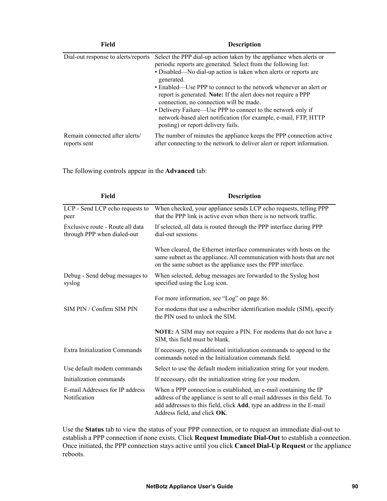| Field                                          | <b>Description</b>                                                                                                                                                                                                                                                                                                                                                                                                                                                                                                                                                                  |
|------------------------------------------------|-------------------------------------------------------------------------------------------------------------------------------------------------------------------------------------------------------------------------------------------------------------------------------------------------------------------------------------------------------------------------------------------------------------------------------------------------------------------------------------------------------------------------------------------------------------------------------------|
| Dial-out response to alerts/reports            | Select the PPP dial-up action taken by the appliance when alerts or<br>periodic reports are generated. Select from the following list:<br>• Disabled—No dial-up action is taken when alerts or reports are<br>generated.<br>• Enabled—Use PPP to connect to the network whenever an alert or<br>report is generated. Note: If the alert does not require a PPP<br>connection, no connection will be made.<br>• Delivery Failure—Use PPP to connect to the network only if<br>network-based alert notification (for example, e-mail, FTP, HTTP<br>posting) or report delivery fails. |
| Remain connected after alerts/<br>reports sent | The number of minutes the appliance keeps the PPP connection active<br>after connecting to the network to deliver alert or report information.                                                                                                                                                                                                                                                                                                                                                                                                                                      |

The following controls appear in the **Advanced** tab:

| Field                                                           | <b>Description</b>                                                                                                                                                                                                                                               |
|-----------------------------------------------------------------|------------------------------------------------------------------------------------------------------------------------------------------------------------------------------------------------------------------------------------------------------------------|
| LCP - Send LCP echo requests to<br>peer                         | When checked, your appliance sends LCP echo requests, telling PPP<br>that the PPP link is active even when there is no network traffic.                                                                                                                          |
| Exclusive route - Route all data<br>through PPP when dialed-out | If selected, all data is routed through the PPP interface during PPP<br>dial-out sessions.                                                                                                                                                                       |
|                                                                 | When cleared, the Ethernet interface communicates with hosts on the<br>same subnet as the appliance. All communication with hosts that are not<br>on the same subnet as the appliance uses the PPP interface.                                                    |
| Debug - Send debug messages to<br>syslog                        | When selected, debug messages are forwarded to the Syslog host<br>specified using the Log icon.                                                                                                                                                                  |
|                                                                 | For more information, see "Log" on page 86.                                                                                                                                                                                                                      |
| SIM PIN / Confirm SIM PIN                                       | For modems that use a subscriber identification module (SIM), specify<br>the PIN used to unlock the SIM.                                                                                                                                                         |
|                                                                 | <b>NOTE:</b> A SIM may not require a PIN. For modems that do not have a<br>SIM, this field must be blank.                                                                                                                                                        |
| <b>Extra Initialization Commands</b>                            | If necessary, type additional initialization commands to append to the<br>commands noted in the Initialization commands field.                                                                                                                                   |
| Use default modem commands                                      | Select to use the default modem initialization string for your modem.                                                                                                                                                                                            |
| Initialization commands                                         | If necessary, edit the initialization string for your modem.                                                                                                                                                                                                     |
| E-mail Addresses for IP address<br>Notification                 | When a PPP connection is established, an e-mail containing the IP<br>address of the appliance is sent to all e-mail addresses in this field. To<br>add addresses to this field, click <b>Add</b> , type an address in the E-mail<br>Address field, and click OK. |

Use the **Status** tab to view the status of your PPP connection, or to request an immediate dial-out to establish a PPP connection if none exists. Click **Request Immediate Dial-Out** to establish a connection. Once initiated, the PPP connection stays active until you click **Cancel Dial-Up Request** or the appliance reboots.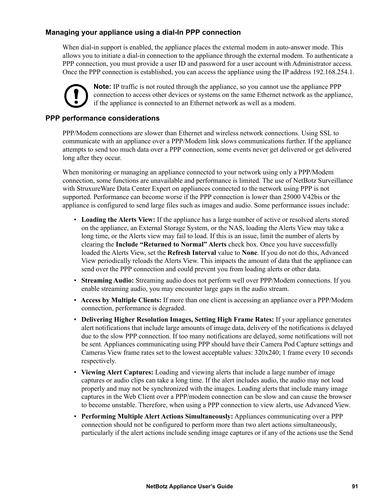#### <span id="page-99-0"></span>**Managing your appliance using a dial-In PPP connection**

When dial-in support is enabled, the appliance places the external modem in auto-answer mode. This allows you to initiate a dial-in connection to the appliance through the external modem. To authenticate a PPP connection, you must provide a user ID and password for a user account with Administrator access. Once the PPP connection is established, you can access the appliance using the IP address 192.168.254.1.



**Note:** IP traffic is not routed through the appliance, so you cannot use the appliance PPP connection to access other devices or systems on the same Ethernet network as the appliance, if the appliance is connected to an Ethernet network as well as a modem.

#### **PPP performance considerations**

PPP/Modem connections are slower than Ethernet and wireless network connections. Using SSL to communicate with an appliance over a PPP/Modem link slows communications further. If the appliance attempts to send too much data over a PPP connection, some events never get delivered or get delivered long after they occur.

When monitoring or managing an appliance connected to your network using only a PPP/Modem connection, some functions are unavailable and performance is limited. The use of NetBotz Surveillance with StruxureWare Data Center Expert on appliances connected to the network using PPP is not supported. Performance can become worse if the PPP connection is lower than 25000 V42bis or the appliance is configured to send large files such as images and audio. Some performance issues include:

- **Loading the Alerts View:** If the appliance has a large number of active or resolved alerts stored on the appliance, an External Storage System, or the NAS, loading the Alerts View may take a long time, or the Alerts view may fail to load. If this is an issue, limit the number of alerts by clearing the **Include "Returned to Normal" Alerts** check box. Once you have successfully loaded the Alerts View, set the **Refresh Interval** value to **None**. If you do not do this, Advanced View periodically reloads the Alerts View. This impacts the amount of data that the appliance can send over the PPP connection and could prevent you from loading alerts or other data.
- **Streaming Audio:** Streaming audio does not perform well over PPP/Modem connections. If you enable streaming audio, you may encounter large gaps in the audio stream.
- **Access by Multiple Clients:** If more than one client is accessing an appliance over a PPP/Modem connection, performance is degraded.
- **Delivering Higher Resolution Images, Setting High Frame Rates:** If your appliance generates alert notifications that include large amounts of image data, delivery of the notifications is delayed due to the slow PPP connection. If too many notifications are delayed, some notifications will not be sent. Appliances communicating using PPP should have their Camera Pod Capture settings and Cameras View frame rates set to the lowest acceptable values: 320x240; 1 frame every 10 seconds respectively.
- **Viewing Alert Captures:** Loading and viewing alerts that include a large number of image captures or audio clips can take a long time. If the alert includes audio, the audio may not load properly and may not be synchronized with the images. Loading alerts that include many image captures in the Web Client over a PPP/modem connection can be slow and can cause the browser to become unstable. Therefore, when using a PPP connection to view alerts, use Advanced View.
- **Performing Multiple Alert Actions Simultaneously:** Appliances communicating over a PPP connection should not be configured to perform more than two alert actions simultaneously, particularly if the alert actions include sending image captures or if any of the actions use the Send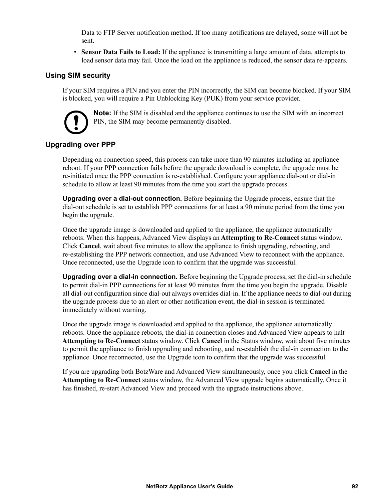Data to FTP Server notification method. If too many notifications are delayed, some will not be sent.

• **Sensor Data Fails to Load:** If the appliance is transmitting a large amount of data, attempts to load sensor data may fail. Once the load on the appliance is reduced, the sensor data re-appears.

#### **Using SIM security**

If your SIM requires a PIN and you enter the PIN incorrectly, the SIM can become blocked. If your SIM is blocked, you will require a Pin Unblocking Key (PUK) from your service provider.



**Note:** If the SIM is disabled and the appliance continues to use the SIM with an incorrect PIN, the SIM may become permanently disabled.

#### **Upgrading over PPP**

Depending on connection speed, this process can take more than 90 minutes including an appliance reboot. If your PPP connection fails before the upgrade download is complete, the upgrade must be re-initiated once the PPP connection is re-established. Configure your appliance dial-out or dial-in schedule to allow at least 90 minutes from the time you start the upgrade process.

**Upgrading over a dial-out connection.** Before beginning the Upgrade process, ensure that the dial-out schedule is set to establish PPP connections for at least a 90 minute period from the time you begin the upgrade.

Once the upgrade image is downloaded and applied to the appliance, the appliance automatically reboots. When this happens, Advanced View displays an **Attempting to Re-Connect** status window. Click **Cancel**, wait about five minutes to allow the appliance to finish upgrading, rebooting, and re-establishing the PPP network connection, and use Advanced View to reconnect with the appliance. Once reconnected, use the Upgrade icon to confirm that the upgrade was successful.

**Upgrading over a dial-in connection.** Before beginning the Upgrade process, set the dial-in schedule to permit dial-in PPP connections for at least 90 minutes from the time you begin the upgrade. Disable all dial-out configuration since dial-out always overrides dial-in. If the appliance needs to dial-out during the upgrade process due to an alert or other notification event, the dial-in session is terminated immediately without warning.

Once the upgrade image is downloaded and applied to the appliance, the appliance automatically reboots. Once the appliance reboots, the dial-in connection closes and Advanced View appears to halt **Attempting to Re-Connect** status window. Click **Cancel** in the Status window, wait about five minutes to permit the appliance to finish upgrading and rebooting, and re-establish the dial-in connection to the appliance. Once reconnected, use the Upgrade icon to confirm that the upgrade was successful.

If you are upgrading both BotzWare and Advanced View simultaneously, once you click **Cancel** in the **Attempting to Re-Connect** status window, the Advanced View upgrade begins automatically. Once it has finished, re-start Advanced View and proceed with the upgrade instructions above.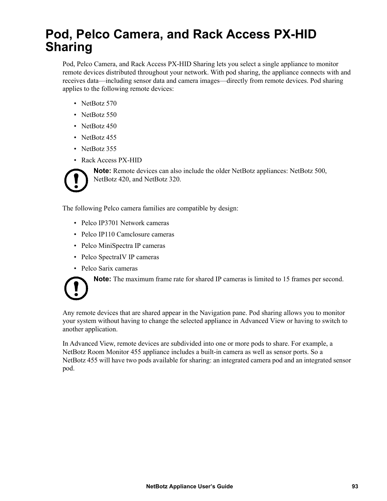### <span id="page-101-0"></span>**Pod, Pelco Camera, and Rack Access PX-HID Sharing**

Pod, Pelco Camera, and Rack Access PX-HID Sharing lets you select a single appliance to monitor remote devices distributed throughout your network. With pod sharing, the appliance connects with and receives data—including sensor data and camera images—directly from remote devices. Pod sharing applies to the following remote devices:

- NetBotz 570
- NetBotz 550
- NetBotz 450
- NetBotz 455
- NetBotz 355
- Rack Access PX-HID



**Note:** Remote devices can also include the older NetBotz appliances: NetBotz 500, NetBotz 420, and NetBotz 320.

The following Pelco camera families are compatible by design:

- Pelco IP3701 Network cameras
- Pelco IP110 Camclosure cameras
- Pelco MiniSpectra IP cameras
- Pelco SpectraIV IP cameras
- Pelco Sarix cameras

**Note:** The maximum frame rate for shared IP cameras is limited to 15 frames per second.

Any remote devices that are shared appear in the Navigation pane. Pod sharing allows you to monitor your system without having to change the selected appliance in Advanced View or having to switch to another application.

In Advanced View, remote devices are subdivided into one or more pods to share. For example, a NetBotz Room Monitor 455 appliance includes a built-in camera as well as sensor ports. So a NetBotz 455 will have two pods available for sharing: an integrated camera pod and an integrated sensor pod.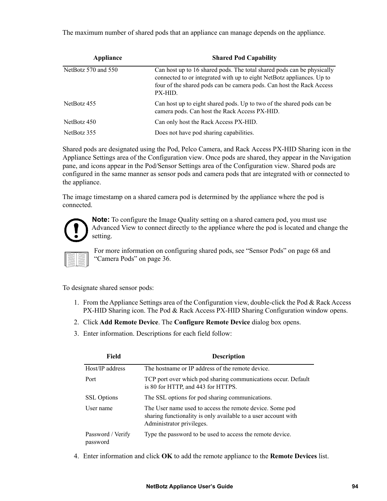The maximum number of shared pods that an appliance can manage depends on the appliance.

| Appliance           | <b>Shared Pod Capability</b>                                                                                                                                                                                                       |
|---------------------|------------------------------------------------------------------------------------------------------------------------------------------------------------------------------------------------------------------------------------|
| NetBotz 570 and 550 | Can host up to 16 shared pods. The total shared pods can be physically<br>connected to or integrated with up to eight NetBotz appliances. Up to<br>four of the shared pods can be camera pods. Can host the Rack Access<br>PX-HID. |
| NetBotz 455         | Can host up to eight shared pods. Up to two of the shared pods can be<br>camera pods. Can host the Rack Access PX-HID.                                                                                                             |
| NetBotz 450         | Can only host the Rack Access PX-HID.                                                                                                                                                                                              |
| NetBotz 355         | Does not have pod sharing capabilities.                                                                                                                                                                                            |

Shared pods are designated using the Pod, Pelco Camera, and Rack Access PX-HID Sharing icon in the Appliance Settings area of the Configuration view. Once pods are shared, they appear in the Navigation pane, and icons appear in the Pod/Sensor Settings area of the Configuration view. Shared pods are configured in the same manner as sensor pods and camera pods that are integrated with or connected to the appliance.

The image timestamp on a shared camera pod is determined by the appliance where the pod is connected.



**Note:** To configure the Image Quality setting on a shared camera pod, you must use Advanced View to connect directly to the appliance where the pod is located and change the setting.



For more information on configuring shared pods, see ["Sensor Pods" on page 68](#page-76-0) and ["Camera Pods" on page 36](#page-44-0).

<span id="page-102-0"></span>To designate shared sensor pods:

- 1. From the Appliance Settings area of the Configuration view, double-click the Pod & Rack Access PX-HID Sharing icon. The Pod & Rack Access PX-HID Sharing Configuration window opens.
- 2. Click **Add Remote Device**. The **Configure Remote Device** dialog box opens.
- 3. Enter information. Descriptions for each field follow:

| Field                         | <b>Description</b>                                                                                                                                      |
|-------------------------------|---------------------------------------------------------------------------------------------------------------------------------------------------------|
| Host/IP address               | The hostname or IP address of the remote device.                                                                                                        |
| Port                          | TCP port over which pod sharing communications occur. Default<br>is 80 for HTTP, and 443 for HTTPS.                                                     |
| <b>SSL</b> Options            | The SSL options for pod sharing communications.                                                                                                         |
| User name                     | The User name used to access the remote device. Some pod<br>sharing functionality is only available to a user account with<br>Administrator privileges. |
| Password / Verify<br>password | Type the password to be used to access the remote device.                                                                                               |

4. Enter information and click **OK** to add the remote appliance to the **Remote Devices** list.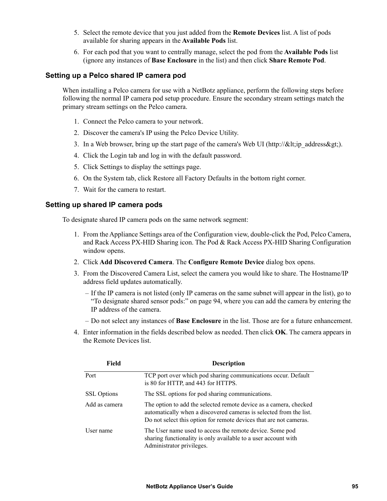- 5. Select the remote device that you just added from the **Remote Devices** list. A list of pods available for sharing appears in the **Available Pods** list.
- 6. For each pod that you want to centrally manage, select the pod from the **Available Pods** list (ignore any instances of **Base Enclosure** in the list) and then click **Share Remote Pod**.

#### **Setting up a Pelco shared IP camera pod**

When installing a Pelco camera for use with a NetBotz appliance, perform the following steps before following the normal IP camera pod setup procedure. Ensure the secondary stream settings match the primary stream settings on the Pelco camera.

- 1. Connect the Pelco camera to your network.
- 2. Discover the camera's IP using the Pelco Device Utility.
- 3. In a Web browser, bring up the start page of the camera's Web UI (http:// $\<$ lt; ip address $\>$ gt; ).
- 4. Click the Login tab and log in with the default password.
- 5. Click Settings to display the settings page.
- 6. On the System tab, click Restore all Factory Defaults in the bottom right corner.
- 7. Wait for the camera to restart.

#### **Setting up shared IP camera pods**

To designate shared IP camera pods on the same network segment:

- 1. From the Appliance Settings area of the Configuration view, double-click the Pod, Pelco Camera, and Rack Access PX-HID Sharing icon. The Pod & Rack Access PX-HID Sharing Configuration window opens.
- 2. Click **Add Discovered Camera**. The **Configure Remote Device** dialog box opens.
- 3. From the Discovered Camera List, select the camera you would like to share. The Hostname/IP address field updates automatically.
	- If the IP camera is not listed (only IP cameras on the same subnet will appear in the list), go to ["To designate shared sensor pods:" on page 94,](#page-102-0) where you can add the camera by entering the IP address of the camera.
	- Do not select any instances of **Base Enclosure** in the list. Those are for a future enhancement.
- 4. Enter information in the fields described below as needed. Then click **OK**. The camera appears in the Remote Devices list.

| Field              | <b>Description</b>                                                                                                                                                                                            |
|--------------------|---------------------------------------------------------------------------------------------------------------------------------------------------------------------------------------------------------------|
| Port               | TCP port over which pod sharing communications occur. Default<br>is 80 for HTTP, and 443 for HTTPS.                                                                                                           |
| <b>SSL</b> Options | The SSL options for pod sharing communications.                                                                                                                                                               |
| Add as camera      | The option to add the selected remote device as a camera, checked<br>automatically when a discovered cameras is selected from the list.<br>Do not select this option for remote devices that are not cameras. |
| User name          | The User name used to access the remote device. Some pod<br>sharing functionality is only available to a user account with<br>Administrator privileges.                                                       |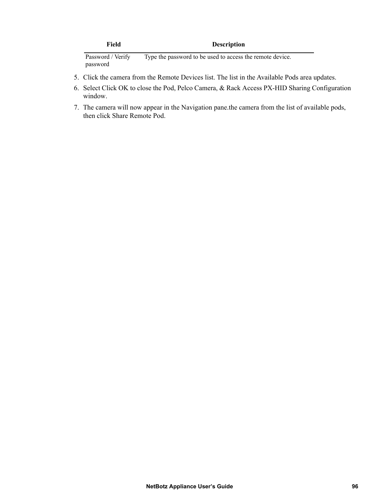| Field             | <b>Description</b>                                        |
|-------------------|-----------------------------------------------------------|
| Password / Verify | Type the password to be used to access the remote device. |

password Type the password to be used to access the remote device.

- 5. Click the camera from the Remote Devices list. The list in the Available Pods area updates.
- 6. Select Click OK to close the Pod, Pelco Camera, & Rack Access PX-HID Sharing Configuration window.
- 7. The camera will now appear in the Navigation pane.the camera from the list of available pods, then click Share Remote Pod.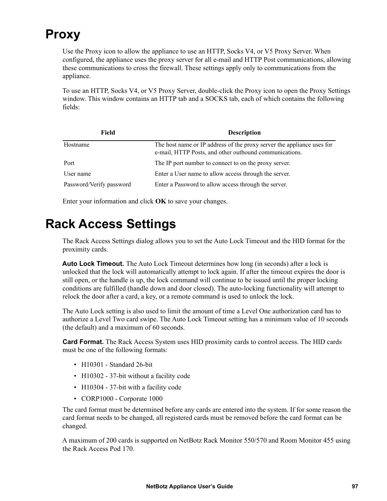## **Proxy**

Use the Proxy icon to allow the appliance to use an HTTP, Socks V4, or V5 Proxy Server. When configured, the appliance uses the proxy server for all e-mail and HTTP Post communications, allowing these communications to cross the firewall. These settings apply only to communications from the appliance.

To use an HTTP, Socks V4, or V5 Proxy Server, double-click the Proxy icon to open the Proxy Settings window. This window contains an HTTP tab and a SOCKS tab, each of which contains the following fields:

| Field                    | <b>Description</b>                                                                                                               |
|--------------------------|----------------------------------------------------------------------------------------------------------------------------------|
| Hostname                 | The host name or IP address of the proxy server the appliance uses for<br>e-mail, HTTP Posts, and other outbound communications. |
| Port                     | The IP port number to connect to on the proxy server.                                                                            |
| User name                | Enter a User name to allow access through the server.                                                                            |
| Password/Verify password | Enter a Password to allow access through the server.                                                                             |

Enter your information and click **OK** to save your changes.

### <span id="page-105-0"></span>**Rack Access Settings**

The Rack Access Settings dialog allows you to set the Auto Lock Timeout and the HID format for the proximity cards.

**Auto Lock Timeout.** The Auto Lock Timeout determines how long (in seconds) after a lock is unlocked that the lock will automatically attempt to lock again. If after the timeout expires the door is still open, or the handle is up, the lock command will continue to be issued until the proper locking conditions are fulfilled (handle down and door closed). The auto-locking functionality will attempt to relock the door after a card, a key, or a remote command is used to unlock the lock.

The Auto Lock setting is also used to limit the amount of time a Level One authorization card has to authorize a Level Two card swipe. The Auto Lock Timeout setting has a minimum value of 10 seconds (the default) and a maximum of 60 seconds.

**Card Format.** The Rack Access System uses HID proximity cards to control access. The HID cards must be one of the following formats:

- H10301 Standard 26-bit
- H10302 37-bit without a facility code
- H10304 37-bit with a facility code
- CORP1000 Corporate 1000

The card format must be determined before any cards are entered into the system. If for some reason the card format needs to be changed, all registered cards must be removed before the card format can be changed.

A maximum of 200 cards is supported on NetBotz Rack Monitor 550/570 and Room Monitor 455 using the Rack Access Pod 170.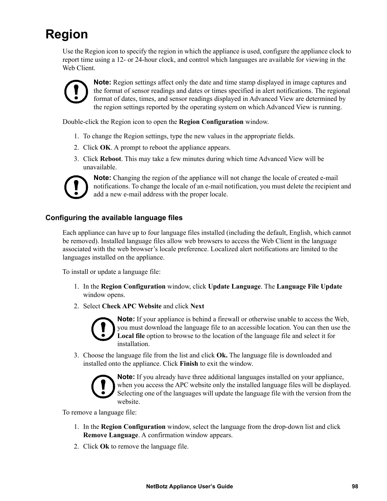## **Region**

Use the Region icon to specify the region in which the appliance is used, configure the appliance clock to report time using a 12- or 24-hour clock, and control which languages are available for viewing in the Web Client.



**Note:** Region settings affect only the date and time stamp displayed in image captures and the format of sensor readings and dates or times specified in alert notifications. The regional format of dates, times, and sensor readings displayed in Advanced View are determined by the region settings reported by the operating system on which Advanced View is running.

Double-click the Region icon to open the **Region Configuration** window.

- 1. To change the Region settings, type the new values in the appropriate fields.
- 2. Click **OK**. A prompt to reboot the appliance appears.
- 3. Click **Reboot**. This may take a few minutes during which time Advanced View will be unavailable.



**Note:** Changing the region of the appliance will not change the locale of created e-mail notifications. To change the locale of an e-mail notification, you must delete the recipient and add a new e-mail address with the proper locale.

#### **Configuring the available language files**

Each appliance can have up to four language files installed (including the default, English, which cannot be removed). Installed language files allow web browsers to access the Web Client in the language associated with the web browser's locale preference. Localized alert notifications are limited to the languages installed on the appliance.

To install or update a language file:

- 1. In the **Region Configuration** window, click **Update Language**. The **Language File Update** window opens.
- 2. Select **Check APC Website** and click **Next**



**Note:** If your appliance is behind a firewall or otherwise unable to access the Web, you must download the language file to an accessible location. You can then use the **Local file** option to browse to the location of the language file and select it for installation.

3. Choose the language file from the list and click **Ok.** The language file is downloaded and installed onto the appliance. Click **Finish** to exit the window.



**Note:** If you already have three additional languages installed on your appliance, when you access the APC website only the installed language files will be displayed. Selecting one of the languages will update the language file with the version from the website.

To remove a language file:

- 1. In the **Region Configuration** window, select the language from the drop-down list and click **Remove Language**. A confirmation window appears.
- 2. Click **Ok** to remove the language file.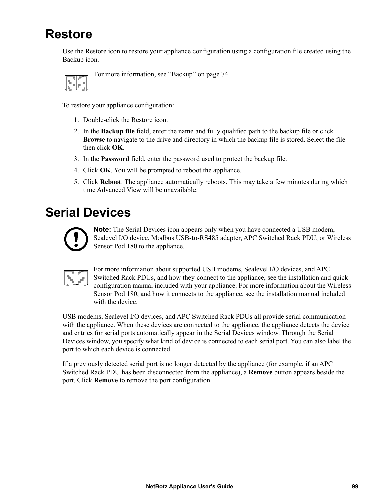### **Restore**

Use the Restore icon to restore your appliance configuration using a configuration file created using the Backup icon.

For more information, see ["Backup" on page 74.](#page-82-0)

To restore your appliance configuration:

- 1. Double-click the Restore icon.
- 2. In the **Backup file** field, enter the name and fully qualified path to the backup file or click **Browse** to navigate to the drive and directory in which the backup file is stored. Select the file then click **OK**.
- 3. In the **Password** field, enter the password used to protect the backup file.
- 4. Click **OK**. You will be prompted to reboot the appliance.
- 5. Click **Reboot**. The appliance automatically reboots. This may take a few minutes during which time Advanced View will be unavailable.

### <span id="page-107-0"></span>**Serial Devices**



**Note:** The Serial Devices icon appears only when you have connected a USB modem, Sealevel I/O device, Modbus USB-to-RS485 adapter, APC Switched Rack PDU, or Wireless Sensor Pod 180 to the appliance.

For more information about supported USB modems, Sealevel I/O devices, and APC Switched Rack PDUs, and how they connect to the appliance, see the installation and quick configuration manual included with your appliance. For more information about the Wireless Sensor Pod 180, and how it connects to the appliance, see the installation manual included with the device.

USB modems, Sealevel I/O devices, and APC Switched Rack PDUs all provide serial communication with the appliance. When these devices are connected to the appliance, the appliance detects the device and entries for serial ports automatically appear in the Serial Devices window. Through the Serial Devices window, you specify what kind of device is connected to each serial port. You can also label the port to which each device is connected.

If a previously detected serial port is no longer detected by the appliance (for example, if an APC Switched Rack PDU has been disconnected from the appliance), a **Remove** button appears beside the port. Click **Remove** to remove the port configuration.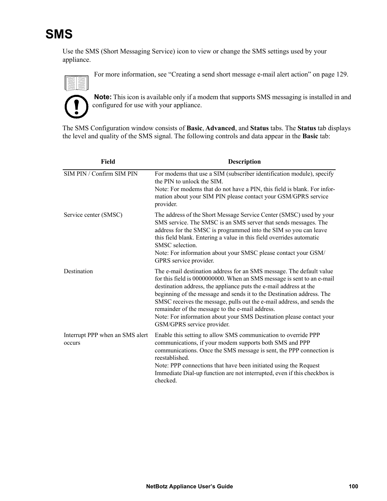# **SMS**

Use the SMS (Short Messaging Service) icon to view or change the SMS settings used by your appliance.



For more information, see ["Creating a send short message e-mail alert action" on page 129.](#page-137-0)



**Note:** This icon is available only if a modem that supports SMS messaging is installed in and configured for use with your appliance.

The SMS Configuration window consists of **Basic**, **Advanced**, and **Status** tabs. The **Status** tab displays the level and quality of the SMS signal. The following controls and data appear in the **Basic** tab:

| Field                                     | <b>Description</b>                                                                                                                                                                                                                                                                                                                                                                                                                                                                                                              |
|-------------------------------------------|---------------------------------------------------------------------------------------------------------------------------------------------------------------------------------------------------------------------------------------------------------------------------------------------------------------------------------------------------------------------------------------------------------------------------------------------------------------------------------------------------------------------------------|
| SIM PIN / Confirm SIM PIN                 | For modems that use a SIM (subscriber identification module), specify<br>the PIN to unlock the SIM.<br>Note: For modems that do not have a PIN, this field is blank. For infor-<br>mation about your SIM PIN please contact your GSM/GPRS service<br>provider.                                                                                                                                                                                                                                                                  |
| Service center (SMSC)                     | The address of the Short Message Service Center (SMSC) used by your<br>SMS service. The SMSC is an SMS server that sends messages. The<br>address for the SMSC is programmed into the SIM so you can leave<br>this field blank. Entering a value in this field overrides automatic<br>SMSC selection.<br>Note: For information about your SMSC please contact your GSM/<br>GPRS service provider.                                                                                                                               |
| Destination                               | The e-mail destination address for an SMS message. The default value<br>for this field is 0000000000. When an SMS message is sent to an e-mail<br>destination address, the appliance puts the e-mail address at the<br>beginning of the message and sends it to the Destination address. The<br>SMSC receives the message, pulls out the e-mail address, and sends the<br>remainder of the message to the e-mail address.<br>Note: For information about your SMS Destination please contact your<br>GSM/GPRS service provider. |
| Interrupt PPP when an SMS alert<br>occurs | Enable this setting to allow SMS communication to override PPP<br>communications, if your modem supports both SMS and PPP<br>communications. Once the SMS message is sent, the PPP connection is<br>reestablished.<br>Note: PPP connections that have been initiated using the Request<br>Immediate Dial-up function are not interrupted, even if this checkbox is<br>checked.                                                                                                                                                  |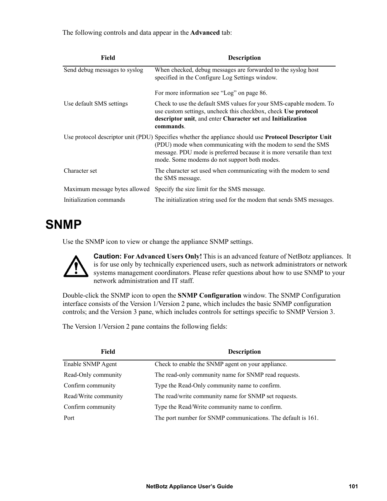The following controls and data appear in the **Advanced** tab:

| Field                         | <b>Description</b>                                                                                                                                                                                                                                                                                     |
|-------------------------------|--------------------------------------------------------------------------------------------------------------------------------------------------------------------------------------------------------------------------------------------------------------------------------------------------------|
| Send debug messages to syslog | When checked, debug messages are forwarded to the syslog host<br>specified in the Configure Log Settings window.                                                                                                                                                                                       |
|                               | For more information see "Log" on page 86.                                                                                                                                                                                                                                                             |
| Use default SMS settings      | Check to use the default SMS values for your SMS-capable modem. To<br>use custom settings, uncheck this checkbox, check Use protocol<br>descriptor unit, and enter Character set and Initialization<br>commands.                                                                                       |
|                               | Use protocol descriptor unit (PDU) Specifies whether the appliance should use <b>Protocol Descriptor Unit</b><br>(PDU) mode when communicating with the modem to send the SMS<br>message. PDU mode is preferred because it is more versatile than text<br>mode. Some modems do not support both modes. |
| Character set                 | The character set used when communicating with the modem to send<br>the SMS message.                                                                                                                                                                                                                   |
| Maximum message bytes allowed | Specify the size limit for the SMS message.                                                                                                                                                                                                                                                            |
| Initialization commands       | The initialization string used for the modem that sends SMS messages.                                                                                                                                                                                                                                  |

# **SNMP**

Use the SNMP icon to view or change the appliance SNMP settings.



**Caution: For Advanced Users Only!** This is an advanced feature of NetBotz appliances. It is for use only by technically experienced users, such as network administrators or network systems management coordinators. Please refer questions about how to use SNMP to your network administration and IT staff.

Double-click the SNMP icon to open the **SNMP Configuration** window. The SNMP Configuration interface consists of the Version 1/Version 2 pane, which includes the basic SNMP configuration controls; and the Version 3 pane, which includes controls for settings specific to SNMP Version 3.

The Version 1/Version 2 pane contains the following fields:

| Field                | <b>Description</b>                                           |
|----------------------|--------------------------------------------------------------|
| Enable SNMP Agent    | Check to enable the SNMP agent on your appliance.            |
| Read-Only community  | The read-only community name for SNMP read requests.         |
| Confirm community    | Type the Read-Only community name to confirm.                |
| Read/Write community | The read/write community name for SNMP set requests.         |
| Confirm community    | Type the Read/Write community name to confirm.               |
| Port                 | The port number for SNMP communications. The default is 161. |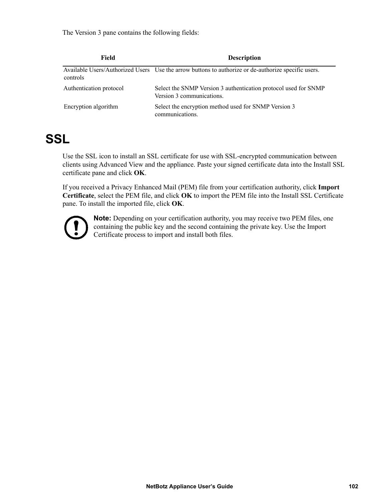The Version 3 pane contains the following fields:

| Field                   | <b>Description</b>                                                                                  |
|-------------------------|-----------------------------------------------------------------------------------------------------|
| controls                | Available Users/Authorized Users Use the arrow buttons to authorize or de-authorize specific users. |
| Authentication protocol | Select the SNMP Version 3 authentication protocol used for SNMP<br>Version 3 communications.        |
| Encryption algorithm    | Select the encryption method used for SNMP Version 3<br>communications.                             |

# **SSL**

Use the SSL icon to install an SSL certificate for use with SSL-encrypted communication between clients using Advanced View and the appliance. Paste your signed certificate data into the Install SSL certificate pane and click **OK**.

If you received a Privacy Enhanced Mail (PEM) file from your certification authority, click **Import Certificate**, select the PEM file, and click **OK** to import the PEM file into the Install SSL Certificate pane. To install the imported file, click **OK**.



**Note:** Depending on your certification authority, you may receive two PEM files, one containing the public key and the second containing the private key. Use the Import Certificate process to import and install both files.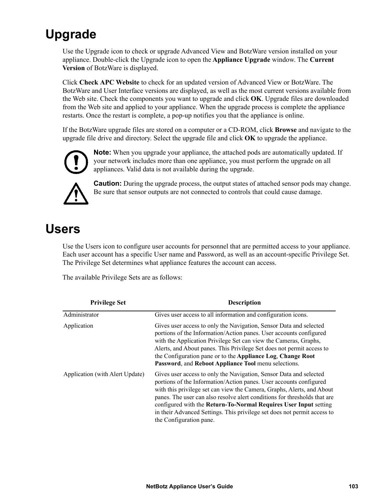# <span id="page-111-0"></span>**Upgrade**

Use the Upgrade icon to check or upgrade Advanced View and BotzWare version installed on your appliance. Double-click the Upgrade icon to open the **Appliance Upgrade** window. The **Current Version** of BotzWare is displayed.

Click **Check APC Website** to check for an updated version of Advanced View or BotzWare. The BotzWare and User Interface versions are displayed, as well as the most current versions available from the Web site. Check the components you want to upgrade and click **OK**. Upgrade files are downloaded from the Web site and applied to your appliance. When the upgrade process is complete the appliance restarts. Once the restart is complete, a pop-up notifies you that the appliance is online.

If the BotzWare upgrade files are stored on a computer or a CD-ROM, click **Browse** and navigate to the upgrade file drive and directory. Select the upgrade file and click **OK** to upgrade the appliance.



**Note:** When you upgrade your appliance, the attached pods are automatically updated. If your network includes more than one appliance, you must perform the upgrade on all appliances. Valid data is not available during the upgrade.



**Caution:** During the upgrade process, the output states of attached sensor pods may change. Be sure that sensor outputs are not connected to controls that could cause damage.

# **Users**

Use the Users icon to configure user accounts for personnel that are permitted access to your appliance. Each user account has a specific User name and Password, as well as an account-specific Privilege Set. The Privilege Set determines what appliance features the account can access.

The available Privilege Sets are as follows:

| <b>Privilege Set</b>            | <b>Description</b>                                                                                                                                                                                                                                                                                                                                                                                                                                                         |
|---------------------------------|----------------------------------------------------------------------------------------------------------------------------------------------------------------------------------------------------------------------------------------------------------------------------------------------------------------------------------------------------------------------------------------------------------------------------------------------------------------------------|
| Administrator                   | Gives user access to all information and configuration icons.                                                                                                                                                                                                                                                                                                                                                                                                              |
| Application                     | Gives user access to only the Navigation, Sensor Data and selected<br>portions of the Information/Action panes. User accounts configured<br>with the Application Privilege Set can view the Cameras, Graphs,<br>Alerts, and About panes. This Privilege Set does not permit access to<br>the Configuration pane or to the Appliance Log, Change Root<br>Password, and Reboot Appliance Tool menu selections.                                                               |
| Application (with Alert Update) | Gives user access to only the Navigation, Sensor Data and selected<br>portions of the Information/Action panes. User accounts configured<br>with this privilege set can view the Camera, Graphs, Alerts, and About<br>panes. The user can also resolve alert conditions for thresholds that are<br>configured with the Return-To-Normal Requires User Input setting<br>in their Advanced Settings. This privilege set does not permit access to<br>the Configuration pane. |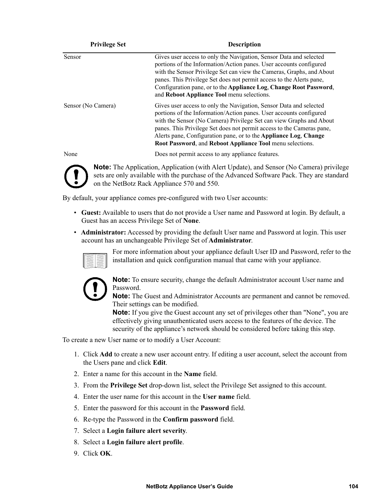| <b>Privilege Set</b> | <b>Description</b>                                                                                                                                                                                                                                                                                                                                                                                                        |
|----------------------|---------------------------------------------------------------------------------------------------------------------------------------------------------------------------------------------------------------------------------------------------------------------------------------------------------------------------------------------------------------------------------------------------------------------------|
| Sensor               | Gives user access to only the Navigation, Sensor Data and selected<br>portions of the Information/Action panes. User accounts configured<br>with the Sensor Privilege Set can view the Cameras, Graphs, and About<br>panes. This Privilege Set does not permit access to the Alerts pane,<br>Configuration pane, or to the Appliance Log, Change Root Password,<br>and Reboot Appliance Tool menu selections.             |
| Sensor (No Camera)   | Gives user access to only the Navigation, Sensor Data and selected<br>portions of the Information/Action panes. User accounts configured<br>with the Sensor (No Camera) Privilege Set can view Graphs and About<br>panes. This Privilege Set does not permit access to the Cameras pane,<br>Alerts pane, Configuration pane, or to the Appliance Log, Change<br>Root Password, and Reboot Appliance Tool menu selections. |
| None                 | Does not permit access to any appliance features.                                                                                                                                                                                                                                                                                                                                                                         |
|                      | <b>Note:</b> The Application Application (with Alert Undate) and Sensor (No Camera) privilegent                                                                                                                                                                                                                                                                                                                           |

**Note:** The Application, Application (with Alert Update), and Sensor (No Camera) privilege sets are only available with the purchase of the Advanced Software Pack. They are standard on the NetBotz Rack Appliance 570 and 550.

By default, your appliance comes pre-configured with two User accounts:

- **Guest:** Available to users that do not provide a User name and Password at login. By default, a Guest has an access Privilege Set of **None**.
- **Administrator:** Accessed by providing the default User name and Password at login. This user account has an unchangeable Privilege Set of **Administrator**.



For more information about your appliance default User ID and Password, refer to the installation and quick configuration manual that came with your appliance.



**Note:** To ensure security, change the default Administrator account User name and Password.

**Note:** The Guest and Administrator Accounts are permanent and cannot be removed. Their settings can be modified.

**Note:** If you give the Guest account any set of privileges other than "None", you are effectively giving unauthenticated users access to the features of the device. The security of the appliance's network should be considered before taking this step.

To create a new User name or to modify a User Account:

- 1. Click **Add** to create a new user account entry. If editing a user account, select the account from the Users pane and click **Edit**.
- 2. Enter a name for this account in the **Name** field.
- 3. From the **Privilege Set** drop-down list, select the Privilege Set assigned to this account.
- 4. Enter the user name for this account in the **User name** field.
- 5. Enter the password for this account in the **Password** field.
- 6. Re-type the Password in the **Confirm password** field.
- 7. Select a **Login failure alert severity**.
- 8. Select a **Login failure alert profile**.
- 9. Click **OK**.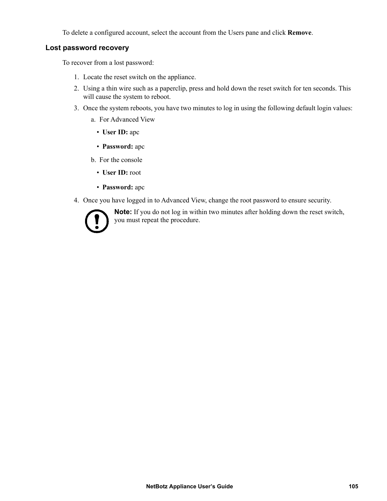To delete a configured account, select the account from the Users pane and click **Remove**.

### **Lost password recovery**

To recover from a lost password:

- 1. Locate the reset switch on the appliance.
- 2. Using a thin wire such as a paperclip, press and hold down the reset switch for ten seconds. This will cause the system to reboot.
- 3. Once the system reboots, you have two minutes to log in using the following default login values:
	- a. For Advanced View
		- **User ID:** apc
		- **Password:** apc
	- b. For the console
		- **User ID:** root
		- **Password:** apc
- 4. Once you have logged in to Advanced View, change the root password to ensure security.



**Note:** If you do not log in within two minutes after holding down the reset switch, you must repeat the procedure.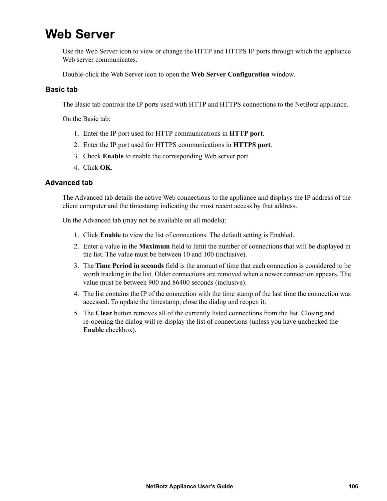# **Web Server**

Use the Web Server icon to view or change the HTTP and HTTPS IP ports through which the appliance Web server communicates.

Double-click the Web Server icon to open the **Web Server Configuration** window.

### **Basic tab**

The Basic tab controls the IP ports used with HTTP and HTTPS connections to the NetBotz appliance.

On the Basic tab:

- 1. Enter the IP port used for HTTP communications in **HTTP port**.
- 2. Enter the IP port used for HTTPS communications in **HTTPS port**.
- 3. Check **Enable** to enable the corresponding Web server port.
- 4. Click **OK**.

### **Advanced tab**

The Advanced tab details the active Web connections to the appliance and displays the IP address of the client computer and the timestamp indicating the most recent access by that address.

On the Advanced tab (may not be available on all models):

- 1. Click **Enable** to view the list of connections. The default setting is Enabled.
- 2. Enter a value in the **Maximum** field to limit the number of connections that will be displayed in the list. The value must be between 10 and 100 (inclusive).
- 3. The **Time Period in seconds** field is the amount of time that each connection is considered to be worth tracking in the list. Older connections are removed when a newer connection appears. The value must be between 900 and 86400 seconds (inclusive).
- 4. The list contains the IP of the connection with the time stamp of the last time the connection was accessed. To update the timestamp, close the dialog and reopen it.
- 5. The **Clear** button removes all of the currently listed connections from the list. Closing and re-opening the dialog will re-display the list of connections (unless you have unchecked the **Enable** checkbox).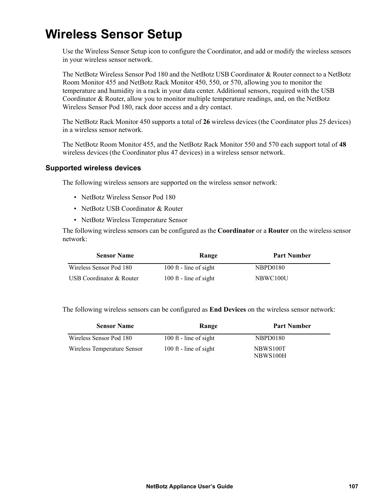# **Wireless Sensor Setup**

Use the Wireless Sensor Setup icon to configure the Coordinator, and add or modify the wireless sensors in your wireless sensor network.

The NetBotz Wireless Sensor Pod 180 and the NetBotz USB Coordinator & Router connect to a NetBotz Room Monitor 455 and NetBotz Rack Monitor 450, 550, or 570, allowing you to monitor the temperature and humidity in a rack in your data center. Additional sensors, required with the USB Coordinator & Router, allow you to monitor multiple temperature readings, and, on the NetBotz Wireless Sensor Pod 180, rack door access and a dry contact.

The NetBotz Rack Monitor 450 supports a total of **26** wireless devices (the Coordinator plus 25 devices) in a wireless sensor network.

The NetBotz Room Monitor 455, and the NetBotz Rack Monitor 550 and 570 each support total of **48** wireless devices (the Coordinator plus 47 devices) in a wireless sensor network.

#### **Supported wireless devices**

The following wireless sensors are supported on the wireless sensor network:

- NetBotz Wireless Sensor Pod 180
- NetBotz USB Coordinator & Router
- NetBotz Wireless Temperature Sensor

The following wireless sensors can be configured as the **Coordinator** or a **Router** on the wireless sensor network:

| <b>Sensor Name</b>       | Range                  | <b>Part Number</b> |
|--------------------------|------------------------|--------------------|
| Wireless Sensor Pod 180  | 100 ft - line of sight | NBPD0180           |
| USB Coordinator & Router | 100 ft - line of sight | NBWC100U           |

The following wireless sensors can be configured as **End Devices** on the wireless sensor network:

| <b>Sensor Name</b>          | Range                  | <b>Part Number</b>   |
|-----------------------------|------------------------|----------------------|
| Wireless Sensor Pod 180     | 100 ft - line of sight | NBPD0180             |
| Wireless Temperature Sensor | 100 ft - line of sight | NBWS100T<br>NBWS100H |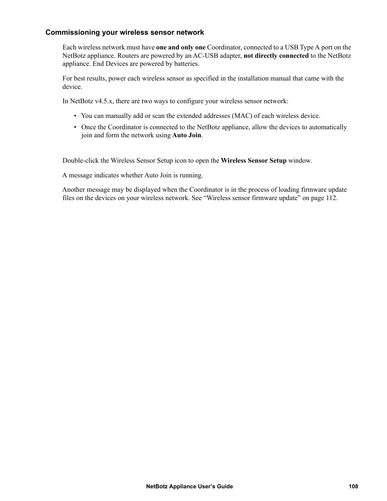### **Commissioning your wireless sensor network**

Each wireless network must have **one and only one** Coordinator, connected to a USB Type A port on the NetBotz appliance. Routers are powered by an AC-USB adapter, **not directly connected** to the NetBotz appliance. End Devices are powered by batteries.

For best results, power each wireless sensor as specified in the installation manual that came with the device.

In NetBotz v4.5.x, there are two ways to configure your wireless sensor network:

- You can manually add or scan the extended addresses (MAC) of each wireless device.
- Once the Coordinator is connected to the NetBotz appliance, allow the devices to automatically join and form the network using **Auto Join**.

Double-click the Wireless Sensor Setup icon to open the **Wireless Sensor Setup** window.

A message indicates whether Auto Join is running.

Another message may be displayed when the Coordinator is in the process of loading firmware update files on the devices on your wireless network. [See "Wireless sensor firmware update" on page 112.](#page-120-0)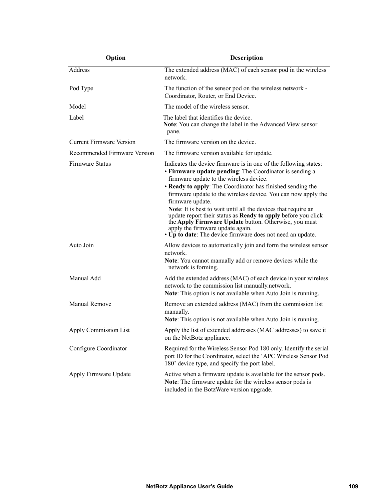| Option                          | <b>Description</b>                                                                                                                                                                                                                                                                                                                                                                                                                                                                                                                                                                                                             |  |
|---------------------------------|--------------------------------------------------------------------------------------------------------------------------------------------------------------------------------------------------------------------------------------------------------------------------------------------------------------------------------------------------------------------------------------------------------------------------------------------------------------------------------------------------------------------------------------------------------------------------------------------------------------------------------|--|
| Address                         | The extended address (MAC) of each sensor pod in the wireless<br>network.                                                                                                                                                                                                                                                                                                                                                                                                                                                                                                                                                      |  |
| Pod Type                        | The function of the sensor pod on the wireless network -<br>Coordinator, Router, or End Device.                                                                                                                                                                                                                                                                                                                                                                                                                                                                                                                                |  |
| Model                           | The model of the wireless sensor.                                                                                                                                                                                                                                                                                                                                                                                                                                                                                                                                                                                              |  |
| Label                           | The label that identifies the device.<br>Note: You can change the label in the Advanced View sensor<br>pane.                                                                                                                                                                                                                                                                                                                                                                                                                                                                                                                   |  |
| <b>Current Firmware Version</b> | The firmware version on the device.                                                                                                                                                                                                                                                                                                                                                                                                                                                                                                                                                                                            |  |
| Recommended Firmware Version    | The firmware version available for update.                                                                                                                                                                                                                                                                                                                                                                                                                                                                                                                                                                                     |  |
| Firmware Status                 | Indicates the device firmware is in one of the following states:<br>• Firmware update pending: The Coordinator is sending a<br>firmware update to the wireless device.<br>• Ready to apply: The Coordinator has finished sending the<br>firmware update to the wireless device. You can now apply the<br>firmware update.<br>Note: It is best to wait until all the devices that require an<br>update report their status as <b>Ready to apply</b> before you click<br>the Apply Firmware Update button. Otherwise, you must<br>apply the firmware update again.<br>• Up to date: The device firmware does not need an update. |  |
| Auto Join                       | Allow devices to automatically join and form the wireless sensor<br>network.<br>Note: You cannot manually add or remove devices while the<br>network is forming.                                                                                                                                                                                                                                                                                                                                                                                                                                                               |  |
| Manual Add                      | Add the extended address (MAC) of each device in your wireless<br>network to the commission list manually.network.<br>Note: This option is not available when Auto Join is running.                                                                                                                                                                                                                                                                                                                                                                                                                                            |  |
| Manual Remove                   | Remove an extended address (MAC) from the commission list<br>manually.<br>Note: This option is not available when Auto Join is running.                                                                                                                                                                                                                                                                                                                                                                                                                                                                                        |  |
| <b>Apply Commission List</b>    | Apply the list of extended addresses (MAC addresses) to save it<br>on the NetBotz appliance.                                                                                                                                                                                                                                                                                                                                                                                                                                                                                                                                   |  |
| Configure Coordinator           | Required for the Wireless Sensor Pod 180 only. Identify the serial<br>port ID for the Coordinator, select the 'APC Wireless Sensor Pod<br>180' device type, and specify the port label.                                                                                                                                                                                                                                                                                                                                                                                                                                        |  |
| Apply Firmware Update           | Active when a firmware update is available for the sensor pods.<br>Note: The firmware update for the wireless sensor pods is<br>included in the BotzWare version upgrade.                                                                                                                                                                                                                                                                                                                                                                                                                                                      |  |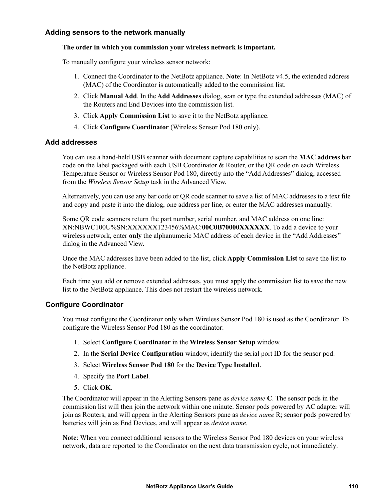### **Adding sensors to the network manually**

### **The order in which you commission your wireless network is important.**

To manually configure your wireless sensor network:

- 1. Connect the Coordinator to the NetBotz appliance. **Note**: In NetBotz v4.5, the extended address (MAC) of the Coordinator is automatically added to the commission list.
- 2. Click **Manual Add**. In the **Add Addresses** dialog, scan or type the extended addresses (MAC) of the Routers and End Devices into the commission list.
- 3. Click **Apply Commission List** to save it to the NetBotz appliance.
- 4. Click **Configure Coordinator** (Wireless Sensor Pod 180 only).

### **Add addresses**

You can use a hand-held USB scanner with document capture capabilities to scan the **MAC address** bar code on the label packaged with each USB Coordinator & Router, or the QR code on each Wireless Temperature Sensor or Wireless Sensor Pod 180, directly into the "Add Addresses" dialog, accessed from the *Wireless Sensor Setup* task in the Advanced View.

Alternatively, you can use any bar code or QR code scanner to save a list of MAC addresses to a text file and copy and paste it into the dialog, one address per line, or enter the MAC addresses manually.

Some QR code scanners return the part number, serial number, and MAC address on one line: XN:NBWC100U%SN:XXXXXX123456%MAC:**00C0B70000XXXXXX**. To add a device to your wireless network, enter **only** the alphanumeric MAC address of each device in the "Add Addresses" dialog in the Advanced View.

Once the MAC addresses have been added to the list, click **Apply Commission List** to save the list to the NetBotz appliance.

Each time you add or remove extended addresses, you must apply the commission list to save the new list to the NetBotz appliance. This does not restart the wireless network.

### <span id="page-118-0"></span>**Configure Coordinator**

You must configure the Coordinator only when Wireless Sensor Pod 180 is used as the Coordinator. To configure the Wireless Sensor Pod 180 as the coordinator:

- 1. Select **Configure Coordinator** in the **Wireless Sensor Setup** window.
- 2. In the **Serial Device Configuration** window, identify the serial port ID for the sensor pod.
- 3. Select **Wireless Sensor Pod 180** for the **Device Type Installed**.
- 4. Specify the **Port Label**.
- 5. Click **OK**.

The Coordinator will appear in the Alerting Sensors pane as *device name* **C**. The sensor pods in the commission list will then join the network within one minute. Sensor pods powered by AC adapter will join as Routers, and will appear in the Alerting Sensors pane as *device name* R; sensor pods powered by batteries will join as End Devices, and will appear as *device name*.

**Note**: When you connect additional sensors to the Wireless Sensor Pod 180 devices on your wireless network, data are reported to the Coordinator on the next data transmission cycle, not immediately.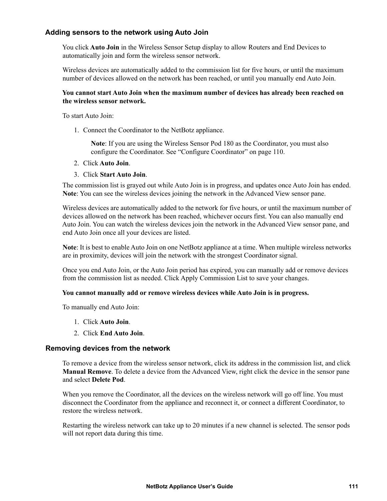### **Adding sensors to the network using Auto Join**

You click **Auto Join** in the Wireless Sensor Setup display to allow Routers and End Devices to automatically join and form the wireless sensor network.

Wireless devices are automatically added to the commission list for five hours, or until the maximum number of devices allowed on the network has been reached, or until you manually end Auto Join.

#### **You cannot start Auto Join when the maximum number of devices has already been reached on the wireless sensor network.**

To start Auto Join:

1. Connect the Coordinator to the NetBotz appliance.

**Note**: If you are using the Wireless Sensor Pod 180 as the Coordinator, you must also configure the Coordinator. See ["Configure Coordinator" on page 110](#page-118-0).

#### 2. Click **Auto Join**.

#### 3. Click **Start Auto Join**.

The commission list is grayed out while Auto Join is in progress, and updates once Auto Join has ended. **Note**: You can see the wireless devices joining the network in the Advanced View sensor pane.

Wireless devices are automatically added to the network for five hours, or until the maximum number of devices allowed on the network has been reached, whichever occurs first. You can also manually end Auto Join. You can watch the wireless devices join the network in the Advanced View sensor pane, and end Auto Join once all your devices are listed.

**Note**: It is best to enable Auto Join on one NetBotz appliance at a time. When multiple wireless networks are in proximity, devices will join the network with the strongest Coordinator signal.

Once you end Auto Join, or the Auto Join period has expired, you can manually add or remove devices from the commission list as needed. Click Apply Commission List to save your changes.

### **You cannot manually add or remove wireless devices while Auto Join is in progress.**

To manually end Auto Join:

- 1. Click **Auto Join**.
- 2. Click **End Auto Join**.

### **Removing devices from the network**

To remove a device from the wireless sensor network, click its address in the commission list, and click **Manual Remove**. To delete a device from the Advanced View, right click the device in the sensor pane and select **Delete Pod**.

When you remove the Coordinator, all the devices on the wireless network will go off line. You must disconnect the Coordinator from the appliance and reconnect it, or connect a different Coordinator, to restore the wireless network.

Restarting the wireless network can take up to 20 minutes if a new channel is selected. The sensor pods will not report data during this time.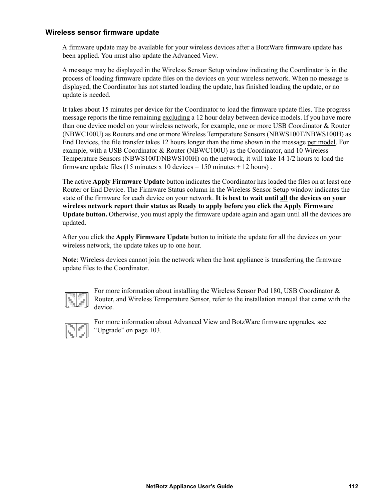### <span id="page-120-0"></span>**Wireless sensor firmware update**

A firmware update may be available for your wireless devices after a BotzWare firmware update has been applied. You must also update the Advanced View.

A message may be displayed in the Wireless Sensor Setup window indicating the Coordinator is in the process of loading firmware update files on the devices on your wireless network. When no message is displayed, the Coordinator has not started loading the update, has finished loading the update, or no update is needed.

It takes about 15 minutes per device for the Coordinator to load the firmware update files. The progress message reports the time remaining excluding a 12 hour delay between device models. If you have more than one device model on your wireless network, for example, one or more USB Coordinator & Router (NBWC100U) as Routers and one or more Wireless Temperature Sensors (NBWS100T/NBWS100H) as End Devices, the file transfer takes 12 hours longer than the time shown in the message per model. For example, with a USB Coordinator & Router (NBWC100U) as the Coordinator, and 10 Wireless Temperature Sensors (NBWS100T/NBWS100H) on the network, it will take 14 1/2 hours to load the firmware update files (15 minutes x 10 devices  $= 150$  minutes  $+ 12$  hours).

The active **Apply Firmware Update** button indicates the Coordinator has loaded the files on at least one Router or End Device. The Firmware Status column in the Wireless Sensor Setup window indicates the state of the firmware for each device on your network. **It is best to wait until all the devices on your wireless network report their status as Ready to apply before you click the Apply Firmware Update button.** Otherwise, you must apply the firmware update again and again until all the devices are updated.

After you click the **Apply Firmware Update** button to initiate the update for all the devices on your wireless network, the update takes up to one hour.

**Note**: Wireless devices cannot join the network when the host appliance is transferring the firmware update files to the Coordinator.

For more information about installing the Wireless Sensor Pod 180, USB Coordinator & Router, and Wireless Temperature Sensor, refer to the installation manual that came with the device.



For more information about Advanced View and BotzWare firmware upgrades, see ["Upgrade" on page 103](#page-111-0).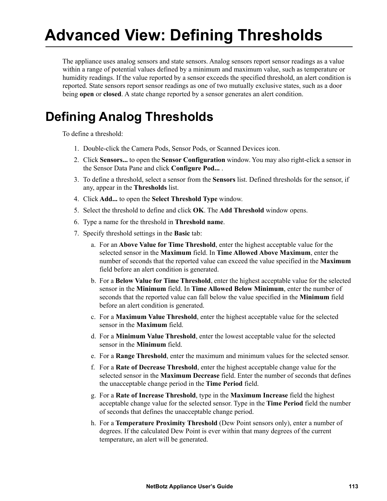# **Advanced View: Defining Thresholds**

<span id="page-121-0"></span>The appliance uses analog sensors and state sensors. Analog sensors report sensor readings as a value within a range of potential values defined by a minimum and maximum value, such as temperature or humidity readings. If the value reported by a sensor exceeds the specified threshold, an alert condition is reported. State sensors report sensor readings as one of two mutually exclusive states, such as a door being **open** or **closed**. A state change reported by a sensor generates an alert condition.

# **Defining Analog Thresholds**

To define a threshold:

- 1. Double-click the Camera Pods, Sensor Pods, or Scanned Devices icon.
- 2. Click **Sensors...** to open the **Sensor Configuration** window. You may also right-click a sensor in the Sensor Data Pane and click **Configure Pod...** .
- 3. To define a threshold, select a sensor from the **Sensors** list. Defined thresholds for the sensor, if any, appear in the **Thresholds** list.
- 4. Click **Add...** to open the **Select Threshold Type** window.
- 5. Select the threshold to define and click **OK**. The **Add Threshold** window opens.
- 6. Type a name for the threshold in **Threshold name**.
- 7. Specify threshold settings in the **Basic** tab:
	- a. For an **Above Value for Time Threshold**, enter the highest acceptable value for the selected sensor in the **Maximum** field. In **Time Allowed Above Maximum**, enter the number of seconds that the reported value can exceed the value specified in the **Maximum** field before an alert condition is generated.
	- b. For a **Below Value for Time Threshold**, enter the highest acceptable value for the selected sensor in the **Minimum** field. In **Time Allowed Below Minimum**, enter the number of seconds that the reported value can fall below the value specified in the **Minimum** field before an alert condition is generated.
	- c. For a **Maximum Value Threshold**, enter the highest acceptable value for the selected sensor in the **Maximum** field.
	- d. For a **Minimum Value Threshold**, enter the lowest acceptable value for the selected sensor in the **Minimum** field.
	- e. For a **Range Threshold**, enter the maximum and minimum values for the selected sensor.
	- f. For a **Rate of Decrease Threshold**, enter the highest acceptable change value for the selected sensor in the **Maximum Decrease** field. Enter the number of seconds that defines the unacceptable change period in the **Time Period** field.
	- g. For a **Rate of Increase Threshold**, type in the **Maximum Increase** field the highest acceptable change value for the selected sensor. Type in the **Time Period** field the number of seconds that defines the unacceptable change period.
	- h. For a **Temperature Proximity Threshold** (Dew Point sensors only), enter a number of degrees. If the calculated Dew Point is ever within that many degrees of the current temperature, an alert will be generated.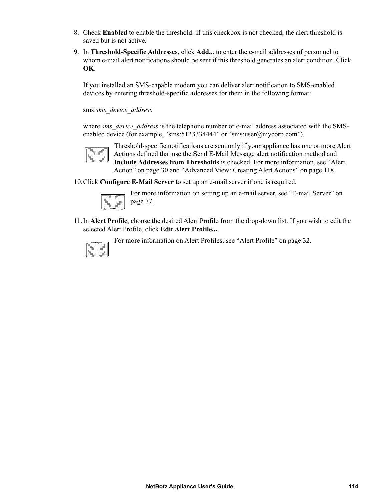- 8. Check **Enabled** to enable the threshold. If this checkbox is not checked, the alert threshold is saved but is not active.
- 9. In **Threshold-Specific Addresses**, click **Add...** to enter the e-mail addresses of personnel to whom e-mail alert notifications should be sent if this threshold generates an alert condition. Click **OK**.

If you installed an SMS-capable modem you can deliver alert notification to SMS-enabled devices by entering threshold-specific addresses for them in the following format:

sms:*sms\_device\_address*

where *sms\_device\_address* is the telephone number or e-mail address associated with the SMSenabled device (for example, "sms:5123334444" or "sms:user@mycorp.com").



Threshold-specific notifications are sent only if your appliance has one or more Alert Actions defined that use the Send E-Mail Message alert notification method and **Include Addresses from Thresholds** is checked. For more information, see ["Alert](#page-38-0)  [Action" on page 30](#page-38-0) and ["Advanced View: Creating Alert Actions" on page 118](#page-126-0).

10.Click **Configure E-Mail Server** to set up an e-mail server if one is required.



For more information on setting up an e-mail server, see ["E-mail Server" on](#page-85-0)  [page 77](#page-85-0).

11.In **Alert Profile**, choose the desired Alert Profile from the drop-down list. If you wish to edit the selected Alert Profile, click **Edit Alert Profile...**.



For more information on Alert Profiles, see ["Alert Profile" on page 32](#page-40-0).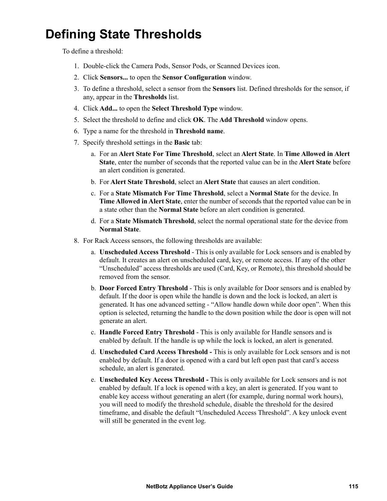# **Defining State Thresholds**

To define a threshold:

- 1. Double-click the Camera Pods, Sensor Pods, or Scanned Devices icon.
- 2. Click **Sensors...** to open the **Sensor Configuration** window.
- 3. To define a threshold, select a sensor from the **Sensors** list. Defined thresholds for the sensor, if any, appear in the **Thresholds** list.
- 4. Click **Add...** to open the **Select Threshold Type** window.
- 5. Select the threshold to define and click **OK**. The **Add Threshold** window opens.
- 6. Type a name for the threshold in **Threshold name**.
- 7. Specify threshold settings in the **Basic** tab:
	- a. For an **Alert State For Time Threshold**, select an **Alert State**. In **Time Allowed in Alert State**, enter the number of seconds that the reported value can be in the **Alert State** before an alert condition is generated.
	- b. For **Alert State Threshold**, select an **Alert State** that causes an alert condition.
	- c. For a **State Mismatch For Time Threshold**, select a **Normal State** for the device. In **Time Allowed in Alert State**, enter the number of seconds that the reported value can be in a state other than the **Normal State** before an alert condition is generated.
	- d. For a **State Mismatch Threshold**, select the normal operational state for the device from **Normal State**.
- 8. For Rack Access sensors, the following thresholds are available:
	- a. **Unscheduled Access Threshold** This is only available for Lock sensors and is enabled by default. It creates an alert on unscheduled card, key, or remote access. If any of the other "Unscheduled" access thresholds are used (Card, Key, or Remote), this threshold should be removed from the sensor.
	- b. **Door Forced Entry Threshold** This is only available for Door sensors and is enabled by default. If the door is open while the handle is down and the lock is locked, an alert is generated. It has one advanced setting - "Allow handle down while door open". When this option is selected, returning the handle to the down position while the door is open will not generate an alert.
	- c. **Handle Forced Entry Threshold** This is only available for Handle sensors and is enabled by default. If the handle is up while the lock is locked, an alert is generated.
	- d. **Unscheduled Card Access Threshold -** This is only available for Lock sensors and is not enabled by default. If a door is opened with a card but left open past that card's access schedule, an alert is generated.
	- e. **Unscheduled Key Access Threshold -** This is only available for Lock sensors and is not enabled by default. If a lock is opened with a key, an alert is generated. If you want to enable key access without generating an alert (for example, during normal work hours), you will need to modify the threshold schedule, disable the threshold for the desired timeframe, and disable the default "Unscheduled Access Threshold". A key unlock event will still be generated in the event log.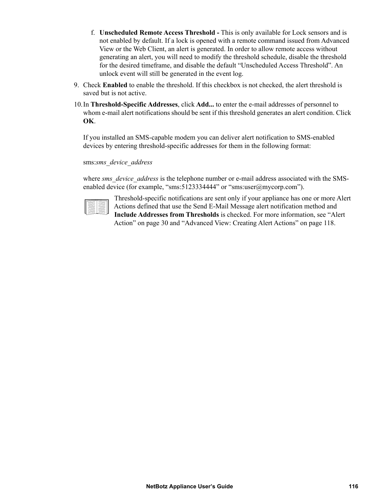- f. **Unscheduled Remote Access Threshold -** This is only available for Lock sensors and is not enabled by default. If a lock is opened with a remote command issued from Advanced View or the Web Client, an alert is generated. In order to allow remote access without generating an alert, you will need to modify the threshold schedule, disable the threshold for the desired timeframe, and disable the default "Unscheduled Access Threshold". An unlock event will still be generated in the event log.
- 9. Check **Enabled** to enable the threshold. If this checkbox is not checked, the alert threshold is saved but is not active.
- 10.In **Threshold-Specific Addresses**, click **Add...** to enter the e-mail addresses of personnel to whom e-mail alert notifications should be sent if this threshold generates an alert condition. Click **OK**.

If you installed an SMS-capable modem you can deliver alert notification to SMS-enabled devices by entering threshold-specific addresses for them in the following format:

#### sms:*sms\_device\_address*

where *sms\_device\_address* is the telephone number or e-mail address associated with the SMSenabled device (for example, "sms:5123334444" or "sms:user@mycorp.com").

Threshold-specific notifications are sent only if your appliance has one or more Alert Actions defined that use the Send E-Mail Message alert notification method and **Include Addresses from Thresholds** is checked. For more information, see ["Alert](#page-38-0)  [Action" on page 30](#page-38-0) and ["Advanced View: Creating Alert Actions" on page 118](#page-126-0).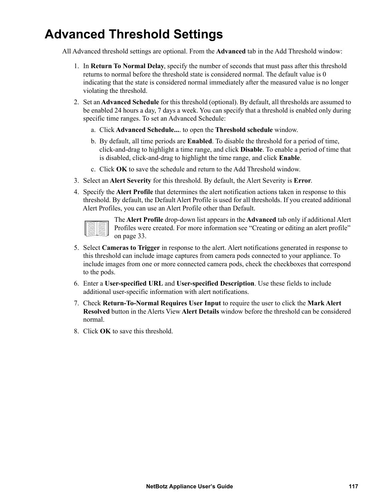# **Advanced Threshold Settings**

All Advanced threshold settings are optional. From the **Advanced** tab in the Add Threshold window:

- 1. In **Return To Normal Delay**, specify the number of seconds that must pass after this threshold returns to normal before the threshold state is considered normal. The default value is 0 indicating that the state is considered normal immediately after the measured value is no longer violating the threshold.
- 2. Set an **Advanced Schedule** for this threshold (optional). By default, all thresholds are assumed to be enabled 24 hours a day, 7 days a week. You can specify that a threshold is enabled only during specific time ranges. To set an Advanced Schedule:
	- a. Click **Advanced Schedule...**. to open the **Threshold schedule** window.
	- b. By default, all time periods are **Enabled**. To disable the threshold for a period of time, click-and-drag to highlight a time range, and click **Disable**. To enable a period of time that is disabled, click-and-drag to highlight the time range, and click **Enable**.
	- c. Click **OK** to save the schedule and return to the Add Threshold window.
- 3. Select an **Alert Severity** for this threshold. By default, the Alert Severity is **Error**.
- 4. Specify the **Alert Profile** that determines the alert notification actions taken in response to this threshold. By default, the Default Alert Profile is used for all thresholds. If you created additional Alert Profiles, you can use an Alert Profile other than Default.

The **Alert Profile** drop-down list appears in the **Advanced** tab only if additional Alert Profiles were created. For more information see ["Creating or editing an alert profile"](#page-41-0)  [on page 33](#page-41-0).

- 5. Select **Cameras to Trigger** in response to the alert. Alert notifications generated in response to this threshold can include image captures from camera pods connected to your appliance. To include images from one or more connected camera pods, check the checkboxes that correspond to the pods.
- 6. Enter a **User-specified URL** and **User-specified Description**. Use these fields to include additional user-specific information with alert notifications.
- 7. Check **Return-To-Normal Requires User Input** to require the user to click the **Mark Alert Resolved** button in the Alerts View **Alert Details** window before the threshold can be considered normal.
- 8. Click **OK** to save this threshold.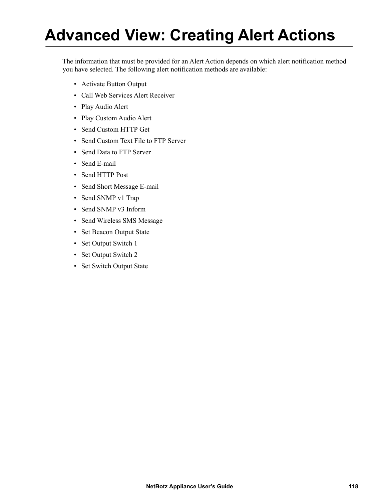# **Advanced View: Creating Alert Actions**

<span id="page-126-0"></span>The information that must be provided for an Alert Action depends on which alert notification method you have selected. The following alert notification methods are available:

- [Activate Button Output](#page-127-0)
- [Call Web Services Alert Receiver](#page-127-0)
- [Play Audio Alert](#page-127-1)
- [Play Custom Audio Alert](#page-128-0)
- [Send Custom HTTP Get](#page-129-0)
- [Send Custom Text File to FTP Server](#page-131-0)
- [Send Data to FTP Server](#page-132-0)
- [Send E-mail](#page-134-0)
- [Send HTTP Post](#page-136-0)
- [Send Short Message E-mail](#page-137-1)
- [Send SNMP v1 Trap](#page-138-0)
- [Send SNMP v3 Inform](#page-139-0)
- [Send Wireless SMS Message](#page-139-1)
- [Set Beacon Output State](#page-141-0)
- [Set Output Switch 1](#page-142-0)
- [Set Output Switch 2](#page-142-0)
- [Set Switch Output State](#page-143-0)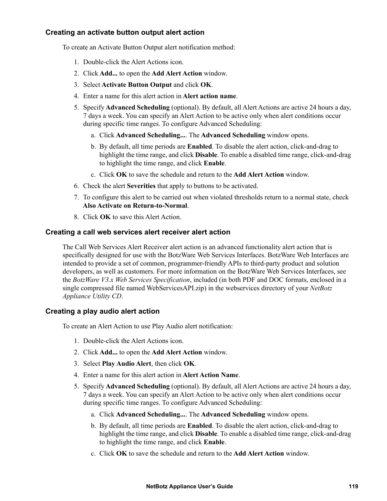# <span id="page-127-0"></span>**Creating an activate button output alert action**

To create an Activate Button Output alert notification method:

- 1. Double-click the Alert Actions icon.
- 2. Click **Add...** to open the **Add Alert Action** window.
- 3. Select **Activate Button Output** and click **OK**.
- 4. Enter a name for this alert action in **Alert action name**.
- 5. Specify **Advanced Scheduling** (optional). By default, all Alert Actions are active 24 hours a day, 7 days a week. You can specify an Alert Action to be active only when alert conditions occur during specific time ranges. To configure Advanced Scheduling:
	- a. Click **Advanced Scheduling...**. The **Advanced Scheduling** window opens.
	- b. By default, all time periods are **Enabled**. To disable the alert action, click-and-drag to highlight the time range, and click **Disable**. To enable a disabled time range, click-and-drag to highlight the time range, and click **Enable**.
	- c. Click **OK** to save the schedule and return to the **Add Alert Action** window.
- 6. Check the alert **Severities** that apply to buttons to be activated.
- 7. To configure this alert to be carried out when violated thresholds return to a normal state, check **Also Activate on Return-to-Normal**.
- 8. Click **OK** to save this Alert Action.

# **Creating a call web services alert receiver alert action**

The Call Web Services Alert Receiver alert action is an advanced functionality alert action that is specifically designed for use with the BotzWare Web Services Interfaces. BotzWare Web Interfaces are intended to provide a set of common, programmer-friendly APIs to third-party product and solution developers, as well as customers. For more information on the BotzWare Web Services Interfaces, see the *BotzWare V3.x Web Services Specification*, included (in both PDF and DOC formats, enclosed in a single compressed file named WebServicesAPI.zip) in the webservices directory of your *NetBotz Appliance Utility CD*.

### <span id="page-127-1"></span>**Creating a play audio alert action**

To create an Alert Action to use Play Audio alert notification:

- 1. Double-click the Alert Actions icon.
- 2. Click **Add...** to open the **Add Alert Action** window.
- 3. Select **Play Audio Alert**, then click **OK**.
- 4. Enter a name for this alert action in **Alert Action Name**.
- 5. Specify **Advanced Scheduling** (optional). By default, all Alert Actions are active 24 hours a day, 7 days a week. You can specify an Alert Action to be active only when alert conditions occur during specific time ranges. To configure Advanced Scheduling:
	- a. Click **Advanced Scheduling...**. The **Advanced Scheduling** window opens.
	- b. By default, all time periods are **Enabled**. To disable the alert action, click-and-drag to highlight the time range, and click **Disable**. To enable a disabled time range, click-and-drag to highlight the time range, and click **Enable**.
	- c. Click **OK** to save the schedule and return to the **Add Alert Action** window.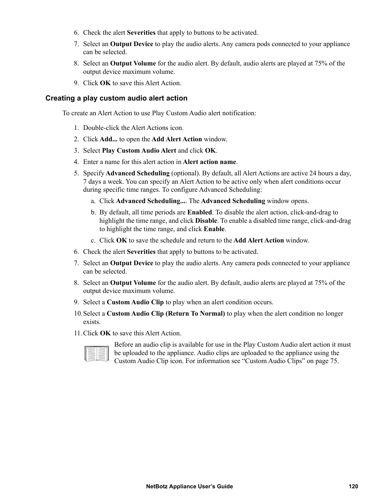- 6. Check the alert **Severities** that apply to buttons to be activated.
- 7. Select an **Output Device** to play the audio alerts. Any camera pods connected to your appliance can be selected.
- 8. Select an **Output Volume** for the audio alert. By default, audio alerts are played at 75% of the output device maximum volume.
- 9. Click **OK** to save this Alert Action.

### <span id="page-128-0"></span>**Creating a play custom audio alert action**

To create an Alert Action to use Play Custom Audio alert notification:

- 1. Double-click the Alert Actions icon.
- 2. Click **Add...** to open the **Add Alert Action** window.
- 3. Select **Play Custom Audio Alert** and click **OK**.
- 4. Enter a name for this alert action in **Alert action name**.
- 5. Specify **Advanced Scheduling** (optional). By default, all Alert Actions are active 24 hours a day, 7 days a week. You can specify an Alert Action to be active only when alert conditions occur during specific time ranges. To configure Advanced Scheduling:
	- a. Click **Advanced Scheduling...**. The **Advanced Scheduling** window opens.
	- b. By default, all time periods are **Enabled**. To disable the alert action, click-and-drag to highlight the time range, and click **Disable**. To enable a disabled time range, click-and-drag to highlight the time range, and click **Enable**.
	- c. Click **OK** to save the schedule and return to the **Add Alert Action** window.
- 6. Check the alert **Severities** that apply to buttons to be activated.
- 7. Select an **Output Device** to play the audio alerts. Any camera pods connected to your appliance can be selected.
- 8. Select an **Output Volume** for the audio alert. By default, audio alerts are played at 75% of the output device maximum volume.
- 9. Select a **Custom Audio Clip** to play when an alert condition occurs.
- 10.Select a **Custom Audio Clip (Return To Normal)** to play when the alert condition no longer exists.
- 11.Click **OK** to save this Alert Action.



Before an audio clip is available for use in the Play Custom Audio alert action it must be uploaded to the appliance. Audio clips are uploaded to the appliance using the Custom Audio Clip icon. For information see ["Custom Audio Clips" on page 75.](#page-83-0)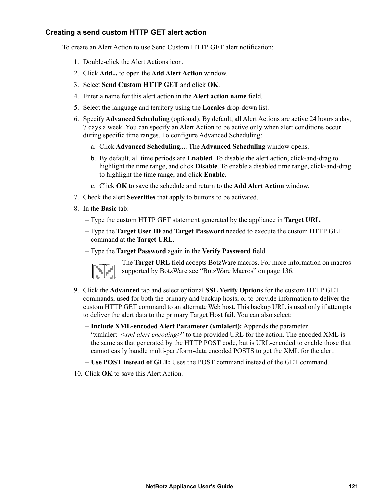# <span id="page-129-0"></span>**Creating a send custom HTTP GET alert action**

To create an Alert Action to use Send Custom HTTP GET alert notification:

- 1. Double-click the Alert Actions icon.
- 2. Click **Add...** to open the **Add Alert Action** window.
- 3. Select **Send Custom HTTP GET** and click **OK**.
- 4. Enter a name for this alert action in the **Alert action name** field.
- 5. Select the language and territory using the **Locales** drop-down list.
- 6. Specify **Advanced Scheduling** (optional). By default, all Alert Actions are active 24 hours a day, 7 days a week. You can specify an Alert Action to be active only when alert conditions occur during specific time ranges. To configure Advanced Scheduling:
	- a. Click **Advanced Scheduling...**. The **Advanced Scheduling** window opens.
	- b. By default, all time periods are **Enabled**. To disable the alert action, click-and-drag to highlight the time range, and click **Disable**. To enable a disabled time range, click-and-drag to highlight the time range, and click **Enable**.
	- c. Click **OK** to save the schedule and return to the **Add Alert Action** window.
- 7. Check the alert **Severities** that apply to buttons to be activated.
- 8. In the **Basic** tab:
	- Type the custom HTTP GET statement generated by the appliance in **Target URL**.
	- Type the **Target User ID** and **Target Password** needed to execute the custom HTTP GET command at the **Target URL**.
	- Type the **Target Password** again in the **Verify Password** field.



The **Target URL** field accepts BotzWare macros. For more information on macros supported by BotzWare see ["BotzWare Macros" on page 136](#page-144-0).

- 9. Click the **Advanced** tab and select optional **SSL Verify Options** for the custom HTTP GET commands, used for both the primary and backup hosts, or to provide information to deliver the custom HTTP GET command to an alternate Web host. This backup URL is used only if attempts to deliver the alert data to the primary Target Host fail. You can also select:
	- **Include XML-encoded Alert Parameter (xmlalert):** Appends the parameter "xmlalert=<*xml alert encoding*>" to the provided URL for the action. The encoded XML is the same as that generated by the HTTP POST code, but is URL-encoded to enable those that cannot easily handle multi-part/form-data encoded POSTS to get the XML for the alert.
	- **Use POST instead of GET:** Uses the POST command instead of the GET command.
- 10. Click **OK** to save this Alert Action.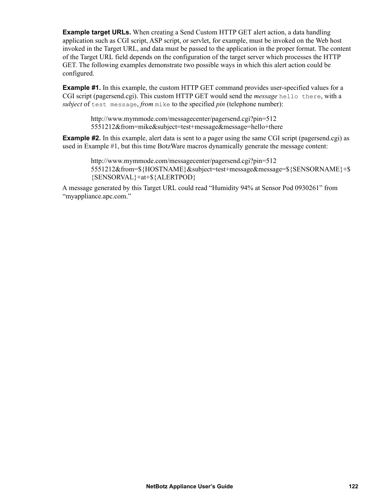**Example target URLs.** When creating a Send Custom HTTP GET alert action, a data handling application such as CGI script, ASP script, or servlet, for example, must be invoked on the Web host invoked in the Target URL, and data must be passed to the application in the proper format. The content of the Target URL field depends on the configuration of the target server which processes the HTTP GET. The following examples demonstrate two possible ways in which this alert action could be configured.

**Example #1.** In this example, the custom HTTP GET command provides user-specified values for a CGI script (pagersend.cgi). This custom HTTP GET would send the *message* hello there, with a *subject* of test message, *from* mike to the specified *pin* (telephone number):

> http://www.mymmode.com/messagecenter/pagersend.cgi?pin=512 5551212&from=mike&subject=test+message&message=hello+there

**Example #2.** In this example, alert data is sent to a pager using the same CGI script (pagersend.cgi) as used in Example #1, but this time BotzWare macros dynamically generate the message content:

http://www.mymmode.com/messagecenter/pagersend.cgi?pin=512 5551212&from=\${HOSTNAME}&subject=test+message&message=\${SENSORNAME}+\$ {SENSORVAL}+at+\${ALERTPOD}

A message generated by this Target URL could read "Humidity 94% at Sensor Pod 0930261" from "myappliance.apc.com."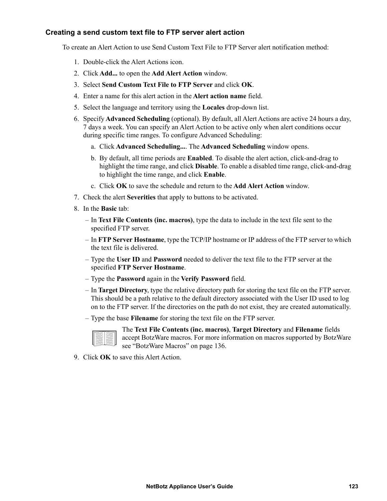### <span id="page-131-0"></span>**Creating a send custom text file to FTP server alert action**

To create an Alert Action to use Send Custom Text File to FTP Server alert notification method:

- 1. Double-click the Alert Actions icon.
- 2. Click **Add...** to open the **Add Alert Action** window.
- 3. Select **Send Custom Text File to FTP Server** and click **OK**.
- 4. Enter a name for this alert action in the **Alert action name** field.
- 5. Select the language and territory using the **Locales** drop-down list.
- 6. Specify **Advanced Scheduling** (optional). By default, all Alert Actions are active 24 hours a day, 7 days a week. You can specify an Alert Action to be active only when alert conditions occur during specific time ranges. To configure Advanced Scheduling:
	- a. Click **Advanced Scheduling...**. The **Advanced Scheduling** window opens.
	- b. By default, all time periods are **Enabled**. To disable the alert action, click-and-drag to highlight the time range, and click **Disable**. To enable a disabled time range, click-and-drag to highlight the time range, and click **Enable**.
	- c. Click **OK** to save the schedule and return to the **Add Alert Action** window.
- 7. Check the alert **Severities** that apply to buttons to be activated.
- 8. In the **Basic** tab:
	- In **Text File Contents (inc. macros)**, type the data to include in the text file sent to the specified FTP server.
	- In **FTP Server Hostname**, type the TCP/IP hostname or IP address of the FTP server to which the text file is delivered.
	- Type the **User ID** and **Password** needed to deliver the text file to the FTP server at the specified **FTP Server Hostname**.
	- Type the **Password** again in the **Verify Password** field.
	- In **Target Directory**, type the relative directory path for storing the text file on the FTP server. This should be a path relative to the default directory associated with the User ID used to log on to the FTP server. If the directories on the path do not exist, they are created automatically.
	- Type the base **Filename** for storing the text file on the FTP server.

The **Text File Contents (inc. macros)**, **Target Directory** and **Filename** fields accept BotzWare macros. For more information on macros supported by BotzWare see ["BotzWare Macros" on page 136.](#page-144-0)

9. Click **OK** to save this Alert Action.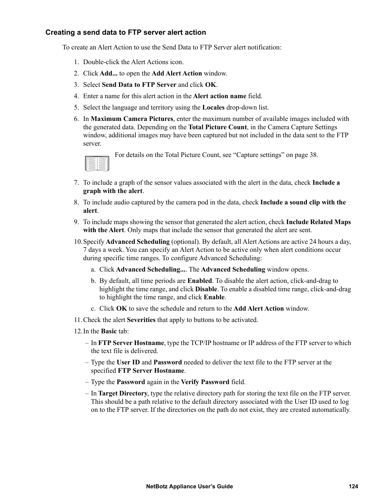# <span id="page-132-0"></span>**Creating a send data to FTP server alert action**

To create an Alert Action to use the Send Data to FTP Server alert notification:

- 1. Double-click the Alert Actions icon.
- 2. Click **Add...** to open the **Add Alert Action** window.
- 3. Select **Send Data to FTP Server** and click **OK**.
- 4. Enter a name for this alert action in the **Alert action name** field.
- 5. Select the language and territory using the **Locales** drop-down list.
- 6. In **Maximum Camera Pictures**, enter the maximum number of available images included with the generated data. Depending on the **Total Picture Count**, in the Camera Capture Settings window, additional images may have been captured but not included in the data sent to the FTP server.



For details on the Total Picture Count, see ["Capture settings" on page 38](#page-46-0).

- 7. To include a graph of the sensor values associated with the alert in the data, check **Include a graph with the alert**.
- 8. To include audio captured by the camera pod in the data, check **Include a sound clip with the alert**.
- 9. To include maps showing the sensor that generated the alert action, check **Include Related Maps with the Alert**. Only maps that include the sensor that generated the alert are sent.
- 10.Specify **Advanced Scheduling** (optional). By default, all Alert Actions are active 24 hours a day, 7 days a week. You can specify an Alert Action to be active only when alert conditions occur during specific time ranges. To configure Advanced Scheduling:
	- a. Click **Advanced Scheduling...**. The **Advanced Scheduling** window opens.
	- b. By default, all time periods are **Enabled**. To disable the alert action, click-and-drag to highlight the time range, and click **Disable**. To enable a disabled time range, click-and-drag to highlight the time range, and click **Enable**.
	- c. Click **OK** to save the schedule and return to the **Add Alert Action** window.
- 11.Check the alert **Severities** that apply to buttons to be activated.
- 12.In the **Basic** tab:
	- In **FTP Server Hostname**, type the TCP/IP hostname or IP address of the FTP server to which the text file is delivered.
	- Type the **User ID** and **Password** needed to deliver the text file to the FTP server at the specified **FTP Server Hostname**.
	- Type the **Password** again in the **Verify Password** field.
	- In **Target Directory**, type the relative directory path for storing the text file on the FTP server. This should be a path relative to the default directory associated with the User ID used to log on to the FTP server. If the directories on the path do not exist, they are created automatically.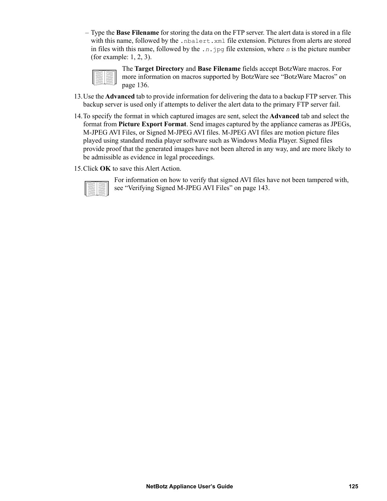– Type the **Base Filename** for storing the data on the FTP server. The alert data is stored in a file with this name, followed by the .nbalert.xml file extension. Pictures from alerts are stored in files with this name, followed by the .*n*.jpg file extension, where *n* is the picture number (for example: 1, 2, 3).

The **Target Directory** and **Base Filename** fields accept BotzWare macros. For more information on macros supported by BotzWare see ["BotzWare Macros" on](#page-144-0)  [page 136](#page-144-0).

- 13.Use the **Advanced** tab to provide information for delivering the data to a backup FTP server. This backup server is used only if attempts to deliver the alert data to the primary FTP server fail.
- 14.To specify the format in which captured images are sent, select the **Advanced** tab and select the format from **Picture Export Format**. Send images captured by the appliance cameras as JPEGs, M-JPEG AVI Files, or Signed M-JPEG AVI files. M-JPEG AVI files are motion picture files played using standard media player software such as Windows Media Player. Signed files provide proof that the generated images have not been altered in any way, and are more likely to be admissible as evidence in legal proceedings.
- 15.Click **OK** to save this Alert Action.



For information on how to verify that signed AVI files have not been tampered with, see ["Verifying Signed M-JPEG AVI Files" on page 143](#page-151-0).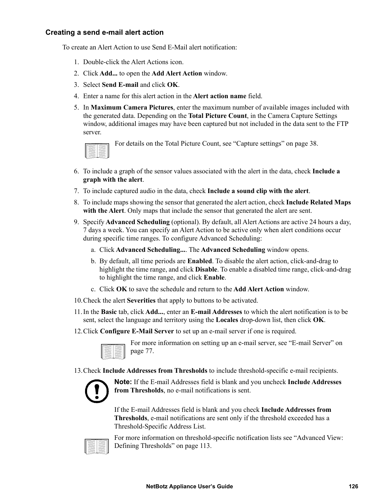### <span id="page-134-0"></span>**Creating a send e-mail alert action**

To create an Alert Action to use Send E-Mail alert notification:

- 1. Double-click the Alert Actions icon.
- 2. Click **Add...** to open the **Add Alert Action** window.
- 3. Select **Send E-mail** and click **OK**.
- 4. Enter a name for this alert action in the **Alert action name** field.
- 5. In **Maximum Camera Pictures**, enter the maximum number of available images included with the generated data. Depending on the **Total Picture Count**, in the Camera Capture Settings window, additional images may have been captured but not included in the data sent to the FTP server.



For details on the Total Picture Count, see ["Capture settings" on page 38](#page-46-0).

- 6. To include a graph of the sensor values associated with the alert in the data, check **Include a graph with the alert**.
- 7. To include captured audio in the data, check **Include a sound clip with the alert**.
- 8. To include maps showing the sensor that generated the alert action, check **Include Related Maps with the Alert**. Only maps that include the sensor that generated the alert are sent.
- 9. Specify **Advanced Scheduling** (optional). By default, all Alert Actions are active 24 hours a day, 7 days a week. You can specify an Alert Action to be active only when alert conditions occur during specific time ranges. To configure Advanced Scheduling:
	- a. Click **Advanced Scheduling...**. The **Advanced Scheduling** window opens.
	- b. By default, all time periods are **Enabled**. To disable the alert action, click-and-drag to highlight the time range, and click **Disable**. To enable a disabled time range, click-and-drag to highlight the time range, and click **Enable**.
	- c. Click **OK** to save the schedule and return to the **Add Alert Action** window.
- 10.Check the alert **Severities** that apply to buttons to be activated.
- 11.In the **Basic** tab, click **Add...**, enter an **E-mail Addresses** to which the alert notification is to be sent, select the language and territory using the **Locales** drop-down list, then click **OK**.
- 12.Click **Configure E-Mail Server** to set up an e-mail server if one is required.

For more information on setting up an e-mail server, see ["E-mail Server" on](#page-85-0)  [page 77](#page-85-0).

13.Check **Include Addresses from Thresholds** to include threshold-specific e-mail recipients.



**Note:** If the E-mail Addresses field is blank and you uncheck **Include Addresses from Thresholds**, no e-mail notifications is sent.

If the E-mail Addresses field is blank and you check **Include Addresses from Thresholds**, e-mail notifications are sent only if the threshold exceeded has a Threshold-Specific Address List.



For more information on threshold-specific notification lists see ["Advanced View:](#page-121-0)  [Defining Thresholds" on page 113](#page-121-0).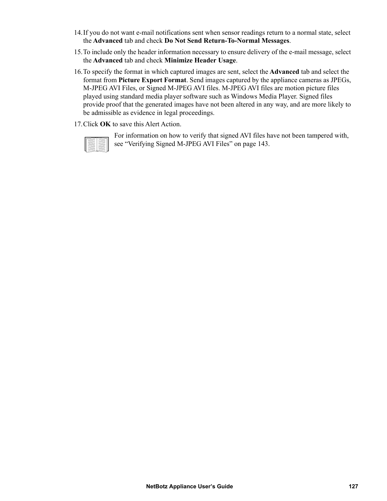- 14.If you do not want e-mail notifications sent when sensor readings return to a normal state, select the **Advanced** tab and check **Do Not Send Return-To-Normal Messages**.
- 15.To include only the header information necessary to ensure delivery of the e-mail message, select the **Advanced** tab and check **Minimize Header Usage**.
- 16.To specify the format in which captured images are sent, select the **Advanced** tab and select the format from **Picture Export Format**. Send images captured by the appliance cameras as JPEGs, M-JPEG AVI Files, or Signed M-JPEG AVI files. M-JPEG AVI files are motion picture files played using standard media player software such as Windows Media Player. Signed files provide proof that the generated images have not been altered in any way, and are more likely to be admissible as evidence in legal proceedings.
- 17.Click **OK** to save this Alert Action.

For information on how to verify that signed AVI files have not been tampered with, see ["Verifying Signed M-JPEG AVI Files" on page 143](#page-151-0).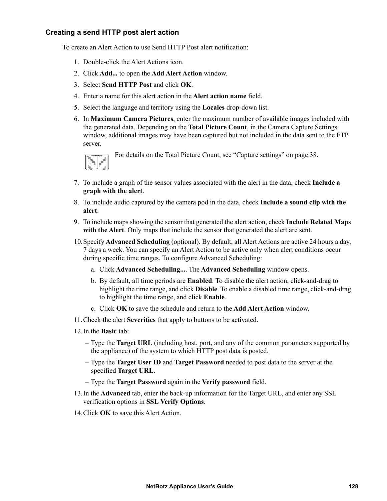# <span id="page-136-0"></span>**Creating a send HTTP post alert action**

To create an Alert Action to use Send HTTP Post alert notification:

- 1. Double-click the Alert Actions icon.
- 2. Click **Add...** to open the **Add Alert Action** window.
- 3. Select **Send HTTP Post** and click **OK**.
- 4. Enter a name for this alert action in the **Alert action name** field.
- 5. Select the language and territory using the **Locales** drop-down list.
- 6. In **Maximum Camera Pictures**, enter the maximum number of available images included with the generated data. Depending on the **Total Picture Count**, in the Camera Capture Settings window, additional images may have been captured but not included in the data sent to the FTP server.



For details on the Total Picture Count, see ["Capture settings" on page 38](#page-46-0).

- 7. To include a graph of the sensor values associated with the alert in the data, check **Include a graph with the alert**.
- 8. To include audio captured by the camera pod in the data, check **Include a sound clip with the alert**.
- 9. To include maps showing the sensor that generated the alert action, check **Include Related Maps with the Alert**. Only maps that include the sensor that generated the alert are sent.
- 10.Specify **Advanced Scheduling** (optional). By default, all Alert Actions are active 24 hours a day, 7 days a week. You can specify an Alert Action to be active only when alert conditions occur during specific time ranges. To configure Advanced Scheduling:
	- a. Click **Advanced Scheduling...**. The **Advanced Scheduling** window opens.
	- b. By default, all time periods are **Enabled**. To disable the alert action, click-and-drag to highlight the time range, and click **Disable**. To enable a disabled time range, click-and-drag to highlight the time range, and click **Enable**.
	- c. Click **OK** to save the schedule and return to the **Add Alert Action** window.
- 11.Check the alert **Severities** that apply to buttons to be activated.
- 12.In the **Basic** tab:
	- Type the **Target URL** (including host, port, and any of the common parameters supported by the appliance) of the system to which HTTP post data is posted.
	- Type the **Target User ID** and **Target Password** needed to post data to the server at the specified **Target URL**.
	- Type the **Target Password** again in the **Verify password** field.
- 13.In the **Advanced** tab, enter the back-up information for the Target URL, and enter any SSL verification options in **SSL Verify Options**.
- 14.Click **OK** to save this Alert Action.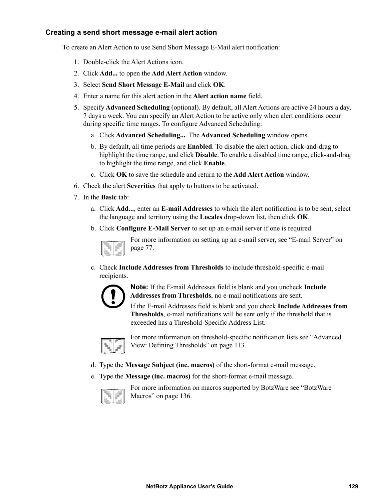### <span id="page-137-1"></span><span id="page-137-0"></span>**Creating a send short message e-mail alert action**

To create an Alert Action to use Send Short Message E-Mail alert notification:

- 1. Double-click the Alert Actions icon.
- 2. Click **Add...** to open the **Add Alert Action** window.
- 3. Select **Send Short Message E-Mail** and click **OK**.
- 4. Enter a name for this alert action in the **Alert action name** field.
- 5. Specify **Advanced Scheduling** (optional). By default, all Alert Actions are active 24 hours a day, 7 days a week. You can specify an Alert Action to be active only when alert conditions occur during specific time ranges. To configure Advanced Scheduling:
	- a. Click **Advanced Scheduling...**. The **Advanced Scheduling** window opens.
	- b. By default, all time periods are **Enabled**. To disable the alert action, click-and-drag to highlight the time range, and click **Disable**. To enable a disabled time range, click-and-drag to highlight the time range, and click **Enable**.
	- c. Click **OK** to save the schedule and return to the **Add Alert Action** window.
- 6. Check the alert **Severities** that apply to buttons to be activated.
- 7. In the **Basic** tab:
	- a. Click **Add...**, enter an **E-mail Addresses** to which the alert notification is to be sent, select the language and territory using the **Locales** drop-down list, then click **OK**.
	- b. Click **Configure E-Mail Server** to set up an e-mail server if one is required.



For more information on setting up an e-mail server, see ["E-mail Server" on](#page-85-0)  [page 77](#page-85-0).

c. Check **Include Addresses from Thresholds** to include threshold-specific e-mail recipients.



**Note:** If the E-mail Addresses field is blank and you uncheck **Include Addresses from Thresholds**, no e-mail notifications are sent.

If the E-mail Addresses field is blank and you check **Include Addresses from Thresholds**, e-mail notifications will be sent only if the threshold that is exceeded has a Threshold-Specific Address List.

For more information on threshold-specific notification lists see ["Advanced](#page-121-0)  [View: Defining Thresholds" on page 113.](#page-121-0)

- d. Type the **Message Subject (inc. macros)** of the short-format e-mail message.
- e. Type the **Message (inc. macros)** for the short-format e-mail message.



For more information on macros supported by BotzWare see ["BotzWare](#page-144-0)  [Macros" on page 136](#page-144-0).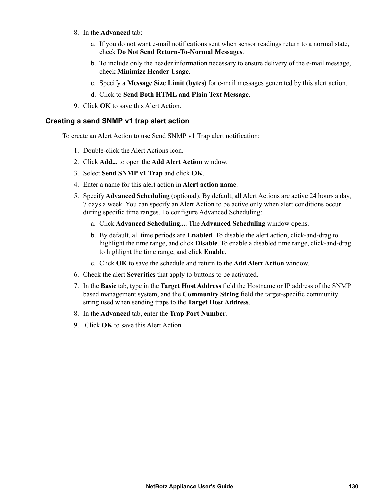- 8. In the **Advanced** tab:
	- a. If you do not want e-mail notifications sent when sensor readings return to a normal state, check **Do Not Send Return-To-Normal Messages**.
	- b. To include only the header information necessary to ensure delivery of the e-mail message, check **Minimize Header Usage**.
	- c. Specify a **Message Size Limit (bytes)** for e-mail messages generated by this alert action.
	- d. Click to **Send Both HTML and Plain Text Message**.
- 9. Click **OK** to save this Alert Action.

#### <span id="page-138-0"></span>**Creating a send SNMP v1 trap alert action**

To create an Alert Action to use Send SNMP v1 Trap alert notification:

- 1. Double-click the Alert Actions icon.
- 2. Click **Add...** to open the **Add Alert Action** window.
- 3. Select **Send SNMP v1 Trap** and click **OK**.
- 4. Enter a name for this alert action in **Alert action name**.
- 5. Specify **Advanced Scheduling** (optional). By default, all Alert Actions are active 24 hours a day, 7 days a week. You can specify an Alert Action to be active only when alert conditions occur during specific time ranges. To configure Advanced Scheduling:
	- a. Click **Advanced Scheduling...**. The **Advanced Scheduling** window opens.
	- b. By default, all time periods are **Enabled**. To disable the alert action, click-and-drag to highlight the time range, and click **Disable**. To enable a disabled time range, click-and-drag to highlight the time range, and click **Enable**.
	- c. Click **OK** to save the schedule and return to the **Add Alert Action** window.
- 6. Check the alert **Severities** that apply to buttons to be activated.
- 7. In the **Basic** tab, type in the **Target Host Address** field the Hostname or IP address of the SNMP based management system, and the **Community String** field the target-specific community string used when sending traps to the **Target Host Address**.
- 8. In the **Advanced** tab, enter the **Trap Port Number**.
- 9. Click **OK** to save this Alert Action.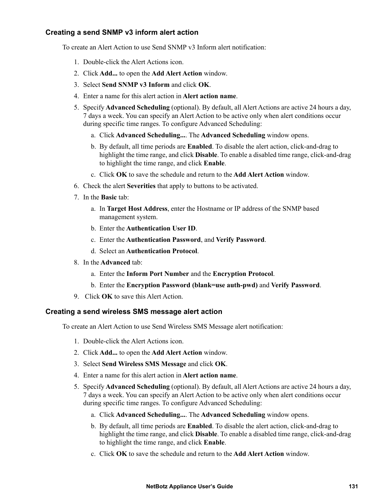# <span id="page-139-0"></span>**Creating a send SNMP v3 inform alert action**

To create an Alert Action to use Send SNMP v3 Inform alert notification:

- 1. Double-click the Alert Actions icon.
- 2. Click **Add...** to open the **Add Alert Action** window.
- 3. Select **Send SNMP v3 Inform** and click **OK**.
- 4. Enter a name for this alert action in **Alert action name**.
- 5. Specify **Advanced Scheduling** (optional). By default, all Alert Actions are active 24 hours a day, 7 days a week. You can specify an Alert Action to be active only when alert conditions occur during specific time ranges. To configure Advanced Scheduling:
	- a. Click **Advanced Scheduling...**. The **Advanced Scheduling** window opens.
	- b. By default, all time periods are **Enabled**. To disable the alert action, click-and-drag to highlight the time range, and click **Disable**. To enable a disabled time range, click-and-drag to highlight the time range, and click **Enable**.
	- c. Click **OK** to save the schedule and return to the **Add Alert Action** window.
- 6. Check the alert **Severities** that apply to buttons to be activated.
- 7. In the **Basic** tab:
	- a. In **Target Host Address**, enter the Hostname or IP address of the SNMP based management system.
	- b. Enter the **Authentication User ID**.
	- c. Enter the **Authentication Password**, and **Verify Password**.
	- d. Select an **Authentication Protocol**.
- 8. In the **Advanced** tab:
	- a. Enter the **Inform Port Number** and the **Encryption Protocol**.
	- b. Enter the **Encryption Password (blank=use auth-pwd)** and **Verify Password**.
- 9. Click **OK** to save this Alert Action.

### <span id="page-139-1"></span>**Creating a send wireless SMS message alert action**

To create an Alert Action to use Send Wireless SMS Message alert notification:

- 1. Double-click the Alert Actions icon.
- 2. Click **Add...** to open the **Add Alert Action** window.
- 3. Select **Send Wireless SMS Message** and click **OK**.
- 4. Enter a name for this alert action in **Alert action name**.
- 5. Specify **Advanced Scheduling** (optional). By default, all Alert Actions are active 24 hours a day, 7 days a week. You can specify an Alert Action to be active only when alert conditions occur during specific time ranges. To configure Advanced Scheduling:
	- a. Click **Advanced Scheduling...**. The **Advanced Scheduling** window opens.
	- b. By default, all time periods are **Enabled**. To disable the alert action, click-and-drag to highlight the time range, and click **Disable**. To enable a disabled time range, click-and-drag to highlight the time range, and click **Enable**.
	- c. Click **OK** to save the schedule and return to the **Add Alert Action** window.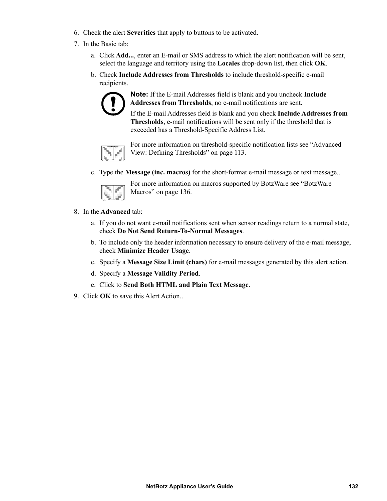- 6. Check the alert **Severities** that apply to buttons to be activated.
- 7. In the Basic tab:
	- a. Click **Add...**, enter an E-mail or SMS address to which the alert notification will be sent, select the language and territory using the **Locales** drop-down list, then click **OK**.
	- b. Check **Include Addresses from Thresholds** to include threshold-specific e-mail recipients.



**Note:** If the E-mail Addresses field is blank and you uncheck **Include Addresses from Thresholds**, no e-mail notifications are sent.

If the E-mail Addresses field is blank and you check **Include Addresses from Thresholds**, e-mail notifications will be sent only if the threshold that is exceeded has a Threshold-Specific Address List.

| ı |
|---|

For more information on threshold-specific notification lists see ["Advanced](#page-121-0)  [View: Defining Thresholds" on page 113.](#page-121-0)

c. Type the **Message (inc. macros)** for the short-format e-mail message or text message..

| -<br>÷<br>-<br>-<br>٠<br>السرا<br>ı<br>÷ | ٠<br>-<br>-<br>--<br>~<br>-<br>-<br>--<br>∼<br>--<br>- |
|------------------------------------------|--------------------------------------------------------|
| -                                        | -                                                      |

For more information on macros supported by BotzWare see ["BotzWare](#page-144-0)  [Macros" on page 136](#page-144-0).

- 8. In the **Advanced** tab:
	- a. If you do not want e-mail notifications sent when sensor readings return to a normal state, check **Do Not Send Return-To-Normal Messages**.
	- b. To include only the header information necessary to ensure delivery of the e-mail message, check **Minimize Header Usage**.
	- c. Specify a **Message Size Limit (chars)** for e-mail messages generated by this alert action.
	- d. Specify a **Message Validity Period**.
	- e. Click to **Send Both HTML and Plain Text Message**.
- 9. Click **OK** to save this Alert Action..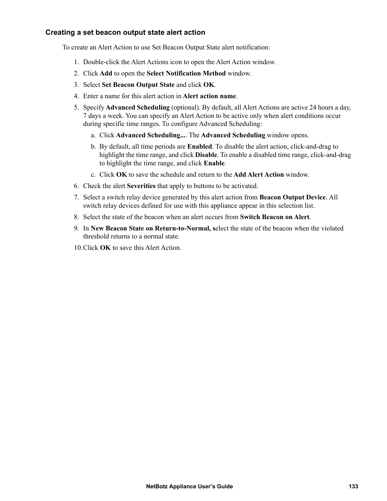# <span id="page-141-0"></span>**Creating a set beacon output state alert action**

To create an Alert Action to use Set Beacon Output State alert notification:

- 1. Double-click the Alert Actions icon to open the Alert Action window.
- 2. Click **Add** to open the **Select Notification Method** window.
- 3. Select **Set Beacon Output State** and click **OK**.
- 4. Enter a name for this alert action in **Alert action name**.
- 5. Specify **Advanced Scheduling** (optional). By default, all Alert Actions are active 24 hours a day, 7 days a week. You can specify an Alert Action to be active only when alert conditions occur during specific time ranges. To configure Advanced Scheduling:
	- a. Click **Advanced Scheduling...**. The **Advanced Scheduling** window opens.
	- b. By default, all time periods are **Enabled**. To disable the alert action, click-and-drag to highlight the time range, and click **Disable**. To enable a disabled time range, click-and-drag to highlight the time range, and click **Enable**.
	- c. Click **OK** to save the schedule and return to the **Add Alert Action** window.
- 6. Check the alert **Severities** that apply to buttons to be activated.
- 7. Select a switch relay device generated by this alert action from **Beacon Output Device**. All switch relay devices defined for use with this appliance appear in this selection list.
- 8. Select the state of the beacon when an alert occurs from **Switch Beacon on Alert**.
- 9. In **New Beacon State on Return-to-Normal, s**elect the state of the beacon when the violated threshold returns to a normal state.
- 10.Click **OK** to save this Alert Action.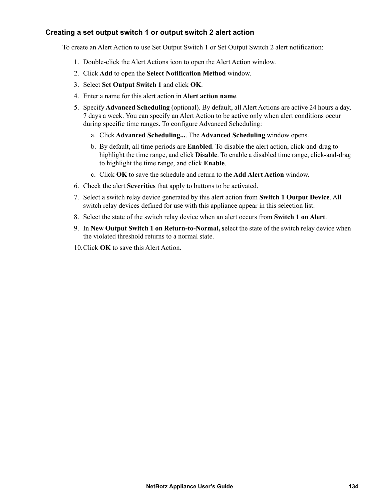# <span id="page-142-0"></span>**Creating a set output switch 1 or output switch 2 alert action**

To create an Alert Action to use Set Output Switch 1 or Set Output Switch 2 alert notification:

- 1. Double-click the Alert Actions icon to open the Alert Action window.
- 2. Click **Add** to open the **Select Notification Method** window.
- 3. Select **Set Output Switch 1** and click **OK**.
- 4. Enter a name for this alert action in **Alert action name**.
- 5. Specify **Advanced Scheduling** (optional). By default, all Alert Actions are active 24 hours a day, 7 days a week. You can specify an Alert Action to be active only when alert conditions occur during specific time ranges. To configure Advanced Scheduling:
	- a. Click **Advanced Scheduling...**. The **Advanced Scheduling** window opens.
	- b. By default, all time periods are **Enabled**. To disable the alert action, click-and-drag to highlight the time range, and click **Disable**. To enable a disabled time range, click-and-drag to highlight the time range, and click **Enable**.
	- c. Click **OK** to save the schedule and return to the **Add Alert Action** window.
- 6. Check the alert **Severities** that apply to buttons to be activated.
- 7. Select a switch relay device generated by this alert action from **Switch 1 Output Device**. All switch relay devices defined for use with this appliance appear in this selection list.
- 8. Select the state of the switch relay device when an alert occurs from **Switch 1 on Alert**.
- 9. In **New Output Switch 1 on Return-to-Normal, s**elect the state of the switch relay device when the violated threshold returns to a normal state.
- 10.Click **OK** to save this Alert Action.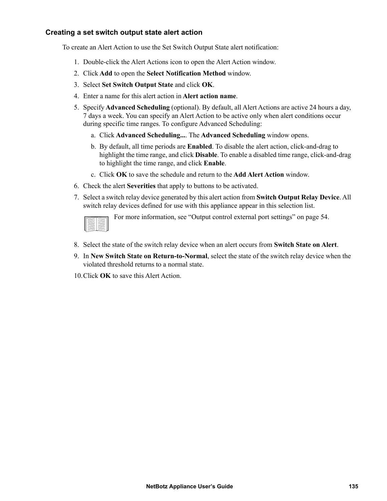# <span id="page-143-0"></span>**Creating a set switch output state alert action**

To create an Alert Action to use the Set Switch Output State alert notification:

- 1. Double-click the Alert Actions icon to open the Alert Action window.
- 2. Click **Add** to open the **Select Notification Method** window.
- 3. Select **Set Switch Output State** and click **OK**.
- 4. Enter a name for this alert action in **Alert action name**.
- 5. Specify **Advanced Scheduling** (optional). By default, all Alert Actions are active 24 hours a day, 7 days a week. You can specify an Alert Action to be active only when alert conditions occur during specific time ranges. To configure Advanced Scheduling:
	- a. Click **Advanced Scheduling...**. The **Advanced Scheduling** window opens.
	- b. By default, all time periods are **Enabled**. To disable the alert action, click-and-drag to highlight the time range, and click **Disable**. To enable a disabled time range, click-and-drag to highlight the time range, and click **Enable**.
	- c. Click **OK** to save the schedule and return to the **Add Alert Action** window.
- 6. Check the alert **Severities** that apply to buttons to be activated.
- 7. Select a switch relay device generated by this alert action from **Switch Output Relay Device**. All switch relay devices defined for use with this appliance appear in this selection list.

For more information, see ["Output control external port settings" on page 54](#page-62-0).

- 8. Select the state of the switch relay device when an alert occurs from **Switch State on Alert**.
- 9. In **New Switch State on Return-to-Normal**, select the state of the switch relay device when the violated threshold returns to a normal state.
- 10.Click **OK** to save this Alert Action.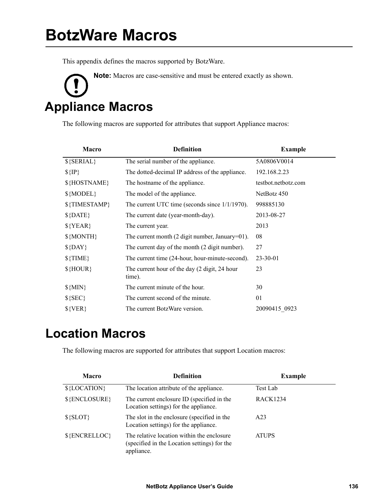This appendix defines the macros supported by BotzWare.

**Note:** Macros are case-sensitive and must be entered exactly as shown. **Appliance Macros** 

The following macros are supported for attributes that support Appliance macros:

| Macro         | <b>Definition</b>                                                 | <b>Example</b>      |
|---------------|-------------------------------------------------------------------|---------------------|
| $$$ {SERIAL}  | The serial number of the appliance.                               | 5A0806V0014         |
| $\{IP\}$      | The dotted-decimal IP address of the appliance.                   | 192.168.2.23        |
| \${HOSTNAME}  | The hostname of the appliance.                                    | testbot.netbotz.com |
| $\{MODEL\}$   | The model of the appliance.                                       | NetBotz 450         |
| \${TIMESTAMP} | The current UTC time (seconds since $1/1/1970$ ).                 | 998885130           |
| $$$ {DATE}    | The current date (year-month-day).                                | 2013-08-27          |
| $\{YEAR\}$    | The current year.                                                 | 2013                |
| $$$ {MONTH}   | The current month $(2 \text{ digit number}, \text{January}=01)$ . | 08                  |
| $$$ {DAY}     | The current day of the month (2 digit number).                    | 27                  |
| $\{TIME\}$    | The current time (24-hour, hour-minute-second).                   | $23 - 30 - 01$      |
| $$$ {HOUR}    | The current hour of the day (2 digit, 24 hour<br>time).           | 23                  |
| $${MIN}$      | The current minute of the hour.                                   | 30                  |
| $\S$ {SEC}    | The current second of the minute.                                 | 01                  |
| $\{VER\}$     | The current BotzWare version.                                     | 20090415 0923       |

## **Location Macros**

The following macros are supported for attributes that support Location macros:

| <b>Macro</b>  | <b>Definition</b>                                                                                        | <b>Example</b>  |
|---------------|----------------------------------------------------------------------------------------------------------|-----------------|
| \${LOCATION}  | The location attribute of the appliance.                                                                 | Test Lab        |
| \${ENCLOSURE} | The current enclosure ID (specified in the<br>Location settings) for the appliance.                      | <b>RACK1234</b> |
| $$$ {SLOT}    | The slot in the enclosure (specified in the<br>Location settings) for the appliance.                     | A23             |
| \${ENCRELLOC} | The relative location within the enclosure<br>(specified in the Location settings) for the<br>appliance. | <b>ATUPS</b>    |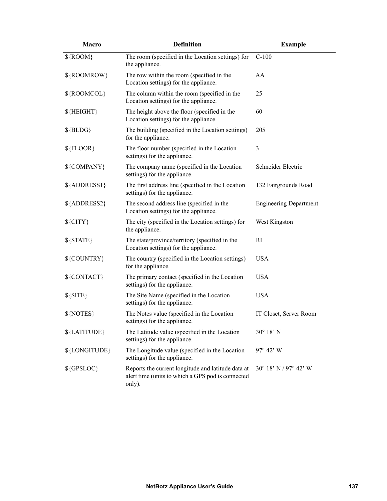| Macro          | <b>Definition</b>                                                                                                 | <b>Example</b>                |
|----------------|-------------------------------------------------------------------------------------------------------------------|-------------------------------|
| $\{$ ROOM $\}$ | The room (specified in the Location settings) for<br>the appliance.                                               | $C-100$                       |
| \${ROOMROW}    | The row within the room (specified in the<br>Location settings) for the appliance.                                | AA                            |
| \${ROOMCOL}    | The column within the room (specified in the<br>Location settings) for the appliance.                             | 25                            |
| $$$ {HEIGHT}   | The height above the floor (specified in the<br>Location settings) for the appliance.                             | 60                            |
| $$ {BLDG}$     | The building (specified in the Location settings)<br>for the appliance.                                           | 205                           |
| $$$ {FLOOR}    | The floor number (specified in the Location<br>settings) for the appliance.                                       | 3                             |
| \${COMPANY}    | The company name (specified in the Location<br>settings) for the appliance.                                       | Schneider Electric            |
| \${ADDRESS1}   | The first address line (specified in the Location<br>settings) for the appliance.                                 | 132 Fairgrounds Road          |
| \${ADDRESS2}   | The second address line (specified in the<br>Location settings) for the appliance.                                | <b>Engineering Department</b> |
| $\S$ {CITY}    | The city (specified in the Location settings) for<br>the appliance.                                               | West Kingston                 |
| $\S$ {STATE}   | The state/province/territory (specified in the<br>Location settings) for the appliance.                           | RI                            |
| \${COUNTRY}    | The country (specified in the Location settings)<br>for the appliance.                                            | <b>USA</b>                    |
| \${CONTACT}    | The primary contact (specified in the Location<br>settings) for the appliance.                                    | <b>USA</b>                    |
| $\S$ {SITE}    | The Site Name (specified in the Location<br>settings) for the appliance.                                          | <b>USA</b>                    |
| $$$ {NOTES}    | The Notes value (specified in the Location<br>settings) for the appliance.                                        | IT Closet, Server Room        |
| \${LATITUDE}   | The Latitude value (specified in the Location<br>settings) for the appliance.                                     | $30^{\circ}$ 18' N            |
| \${LONGITUDE}  | The Longitude value (specified in the Location<br>settings) for the appliance.                                    | 97° 42' W                     |
| $\S$ {GPSLOC}  | Reports the current longitude and latitude data at<br>alert time (units to which a GPS pod is connected<br>only). | 30° 18' N / 97° 42' W         |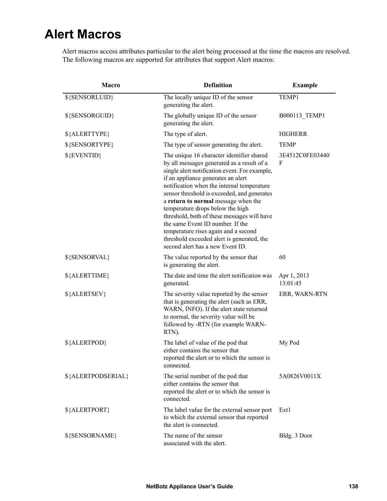## **Alert Macros**

Alert macros access attributes particular to the alert being processed at the time the macros are resolved. The following macros are supported for attributes that support Alert macros:

| Macro              | <b>Definition</b>                                                                                                                                                                                                                                                                                                                                                                                                                                                                                                                                                   | <b>Example</b>          |
|--------------------|---------------------------------------------------------------------------------------------------------------------------------------------------------------------------------------------------------------------------------------------------------------------------------------------------------------------------------------------------------------------------------------------------------------------------------------------------------------------------------------------------------------------------------------------------------------------|-------------------------|
| \${SENSORLUID}     | The locally unique ID of the sensor<br>generating the alert.                                                                                                                                                                                                                                                                                                                                                                                                                                                                                                        | TEMP1                   |
| \${SENSORGUID}     | The globally unique ID of the sensor<br>generating the alert.                                                                                                                                                                                                                                                                                                                                                                                                                                                                                                       | B000113 TEMP1           |
| \${ALERTTYPE}      | The type of alert.                                                                                                                                                                                                                                                                                                                                                                                                                                                                                                                                                  | <b>HIGHERR</b>          |
| \${SENSORTYPE}     | The type of sensor generating the alert.                                                                                                                                                                                                                                                                                                                                                                                                                                                                                                                            | <b>TEMP</b>             |
| \${EVENTID}        | The unique 16 character identifier shared<br>by all messages generated as a result of a<br>single alert notification event. For example,<br>if an appliance generates an alert<br>notification when the internal temperature<br>sensor threshold is exceeded, and generates<br>a return to normal message when the<br>temperature drops below the high<br>threshold, both of these messages will have<br>the same Event ID number. If the<br>temperature rises again and a second<br>threshold exceeded alert is generated, the<br>second alert has a new Event ID. | 3E4512C0FE03440<br>F    |
| \${SENSORVAL}      | The value reported by the sensor that<br>is generating the alert.                                                                                                                                                                                                                                                                                                                                                                                                                                                                                                   | 60                      |
| \${ALERTTIME}      | The date and time the alert notification was<br>generated.                                                                                                                                                                                                                                                                                                                                                                                                                                                                                                          | Apr 1, 2013<br>13:01:45 |
| \${ALERTSEV}       | The severity value reported by the sensor<br>that is generating the alert (such as ERR,<br>WARN, INFO). If the alert state returned<br>to normal, the severity value will be<br>followed by -RTN (for example WARN-<br>RTN).                                                                                                                                                                                                                                                                                                                                        | ERR, WARN-RTN           |
| \${ALERTPOD}       | The label of value of the pod that<br>either contains the sensor that<br>reported the alert or to which the sensor is<br>connected.                                                                                                                                                                                                                                                                                                                                                                                                                                 | My Pod                  |
| \${ALERTPODSERIAL} | The serial number of the pod that<br>either contains the sensor that<br>reported the alert or to which the sensor is<br>connected.                                                                                                                                                                                                                                                                                                                                                                                                                                  | 5A0826V0011X            |
| \${ALERTPORT}      | The label value for the external sensor port<br>to which the external sensor that reported<br>the alert is connected.                                                                                                                                                                                                                                                                                                                                                                                                                                               | Ext1                    |
| \${SENSORNAME}     | The name of the sensor<br>associated with the alert.                                                                                                                                                                                                                                                                                                                                                                                                                                                                                                                | Bldg. 3 Door            |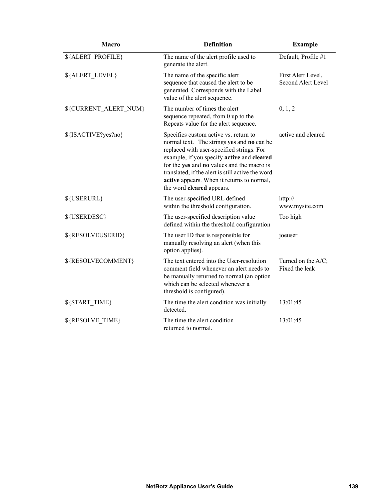| <b>Macro</b>          | <b>Definition</b>                                                                                                                                                                                                                                                                                                                                            | <b>Example</b>                           |
|-----------------------|--------------------------------------------------------------------------------------------------------------------------------------------------------------------------------------------------------------------------------------------------------------------------------------------------------------------------------------------------------------|------------------------------------------|
| \${ALERT PROFILE}     | The name of the alert profile used to<br>generate the alert.                                                                                                                                                                                                                                                                                                 | Default, Profile #1                      |
| \${ALERT LEVEL}       | The name of the specific alert<br>sequence that caused the alert to be<br>generated. Corresponds with the Label<br>value of the alert sequence.                                                                                                                                                                                                              | First Alert Level,<br>Second Alert Level |
| \${CURRENT_ALERT_NUM} | The number of times the alert<br>sequence repeated, from 0 up to the<br>Repeats value for the alert sequence.                                                                                                                                                                                                                                                | 0, 1, 2                                  |
| \${ISACTIVE?yes?no}   | Specifies custom active vs. return to<br>normal text. The strings yes and no can be<br>replaced with user-specified strings. For<br>example, if you specify active and cleared<br>for the yes and no values and the macro is<br>translated, if the alert is still active the word<br>active appears. When it returns to normal,<br>the word cleared appears. | active and cleared                       |
| \${USERURL}           | The user-specified URL defined<br>within the threshold configuration.                                                                                                                                                                                                                                                                                        | http://<br>www.mysite.com                |
| \${USERDESC}          | The user-specified description value<br>defined within the threshold configuration                                                                                                                                                                                                                                                                           | Too high                                 |
| \${RESOLVEUSERID}     | The user ID that is responsible for<br>manually resolving an alert (when this<br>option applies).                                                                                                                                                                                                                                                            | joeuser                                  |
| \${RESOLVECOMMENT}    | The text entered into the User-resolution<br>comment field whenever an alert needs to<br>be manually returned to normal (an option<br>which can be selected whenever a<br>threshold is configured).                                                                                                                                                          | Turned on the A/C;<br>Fixed the leak     |
| \${START TIME}        | The time the alert condition was initially<br>detected.                                                                                                                                                                                                                                                                                                      | 13:01:45                                 |
| \${RESOLVE_TIME}      | The time the alert condition<br>returned to normal.                                                                                                                                                                                                                                                                                                          | 13:01:45                                 |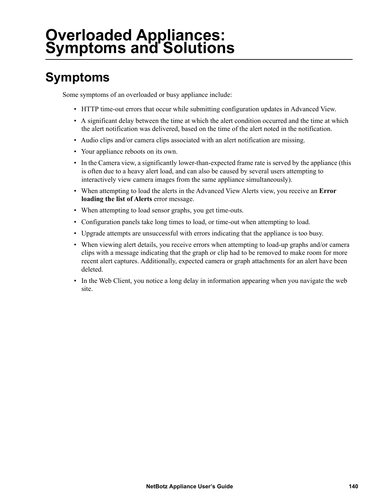# **Overloaded Appliances: Symptoms and Solutions**

## **Symptoms**

Some symptoms of an overloaded or busy appliance include:

- HTTP time-out errors that occur while submitting configuration updates in Advanced View.
- A significant delay between the time at which the alert condition occurred and the time at which the alert notification was delivered, based on the time of the alert noted in the notification.
- Audio clips and/or camera clips associated with an alert notification are missing.
- Your appliance reboots on its own.
- In the Camera view, a significantly lower-than-expected frame rate is served by the appliance (this is often due to a heavy alert load, and can also be caused by several users attempting to interactively view camera images from the same appliance simultaneously).
- When attempting to load the alerts in the Advanced View Alerts view, you receive an **Error loading the list of Alerts** error message.
- When attempting to load sensor graphs, you get time-outs.
- Configuration panels take long times to load, or time-out when attempting to load.
- Upgrade attempts are unsuccessful with errors indicating that the appliance is too busy.
- When viewing alert details, you receive errors when attempting to load-up graphs and/or camera clips with a message indicating that the graph or clip had to be removed to make room for more recent alert captures. Additionally, expected camera or graph attachments for an alert have been deleted.
- In the Web Client, you notice a long delay in information appearing when you navigate the web site.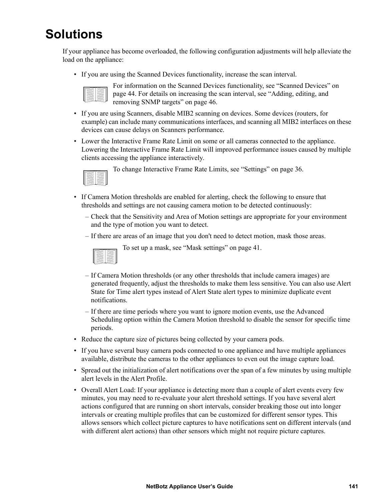## **Solutions**

If your appliance has become overloaded, the following configuration adjustments will help alleviate the load on the appliance:

• If you are using the Scanned Devices functionality, increase the scan interval.



For information on the Scanned Devices functionality, see ["Scanned Devices" on](#page-52-0)  [page 44](#page-52-0). For details on increasing the scan interval, see ["Adding, editing, and](#page-54-0)  [removing SNMP targets" on page 46](#page-54-0).

- If you are using Scanners, disable MIB2 scanning on devices. Some devices (routers, for example) can include many communications interfaces, and scanning all MIB2 interfaces on these devices can cause delays on Scanners performance.
- Lower the Interactive Frame Rate Limit on some or all cameras connected to the appliance. Lowering the Interactive Frame Rate Limit will improved performance issues caused by multiple clients accessing the appliance interactively.



To change Interactive Frame Rate Limits, see ["Settings" on page 36.](#page-44-0)

- If Camera Motion thresholds are enabled for alerting, check the following to ensure that thresholds and settings are not causing camera motion to be detected continuously:
	- Check that the Sensitivity and Area of Motion settings are appropriate for your environment and the type of motion you want to detect.
	- If there are areas of an image that you don't need to detect motion, mask those areas.



- To set up a mask, see ["Mask settings" on page 41.](#page-49-0)
- If Camera Motion thresholds (or any other thresholds that include camera images) are generated frequently, adjust the thresholds to make them less sensitive. You can also use Alert State for Time alert types instead of Alert State alert types to minimize duplicate event notifications.
- If there are time periods where you want to ignore motion events, use the Advanced Scheduling option within the Camera Motion threshold to disable the sensor for specific time periods.
- Reduce the capture size of pictures being collected by your camera pods.
- If you have several busy camera pods connected to one appliance and have multiple appliances available, distribute the cameras to the other appliances to even out the image capture load.
- Spread out the initialization of alert notifications over the span of a few minutes by using multiple alert levels in the Alert Profile.
- Overall Alert Load: If your appliance is detecting more than a couple of alert events every few minutes, you may need to re-evaluate your alert threshold settings. If you have several alert actions configured that are running on short intervals, consider breaking those out into longer intervals or creating multiple profiles that can be customized for different sensor types. This allows sensors which collect picture captures to have notifications sent on different intervals (and with different alert actions) than other sensors which might not require picture captures.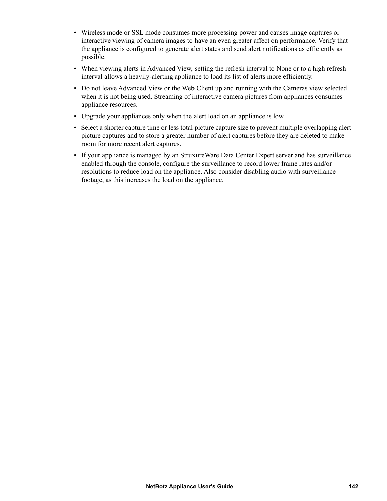- Wireless mode or SSL mode consumes more processing power and causes image captures or interactive viewing of camera images to have an even greater affect on performance. Verify that the appliance is configured to generate alert states and send alert notifications as efficiently as possible.
- When viewing alerts in Advanced View, setting the refresh interval to None or to a high refresh interval allows a heavily-alerting appliance to load its list of alerts more efficiently.
- Do not leave Advanced View or the Web Client up and running with the Cameras view selected when it is not being used. Streaming of interactive camera pictures from appliances consumes appliance resources.
- Upgrade your appliances only when the alert load on an appliance is low.
- Select a shorter capture time or less total picture capture size to prevent multiple overlapping alert picture captures and to store a greater number of alert captures before they are deleted to make room for more recent alert captures.
- If your appliance is managed by an StruxureWare Data Center Expert server and has surveillance enabled through the console, configure the surveillance to record lower frame rates and/or resolutions to reduce load on the appliance. Also consider disabling audio with surveillance footage, as this increases the load on the appliance.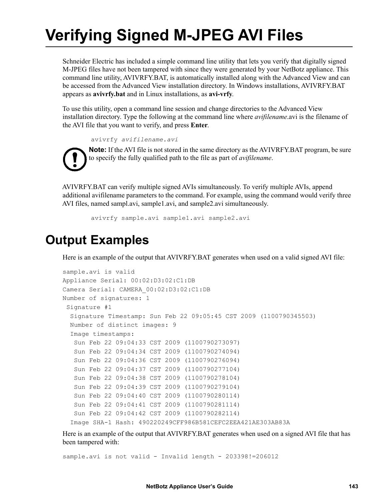# **Verifying Signed M-JPEG AVI Files**

Schneider Electric has included a simple command line utility that lets you verify that digitally signed M-JPEG files have not been tampered with since they were generated by your NetBotz appliance. This command line utility, AVIVRFY.BAT, is automatically installed along with the Advanced View and can be accessed from the Advanced View installation directory. In Windows installations, AVIVRFY.BAT appears as **avivrfy.bat** and in Linux installations, as **avi-vrfy**.

To use this utility, open a command line session and change directories to the Advanced View installation directory. Type the following at the command line where *avifilename*.avi is the filename of the AVI file that you want to verify, and press **Enter**.

avivrfy *avifilename.avi*

**Note:** If the AVI file is not stored in the same directory as the AVIVRFY.BAT program, be sure to specify the fully qualified path to the file as part of *avifilename*.

AVIVRFY.BAT can verify multiple signed AVIs simultaneously. To verify multiple AVIs, append additional avifilename parameters to the command. For example, using the command would verify three AVI files, named sampl.avi, sample1.avi, and sample2.avi simultaneously.

avivrfy sample.avi sample1.avi sample2.avi

### **Output Examples**

Here is an example of the output that AVIVRFY.BAT generates when used on a valid signed AVI file:

```
sample.avi is valid
Appliance Serial: 00:02:D3:02:C1:DB
Camera Serial: CAMERA_00:02:D3:02:C1:DB
Number of signatures: 1
  Signature #1
   Signature Timestamp: Sun Feb 22 09:05:45 CST 2009 (1100790345503)
   Number of distinct images: 9
   Image timestamps:
    Sun Feb 22 09:04:33 CST 2009 (1100790273097)
    Sun Feb 22 09:04:34 CST 2009 (1100790274094)
    Sun Feb 22 09:04:36 CST 2009 (1100790276094)
    Sun Feb 22 09:04:37 CST 2009 (1100790277104)
    Sun Feb 22 09:04:38 CST 2009 (1100790278104)
    Sun Feb 22 09:04:39 CST 2009 (1100790279104)
    Sun Feb 22 09:04:40 CST 2009 (1100790280114)
    Sun Feb 22 09:04:41 CST 2009 (1100790281114)
    Sun Feb 22 09:04:42 CST 2009 (1100790282114)
   Image SHA-1 Hash: 490220249CFF986B581CEFC2EEA421AE303AB83A
```
Here is an example of the output that AVIVRFY.BAT generates when used on a signed AVI file that has been tampered with:

sample.avi is not valid - Invalid length - 203398!=206012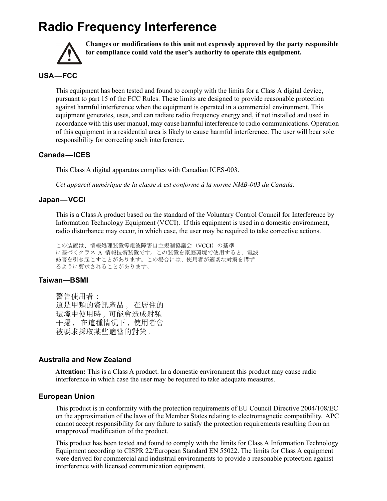## **Radio Frequency Interference**



**Changes or modifications to this unit not expressly approved by the party responsible for compliance could void the user's authority to operate this equipment.**

#### **USA — FCC**

This equipment has been tested and found to comply with the limits for a Class A digital device, pursuant to part 15 of the FCC Rules. These limits are designed to provide reasonable protection against harmful interference when the equipment is operated in a commercial environment. This equipment generates, uses, and can radiate radio frequency energy and, if not installed and used in accordance with this user manual, may cause harmful interference to radio communications. Operation of this equipment in a residential area is likely to cause harmful interference. The user will bear sole responsibility for correcting such interference.

#### **Canada — ICES**

This Class A digital apparatus complies with Canadian ICES-003.

*Cet appareil numérique de la classe A est conforme à la norme NMB-003 du Canada.*

#### **Japan — VCCI**

This is a Class A product based on the standard of the Voluntary Control Council for Interference by Information Technology Equipment (VCCI). If this equipment is used in a domestic environment, radio disturbance may occur, in which case, the user may be required to take corrective actions.

この装置は、情報処理装置等電波障害自主規制協議会 (VCCI) の基準 に基づくクラス A 情報技術装置です。この装置を家庭環境で使用すると、電波 妨害を引き起こすことがあります。この場合には、使用者が適切な対策を講ず るように要求されることがあります。

#### **Taiwan—BSMI**

警告使用者: 這是甲類的資訊產品, 在居住的 環境中使用時,可能會造成射頻 干擾 ,在這種情況下 ,使用者會 被要求採取某些適當的對策。

#### **Australia and New Zealand**

**Attention:** This is a Class A product. In a domestic environment this product may cause radio interference in which case the user may be required to take adequate measures.

#### **European Union**

This product is in conformity with the protection requirements of EU Council Directive 2004/108/EC on the approximation of the laws of the Member States relating to electromagnetic compatibility. APC cannot accept responsibility for any failure to satisfy the protection requirements resulting from an unapproved modification of the product.

This product has been tested and found to comply with the limits for Class A Information Technology Equipment according to CISPR 22/European Standard EN 55022. The limits for Class A equipment were derived for commercial and industrial environments to provide a reasonable protection against interference with licensed communication equipment.